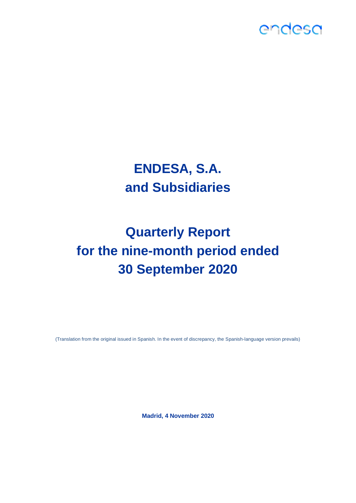

## **ENDESA, S.A. and Subsidiaries**

# **Quarterly Report for the nine-month period ended 30 September 2020**

(Translation from the original issued in Spanish. In the event of discrepancy, the Spanish-language version prevails)

**Madrid, 4 November 2020**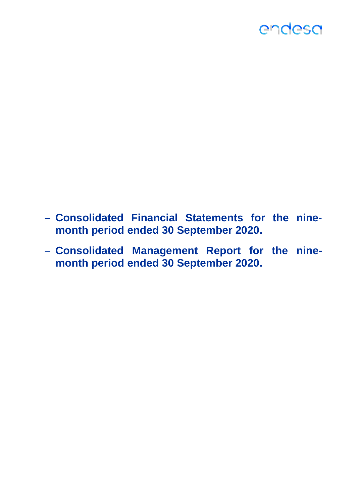- − **Consolidated Financial Statements for the ninemonth period ended 30 September 2020.**
- − **Consolidated Management Report for the ninemonth period ended 30 September 2020.**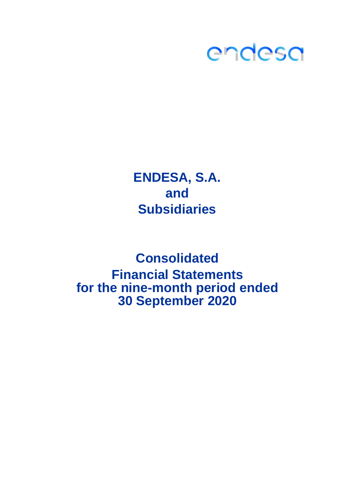

## **ENDESA, S.A. and Subsidiaries**

**Consolidated for the nine-month period ended 30 September 2020 Financial Statements**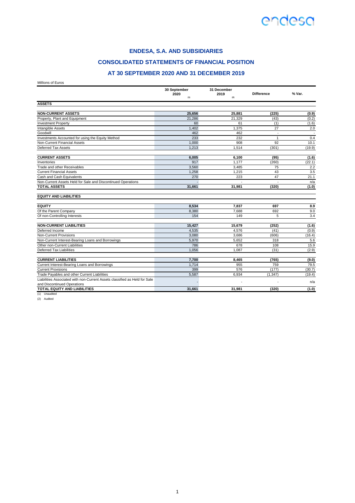

### **CONSOLIDATED STATEMENTS OF FINANCIAL POSITION**

### **AT 30 SEPTEMBER 2020 AND 31 DECEMBER 2019**

Millions of Euros

|                                                                                                           | 30 September<br>2020 | 31 December<br>2019      | <b>Difference</b>        | % Var.        |
|-----------------------------------------------------------------------------------------------------------|----------------------|--------------------------|--------------------------|---------------|
|                                                                                                           | (1)                  | (2)                      |                          |               |
| <b>ASSETS</b>                                                                                             |                      |                          |                          |               |
|                                                                                                           |                      |                          |                          |               |
| <b>NON-CURRENT ASSETS</b>                                                                                 | 25,656               | 25,881                   | (225)                    | (0.9)         |
| Property, Plant and Equipment                                                                             | 21,286               | 21,329                   | (43)                     | (0.2)         |
| <b>Investment Property</b>                                                                                | 60                   | 61                       | (1)                      | (1.6)         |
| Intangible Assets                                                                                         | 1,402                | 1,375                    | 27                       | 2.0           |
| Goodwill                                                                                                  | 462                  | 462                      | $\sim$                   |               |
| Investments Accounted for using the Equity Method                                                         | 233                  | 232                      | $\mathbf{1}$             | 0.4           |
| <b>Non-Current Financial Assets</b>                                                                       | 1,000                | 908                      | 92                       | 10.1          |
| <b>Deferred Tax Assets</b>                                                                                | 1.213                | 1,514                    | (301)                    | (19.9)        |
| <b>CURRENT ASSETS</b>                                                                                     | 6,005                | 6,100                    | (95)                     | (1.6)         |
| Inventories                                                                                               | 917                  | 1,177                    | (260)                    | (22.1)        |
| Trade and other Receivables                                                                               | 3,560                | 3,485                    | 75                       | 2.2           |
| <b>Current Financial Assets</b>                                                                           | 1.258                | 1.215                    | 43                       | 3.5           |
| Cash and Cash Equivalents                                                                                 | 270                  | 223                      | 47                       | 21.1          |
| Non-Current Assets Held for Sale and Discontinued Operations                                              | $\sim$               | $\overline{\phantom{a}}$ | $\overline{\phantom{a}}$ | n/a           |
| <b>TOTAL ASSETS</b>                                                                                       | 31,661               | 31,981                   | (320)                    | (1.0)         |
| <b>EQUITY AND LIABILITIES</b>                                                                             |                      |                          |                          |               |
| <b>EQUITY</b>                                                                                             | 8,534                | 7,837                    | 697                      | 8.9           |
| Of the Parent Company                                                                                     | 8.380                | 7,688                    | 692                      | 9.0           |
| Of non-Controlling Interests                                                                              | 154                  | 149                      | 5                        | 3.4           |
| <b>NON-CURRENT LIABILITIES</b>                                                                            | 15,427               | 15,679                   | (252)                    | (1.6)         |
| Deferred Income                                                                                           | 4,535                | 4,576                    | (41)                     | (0.9)         |
| <b>Non-Current Provisions</b>                                                                             | 3,080                | 3,686                    | (606)                    | (16.4)        |
| Non-Current Interest-Bearing Loans and Borrowings                                                         | 5.970                | 5.652                    | 318                      | 5.6           |
| Other non-Current Liabilities                                                                             | 786                  | 678                      | 108                      | 15.9          |
| <b>Deferred Tax Liabilities</b>                                                                           | 1,056                | 1,087                    | (31)                     | (2.9)         |
| <b>CURRENT LIABILITIES</b>                                                                                | 7,700                |                          |                          |               |
|                                                                                                           | 1.714                | 8,465<br>955             | (765)<br>759             | (9.0)<br>79.5 |
| Current Interest-Bearing Loans and Borrowings<br><b>Current Provisions</b>                                | 399                  |                          |                          |               |
|                                                                                                           |                      | 576                      | (177)                    | (30.7)        |
| Trade Payables and other Current Liabilities                                                              | 5,587                | 6,934                    | (1, 347)                 | (19.4)        |
| Liabilities Associated with non-Current Assets classified as Held for Sale<br>and Discontinued Operations |                      |                          |                          | n/a           |
| <b>TOTAL EQUITY AND LIABILITIES</b>                                                                       | 31,661               | 31,981                   | (320)                    | (1.0)         |
| (1) Unaudited                                                                                             |                      |                          |                          |               |

(2) Audited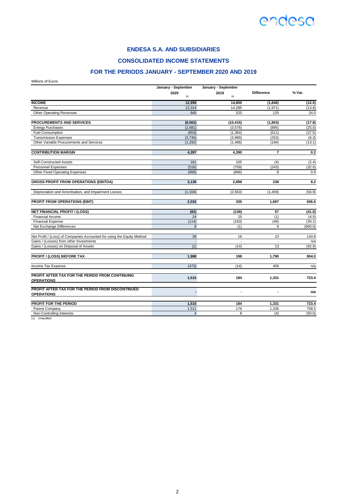

**CONSOLIDATED INCOME STATEMENTS**

## **FOR THE PERIODS JANUARY - SEPTEMBER 2020 AND 2019**

Millions of Euros

|                                                                        | January - September | January - September |                   |         |
|------------------------------------------------------------------------|---------------------|---------------------|-------------------|---------|
|                                                                        | 2020<br>(1)         | 2019<br>(1)         | <b>Difference</b> | % Var.  |
| <b>INCOME</b>                                                          | 12,959              | 14,805              | (1, 846)          | (12.5)  |
| Revenue                                                                | 12,314              | 14,285              | (1,971)           | (13.8)  |
| <b>Other Operating Revenues</b>                                        | 645                 | 520                 | 125               | 24.0    |
| PROCUREMENTS AND SERVICES                                              | (8, 562)            | (10, 415)           | (1, 853)          | (17.8)  |
| <b>Energy Purchases</b>                                                | (2,681)             | (3,576)             | (895)             | (25.0)  |
| <b>Fuel Consumption</b>                                                | (853)               | (1, 364)            | (511)             | (37.5)  |
| <b>Transmission Expenses</b>                                           | (3,736)             | (3,989)             | (253)             | (6.3)   |
| Other Variable Procurements and Services                               | (1, 292)            | (1, 486)            | (194)             | (13.1)  |
| <b>CONTRIBUTION MARGIN</b>                                             | 4,397               | 4.390               | $\overline{7}$    | 0.2     |
| Self-Constructed Assets                                                | 161                 | 165                 | (4)               | (2.4)   |
| <b>Personnel Expenses</b>                                              | (516)               | (759)               | (243)             | (32.0)  |
| <b>Other Fixed Operating Expenses</b>                                  | (906)               | (898)               | 8                 | 0.9     |
| <b>GROSS PROFIT FROM OPERATIONS (EBITDA)</b>                           | 3,136               | 2,898               | 238               | 8.2     |
| Depreciation and Amortisation, and Impairment Losses                   | (1, 104)            | (2, 563)            | (1, 459)          | (56.9)  |
| <b>PROFIT FROM OPERATIONS (EBIT)</b>                                   | 2,032               | 335                 | 1,697             | 506.6   |
| <b>NET FINANCIAL PROFIT / (LOSS)</b>                                   | (82)                | (139)               | 57                | (41.0)  |
| Financial Income                                                       | 24                  | 25                  | (1)               | (4.0)   |
| <b>Financial Expense</b>                                               | (114)               | (163)               | (49)              | (30.1)  |
| Net Exchange Differences                                               | 8                   | (1)                 | 9                 | (900.0) |
| Net Profit / (Loss) of Companies Accounted for using the Equity Method | 39                  | 16                  | 23                | 143.8   |
| Gains / (Losses) from other Investments                                | $\blacksquare$      | $\sim$              | $\sim$            | n/a     |
| Gains / (Losses) on Disposal of Assets                                 | (1)                 | (14)                | 13                | (92.9)  |
| <b>PROFIT / (LOSS) BEFORE TAX</b>                                      | 1.988               | 198                 | 1.790             | 904.0   |
| Income Tax Expense                                                     | (473)               | (14)                | 459               | n/a     |
| PROFIT AFTER TAX FOR THE PERIOD FROM CONTINUING                        | 1,515               | 184                 | 1,331             | 723.4   |
| <b>OPERATIONS</b>                                                      |                     |                     |                   |         |
| PROFIT AFTER TAX FOR THE PERIOD FROM DISCONTINUED<br><b>OPERATIONS</b> |                     | $\blacksquare$      | $\blacksquare$    | n/a     |
| PROFIT FOR THE PERIOD                                                  | 1,515               | 184                 | 1,331             | 723.4   |
| Parent Company                                                         | 1,511               | 176                 | 1,335             | 758.5   |
| Non-Controlling Interests                                              | $\overline{4}$      | 8                   | (4)               | (50.0)  |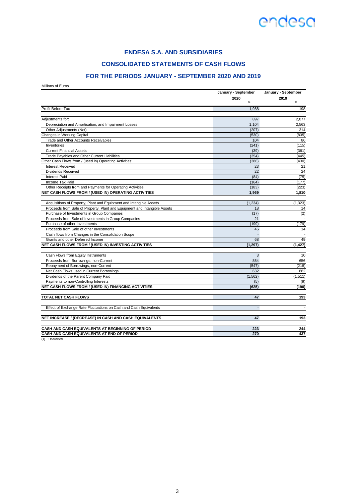### **ENDESA S.A. AND SUBSIDIARIES**

### **CONSOLIDATED STATEMENTS OF CASH FLOWS**

### **FOR THE PERIODS JANUARY - SEPTEMBER 2020 AND 2019**

Millions of Euros

|                                                                           | January - September      | January - September |  |
|---------------------------------------------------------------------------|--------------------------|---------------------|--|
|                                                                           | 2020<br>(1)              | 2019<br>(1)         |  |
| Profit Before Tax                                                         | 1,988                    | 198                 |  |
| Adjustments for:                                                          | 897                      | 2,877               |  |
| Depreciation and Amortisation, and Impairment Losses                      | 1,104                    | 2,563               |  |
| Other Adjustments (Net)                                                   | (207)                    | 314                 |  |
| Changes in Working Capital                                                | (530)                    | (835)               |  |
| Trade and Other Accounts Receivables                                      | 104                      | 86                  |  |
| Inventories                                                               | (241)                    | (115)               |  |
| <b>Current Financial Assets</b>                                           | (39)                     | (361)               |  |
| Trade Payables and Other Current Liabilities                              | (354)                    | (445)               |  |
| Other Cash Flows from / (used in) Operating Activities:                   | (386)                    | (430)               |  |
| Interest Received                                                         | 23                       | 21                  |  |
| <b>Dividends Received</b>                                                 | 22                       | 24                  |  |
| <b>Interest Paid</b>                                                      | (84)                     | (75)                |  |
|                                                                           |                          |                     |  |
| Income Tax Paid                                                           | (164)                    | (177)               |  |
| Other Receipts from and Payments for Operating Activities                 | (183)                    | (223)               |  |
| NET CASH FLOWS FROM / (USED IN) OPERATING ACTIVITIES                      | 1,969                    | 1,810               |  |
| Acquisitions of Property, Plant and Equipment and Intangible Assets       | (1, 234)                 | (1, 323)            |  |
| Proceeds from Sale of Property, Plant and Equipment and Intangible Assets | 18                       | 14                  |  |
| Purchase of Investments in Group Companies                                | (17)                     | (2)                 |  |
| Proceeds from Sale of Investments in Group Companies                      | 21                       |                     |  |
| Purchase of other Investments                                             | (199)                    | (179)               |  |
| Proceeds from Sale of other Investments                                   | 46                       | 14                  |  |
| Cash flows from Changes in the Consolidation Scope                        | $\Box$                   |                     |  |
| Grants and other Deferred Income                                          | 68                       | 49                  |  |
| NET CASH FLOWS FROM / (USED IN) INVESTING ACTIVITIES                      | (1, 297)                 | (1, 427)            |  |
| Cash Flows from Equity Instruments                                        | 3                        | 10                  |  |
| Proceeds from Borrowings, non-Current                                     | 854                      | 656                 |  |
| Repayment of Borrowings, non-Current                                      | (547)                    | (218)               |  |
| Net Cash Flows used in Current Borrowings                                 | 632                      | 882                 |  |
| Dividends of the Parent Company Paid                                      | (1, 562)                 | (1, 511)            |  |
| Payments to non-Controlling Interests                                     | (5)                      | (9)                 |  |
| NET CASH FLOWS FROM / (USED IN) FINANCING ACTIVITIES                      | (625)                    | (190)               |  |
|                                                                           |                          |                     |  |
| <b>TOTAL NET CASH FLOWS</b>                                               | 47                       | 193                 |  |
| Effect of Exchange Rate Fluctuations on Cash and Cash Equivalents         | $\overline{\phantom{0}}$ |                     |  |
| NET INCREASE / (DECREASE) IN CASH AND CASH EQUIVALENTS                    | 47                       | 193                 |  |
| CASH AND CASH EQUIVALENTS AT BEGINNING OF PERIOD                          | 223                      | 244                 |  |
| CASH AND CASH EQUIVALENTS AT END OF PERIOD                                | 270                      | 437                 |  |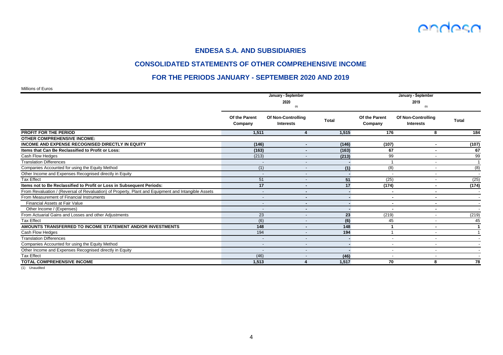

### **CONSOLIDATED STATEMENTS OF OTHER COMPREHENSIVE INCOME**

### **FOR THE PERIODS JANUARY - SEPTEMBER 2020 AND 2019**

Millions of Euros

|                                                                                                     |                          | January - September<br>2020<br>(1)            |              | January - September<br>2019<br>(1) |                                 |                |  |
|-----------------------------------------------------------------------------------------------------|--------------------------|-----------------------------------------------|--------------|------------------------------------|---------------------------------|----------------|--|
|                                                                                                     | Of the Parent<br>Company | <b>Of Non-Controlling</b><br><b>Interests</b> | <b>Total</b> | Of the Parent<br>Company           | Of Non-Controlling<br>Interests | <b>Total</b>   |  |
| <b>PROFIT FOR THE PERIOD</b>                                                                        | 1,511                    | 4                                             | 1,515        | 176                                | 8                               | 184            |  |
| <b>OTHER COMPREHENSIVE INCOME:</b>                                                                  |                          |                                               |              |                                    |                                 |                |  |
| INCOME AND EXPENSE RECOGNISED DIRECTLY IN EQUITY                                                    | (146)                    |                                               | (146)        | (107)                              |                                 | (107)          |  |
| Items that Can Be Reclassified to Profit or Loss:                                                   | (163)                    |                                               | (163)        | 67                                 |                                 | 67             |  |
| Cash Flow Hedges                                                                                    | (213)                    |                                               | (213)        | 99                                 |                                 | 99             |  |
| <b>Translation Differences</b>                                                                      |                          |                                               |              | -1                                 |                                 | $\overline{1}$ |  |
| Companies Accounted for using the Equity Method                                                     | (1)                      |                                               | (1)          | (8)                                |                                 | (8)            |  |
| Other Income and Expenses Recognised directly in Equity                                             |                          |                                               |              |                                    |                                 |                |  |
| <b>Tax Effect</b>                                                                                   | 51                       |                                               | 51           | (25)                               | $\overline{\phantom{a}}$        | (25)           |  |
| Items not to Be Reclassified to Profit or Loss in Subsequent Periods:                               | 17                       |                                               | 17           | (174)                              |                                 | (174)          |  |
| From Revaluation / (Reversal of Revaluation) of Property, Plant and Equipment and Intangible Assets |                          | $\blacksquare$                                |              | $\blacksquare$                     | ٠                               |                |  |
| From Measurement of Financial Instruments                                                           | $\overline{\phantom{a}}$ | $\blacksquare$                                |              | $\blacksquare$                     | $\blacksquare$                  |                |  |
| Financial Assets at Fair Value                                                                      | $\overline{\phantom{a}}$ | $\sim$                                        |              | $\blacksquare$                     | $\blacksquare$                  |                |  |
| Other Income / (Expenses)                                                                           | $\overline{\phantom{a}}$ |                                               |              |                                    | ۰                               |                |  |
| From Actuarial Gains and Losses and other Adjustments                                               | 23                       |                                               | 23           | (219)                              | $\overline{\phantom{a}}$        | (219)          |  |
| Tax Effect                                                                                          | (6)                      |                                               | (6)          | 45                                 | $\overline{\phantom{a}}$        | 45             |  |
| AMOUNTS TRANSFERRED TO INCOME STATEMENT AND/OR INVESTMENTS                                          | 148                      | $\sim$                                        | 148          | -1                                 | $\blacksquare$                  | -1             |  |
| Cash Flow Hedges                                                                                    | 194                      |                                               | 194          |                                    |                                 |                |  |
| <b>Translation Differences</b>                                                                      | $\overline{\phantom{a}}$ |                                               |              | $\overline{\phantom{a}}$           |                                 |                |  |
| Companies Accounted for using the Equity Method                                                     |                          |                                               |              |                                    | $\overline{\phantom{a}}$        |                |  |
| Other Income and Expenses Recognised directly in Equity                                             |                          | $\overline{\phantom{a}}$                      |              | $\overline{\phantom{a}}$           | $\overline{\phantom{a}}$        |                |  |
| Tax Effect                                                                                          | (46)                     |                                               | (46)         | $\overline{\phantom{0}}$           | $\overline{\phantom{a}}$        |                |  |
| <b>TOTAL COMPREHENSIVE INCOME</b>                                                                   | 1.513                    |                                               | 1.517        | 70                                 | 8                               | 78             |  |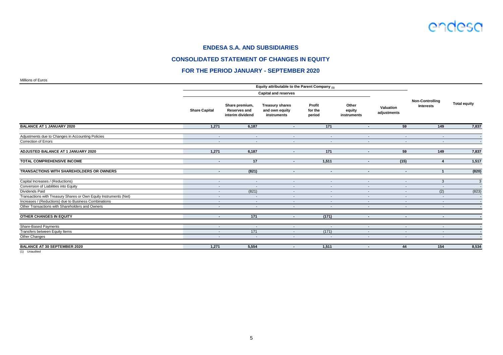

### **CONSOLIDATED STATEMENT OF CHANGES IN EQUITY**

### **FOR THE PERIOD JANUARY - SEPTEMBER 2020**

Millions of Euros

|                                                                   |                          |                                                           | Equity attributable to the Parent Company $_{(1)}$<br><b>Capital and reserves</b> |                             |                                |                          |                                     |                     |
|-------------------------------------------------------------------|--------------------------|-----------------------------------------------------------|-----------------------------------------------------------------------------------|-----------------------------|--------------------------------|--------------------------|-------------------------------------|---------------------|
|                                                                   | <b>Share Capital</b>     | Share premium,<br><b>Reserves and</b><br>interim dividend | <b>Treasury shares</b><br>and own equity<br>instruments                           | Profit<br>for the<br>period | Other<br>equity<br>instruments | Valuation<br>adjustments | <b>Non-Controlling</b><br>Interests | <b>Total equity</b> |
| <b>BALANCE AT 1 JANUARY 2020</b>                                  | 1,271                    | 6,187                                                     | $\blacksquare$                                                                    | 171                         | $\blacksquare$                 | 59                       | 149                                 | 7,837               |
| Adjustments due to Changes in Accounting Policies                 | $\sim$                   | $\sim$                                                    | $\sim$                                                                            | $\sim$                      | $\overline{\phantom{a}}$       | $\overline{\phantom{a}}$ | $\overline{\phantom{a}}$            |                     |
| <b>Correction of Errors</b>                                       | $\overline{\phantom{a}}$ | $\overline{\phantom{a}}$                                  | $\overline{\phantom{a}}$                                                          | $\overline{a}$              | $\overline{\phantom{a}}$       | $\overline{\phantom{a}}$ | $\overline{\phantom{a}}$            |                     |
| ADJUSTED BALANCE AT 1 JANUARY 2020                                | 1,271                    | 6,187                                                     | $\sim$                                                                            | 171                         | $\sim$                         | 59                       | 149                                 | 7,837               |
| <b>TOTAL COMPREHENSIVE INCOME</b>                                 | $\sim$                   | 17                                                        | $\sim$                                                                            | 1,511                       | $\sim$                         | (15)                     | $\boldsymbol{4}$                    | 1,517               |
| TRANSACTIONS WITH SHAREHOLDERS OR OWNERS                          | $\blacksquare$           | (821)                                                     | $\sim$                                                                            | $\sim$                      | $\sim$                         | $\sim$                   | $\mathbf{1}$                        | (820)               |
| Capital Increases / (Reductions)                                  | $\overline{\phantom{a}}$ | $\sim$                                                    | $\overline{\phantom{a}}$                                                          | $\overline{\phantom{a}}$    | $\sim$                         | $\overline{\phantom{a}}$ | 3                                   | $\overline{3}$      |
| Conversion of Liabilities into Equity                             | $\overline{\phantom{a}}$ |                                                           | $\overline{\phantom{a}}$                                                          |                             | $\overline{\phantom{a}}$       | $\overline{\phantom{a}}$ | $\overline{\phantom{a}}$            |                     |
| Dividends Paid                                                    | $\overline{\phantom{a}}$ | (821)                                                     | $\overline{\phantom{a}}$                                                          | $\blacksquare$              | $\overline{\phantom{a}}$       | $\overline{\phantom{a}}$ | (2)                                 | (823)               |
| Transactions with Treasury Shares or Own Equity Instruments (Net) | $\sim$                   | $\sim$                                                    | $\overline{\phantom{a}}$                                                          | $\overline{\phantom{a}}$    | $\sim$                         | $\overline{\phantom{a}}$ | $\overline{\phantom{a}}$            |                     |
| Increases / (Reductions) due to Business Combinations             | $\overline{\phantom{a}}$ | $\sim$                                                    | $\overline{\phantom{a}}$                                                          | $\overline{\phantom{a}}$    | ٠                              | $\overline{\phantom{a}}$ | $\overline{\phantom{a}}$            |                     |
| Other Transactions with Shareholders and Owners                   | $\sim$                   | $\sim$                                                    | $\sim$                                                                            | $\sim$                      | $\sim$                         | $\overline{\phantom{a}}$ | $\overline{\phantom{a}}$            |                     |
| OTHER CHANGES IN EQUITY                                           | $\blacksquare$           | 171                                                       | $\sim$                                                                            | (171)                       | $\sim$                         | $\blacksquare$           | $\overline{\phantom{a}}$            |                     |
| <b>Share-Based Payments</b>                                       | $\overline{\phantom{a}}$ | $\overline{\phantom{a}}$                                  | $\sim$                                                                            | $\overline{\phantom{a}}$    | $\sim$                         | $\overline{\phantom{a}}$ | $\overline{\phantom{a}}$            |                     |
| Transfers between Equity Items                                    | $\overline{\phantom{a}}$ | 171                                                       |                                                                                   | (171)                       | $\overline{\phantom{a}}$       | $\overline{\phantom{a}}$ | $\overline{\phantom{a}}$            |                     |
| <b>Other Changes</b>                                              | $\blacksquare$           | $\overline{\phantom{a}}$                                  |                                                                                   |                             | $\overline{\phantom{a}}$       | $\overline{\phantom{a}}$ | $\overline{\phantom{a}}$            |                     |
| <b>BALANCE AT 30 SEPTEMBER 2020</b>                               | 1,271                    | 5,554                                                     | $\blacksquare$                                                                    | 1,511                       | $\blacksquare$                 | 44                       | 154                                 | 8,534               |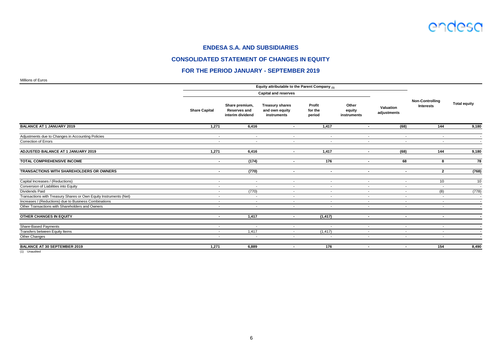

### **CONSOLIDATED STATEMENT OF CHANGES IN EQUITY**

### **FOR THE PERIOD JANUARY - SEPTEMBER 2019**

Millions of Euros

| סטושם וט טווטוויי                                                 | Equity attributable to the Parent Company $_{(1)}$ |                                                           |                                                         |                             |                                |                          |                                     |                          |
|-------------------------------------------------------------------|----------------------------------------------------|-----------------------------------------------------------|---------------------------------------------------------|-----------------------------|--------------------------------|--------------------------|-------------------------------------|--------------------------|
|                                                                   |                                                    |                                                           | <b>Capital and reserves</b>                             |                             |                                |                          |                                     |                          |
|                                                                   | <b>Share Capital</b>                               | Share premium,<br><b>Reserves and</b><br>interim dividend | <b>Treasury shares</b><br>and own equity<br>instruments | Profit<br>for the<br>period | Other<br>equity<br>instruments | Valuation<br>adjustments | <b>Non-Controlling</b><br>Interests | <b>Total equity</b>      |
| <b>BALANCE AT 1 JANUARY 2019</b>                                  | 1,271                                              | 6,416                                                     | $\overline{\phantom{a}}$                                | 1,417                       | $\sim$                         | (68)                     | 144                                 | 9,180                    |
| Adjustments due to Changes in Accounting Policies                 | $\sim$                                             | $\sim$                                                    | $\sim$                                                  | $\sim$                      | $\sim$                         | $\overline{\phantom{a}}$ | $\overline{\phantom{a}}$            |                          |
| <b>Correction of Errors</b>                                       | $\sim$                                             | $\sim$                                                    | $\overline{\phantom{0}}$                                | $\sim$                      | $\overline{\phantom{a}}$       | $\overline{\phantom{a}}$ | $\overline{\phantom{a}}$            |                          |
| ADJUSTED BALANCE AT 1 JANUARY 2019                                | 1,271                                              | 6,416                                                     | $\sim$                                                  | 1,417                       | $\sim$                         | (68)                     | 144                                 | 9,180                    |
| <b>TOTAL COMPREHENSIVE INCOME</b>                                 | $\sim$                                             | (174)                                                     | $\sim$                                                  | 176                         | $\sim$                         | 68                       | 8                                   | 78                       |
| TRANSACTIONS WITH SHAREHOLDERS OR OWNERS                          | $\blacksquare$                                     | (770)                                                     | $\sim$                                                  | $\sim$                      | $\sim$                         | $\sim$                   | $\mathbf{2}$                        | (768)                    |
| Capital Increases / (Reductions)                                  | $\overline{\phantom{a}}$                           | $\overline{\phantom{a}}$                                  | $\sim$                                                  | $\sim$                      | $\sim$                         | $\overline{\phantom{a}}$ | 10                                  | 10                       |
| Conversion of Liabilities into Equity                             | $\sim$                                             | $\sim$                                                    | $\overline{\phantom{a}}$                                | $\sim$                      | $\overline{\phantom{a}}$       | $\overline{\phantom{a}}$ | $\overline{\phantom{a}}$            |                          |
| Dividends Paid                                                    | $\sim$                                             | (770)                                                     | $\overline{\phantom{0}}$                                | $\overline{\phantom{0}}$    | $\sim$                         | $\overline{\phantom{a}}$ | (8)                                 | (778)                    |
| Transactions with Treasury Shares or Own Equity Instruments (Net) | $\sim$                                             | $\sim$                                                    | $\overline{\phantom{0}}$                                | $\overline{a}$              | $\overline{\phantom{a}}$       | $\overline{\phantom{a}}$ | $\overline{\phantom{a}}$            | $\overline{\phantom{a}}$ |
| Increases / (Reductions) due to Business Combinations             | $\overline{\phantom{a}}$                           | $\overline{\phantom{0}}$                                  | $\overline{\phantom{a}}$                                | $\overline{\phantom{0}}$    | $\overline{\phantom{a}}$       | $\overline{\phantom{a}}$ | $\overline{\phantom{a}}$            | $\overline{a}$           |
| Other Transactions with Shareholders and Owners                   | $\sim$                                             | $\sim$                                                    | $\overline{\phantom{a}}$                                | $\overline{\phantom{0}}$    | $\sim$                         | $\sim$                   | $\sim$                              |                          |
| OTHER CHANGES IN EQUITY                                           | ٠                                                  | 1,417                                                     | $\sim$                                                  | (1, 417)                    | $\sim$                         | $\blacksquare$           | $\overline{\phantom{a}}$            |                          |
| <b>Share-Based Payments</b>                                       | $\overline{\phantom{a}}$                           | $\overline{\phantom{a}}$                                  | $\overline{\phantom{a}}$                                | $\overline{\phantom{a}}$    | $\overline{\phantom{a}}$       | $\overline{\phantom{a}}$ | $\overline{\phantom{a}}$            |                          |
| Transfers between Equity Items                                    | $\overline{\phantom{a}}$                           | 1,417                                                     | $\overline{\phantom{0}}$                                | (1, 417)                    | $\overline{\phantom{a}}$       | $\overline{\phantom{a}}$ | $\overline{\phantom{a}}$            |                          |
| <b>Other Changes</b>                                              | $\overline{\phantom{a}}$                           | $\overline{\phantom{a}}$                                  | $\overline{\phantom{a}}$                                |                             | $\overline{\phantom{a}}$       | $\overline{\phantom{a}}$ | $\overline{\phantom{a}}$            |                          |
| <b>BALANCE AT 30 SEPTEMBER 2019</b>                               | 1,271                                              | 6,889                                                     | $\sim$                                                  | 176                         | $\sim$                         | $\sim$                   | 154                                 | 8,490                    |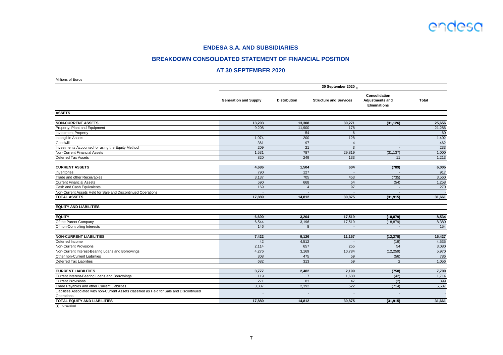

### **BREAKDOWN CONSOLIDATED STATEMENT OF FINANCIAL POSITION**

### **AT 30 SEPTEMBER 2020**

| Millions of Euros                                                                           |                              |                          |                               |                                                                |              |  |  |  |  |
|---------------------------------------------------------------------------------------------|------------------------------|--------------------------|-------------------------------|----------------------------------------------------------------|--------------|--|--|--|--|
|                                                                                             | 30 September 2020 (1)        |                          |                               |                                                                |              |  |  |  |  |
|                                                                                             | <b>Generation and Supply</b> | <b>Distribution</b>      | <b>Structure and Services</b> | Consolidation<br><b>Adjustments and</b><br><b>Eliminations</b> | <b>Total</b> |  |  |  |  |
| <b>ASSETS</b>                                                                               |                              |                          |                               |                                                                |              |  |  |  |  |
| <b>NON-CURRENT ASSETS</b>                                                                   | 13,203                       | 13,308                   | 30,271                        | (31, 126)                                                      | 25,656       |  |  |  |  |
| Property, Plant and Equipment                                                               | 9,208                        | 11,900                   | 178                           |                                                                | 21,286       |  |  |  |  |
| <b>Investment Property</b>                                                                  |                              | 54                       | 6                             | $\overline{\phantom{a}}$                                       | 60           |  |  |  |  |
| <b>Intangible Assets</b>                                                                    | 1,074                        | 200                      | 128                           | $\blacksquare$                                                 | 1,402        |  |  |  |  |
| Goodwill                                                                                    | 361                          | $\overline{97}$          | $\overline{4}$                | $\overline{\phantom{a}}$                                       | 462          |  |  |  |  |
| Investments Accounted for using the Equity Method                                           | 209                          | 21                       | 3                             | $\blacksquare$                                                 | 233          |  |  |  |  |
| <b>Non-Current Financial Assets</b>                                                         | 1,531                        | 787                      | 29,819                        | (31, 137)                                                      | 1,000        |  |  |  |  |
| Deferred Tax Assets                                                                         | 820                          | 249                      | 133                           | 11                                                             | 1,213        |  |  |  |  |
| <b>CURRENT ASSETS</b>                                                                       | 4,686                        | 1,504                    | 604                           | (789)                                                          | 6,005        |  |  |  |  |
| Inventories                                                                                 | 790                          | $\frac{127}{2}$          | $\blacksquare$                | $\overline{\phantom{a}}$                                       | 917          |  |  |  |  |
| Trade and other Receivables                                                                 | 3,137                        | 705                      | 453                           | (735)                                                          | 3,560        |  |  |  |  |
| <b>Current Financial Assets</b>                                                             | 590                          | 668                      | 54                            | (54)                                                           | 1,258        |  |  |  |  |
| Cash and Cash Equivalents                                                                   | 169                          | $\overline{4}$           | 97                            | $\sim$                                                         | 270          |  |  |  |  |
| Non-Current Assets Held for Sale and Discontinued Operations                                | $\overline{\phantom{a}}$     | $\overline{\phantom{a}}$ | $\overline{\phantom{a}}$      | $\overline{\phantom{a}}$                                       |              |  |  |  |  |
| <b>TOTAL ASSETS</b>                                                                         | 17,889                       | 14,812                   | 30,875                        | (31, 915)                                                      | 31,661       |  |  |  |  |
| <b>EQUITY AND LIABILITIES</b>                                                               |                              |                          |                               |                                                                |              |  |  |  |  |
| <b>EQUITY</b>                                                                               | 6,690                        | 3,204                    | 17,519                        | (18, 879)                                                      | 8,534        |  |  |  |  |
| Of the Parent Company                                                                       | 6,544                        | 3,196                    | 17,519                        | (18, 879)                                                      | 8,380        |  |  |  |  |
| Of non-Controlling Interests                                                                | 146                          | 8                        | $\sim$                        | $\sim$                                                         | 154          |  |  |  |  |
| <b>NON-CURRENT LIABILITIES</b>                                                              | 7,422                        | 9,126                    | 11,157                        | (12, 278)                                                      | 15,427       |  |  |  |  |
| Deferred Income                                                                             | 42                           | 4,512                    |                               | (19)                                                           | 4,535        |  |  |  |  |
| Non-Current Provisions                                                                      | 2,114                        | 657                      | 255                           | 54                                                             | 3,080        |  |  |  |  |
| Non-Current Interest-Bearing Loans and Borrowings                                           | 4,276                        | 3,169                    | 10,784                        | (12, 259)                                                      | 5,970        |  |  |  |  |
| Other non-Current Liabilities                                                               | 308                          | 475                      | 59                            | (56)                                                           | 786          |  |  |  |  |
| <b>Deferred Tax Liabilities</b>                                                             | 682                          | 313                      | 59                            | $\mathcal{P}$                                                  | 1,056        |  |  |  |  |
| <b>CURRENT LIABILITIES</b>                                                                  | 3,777                        | 2,482                    | 2,199                         | (758)                                                          | 7,700        |  |  |  |  |
| Current Interest-Bearing Loans and Borrowings                                               | 119                          | $\overline{7}$           | 1,630                         | (42)                                                           | 1,714        |  |  |  |  |
| <b>Current Provisions</b>                                                                   | 271                          | 83                       | 47                            | (2)                                                            | 399          |  |  |  |  |
| Trade Payables and other Current Liabilities                                                | 3,387                        | 2,392                    | 522                           | (714)                                                          | 5,587        |  |  |  |  |
| Liabilities Associated with non-Current Assets classified as Held for Sale and Discontinued |                              |                          |                               |                                                                |              |  |  |  |  |
| Operations<br><b>TOTAL EQUITY AND LIABILITIES</b>                                           |                              |                          |                               |                                                                |              |  |  |  |  |
|                                                                                             | 17,889                       | 14,812                   | 30,875                        | (31, 915)                                                      | 31,661       |  |  |  |  |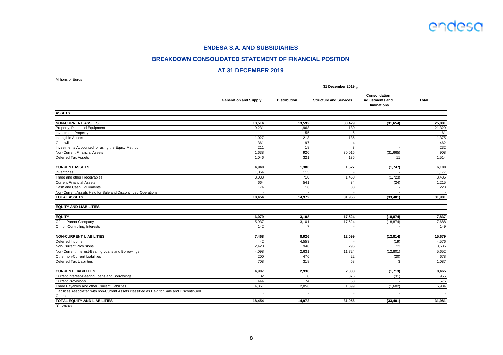

### **BREAKDOWN CONSOLIDATED STATEMENT OF FINANCIAL POSITION**

### **AT 31 DECEMBER 2019**

| Millions of Euros                                                                                         |                              |                          |                               |                                                         |              |  |  |  |  |
|-----------------------------------------------------------------------------------------------------------|------------------------------|--------------------------|-------------------------------|---------------------------------------------------------|--------------|--|--|--|--|
|                                                                                                           | 31 December 2019 (1)         |                          |                               |                                                         |              |  |  |  |  |
|                                                                                                           | <b>Generation and Supply</b> | <b>Distribution</b>      | <b>Structure and Services</b> | Consolidation<br>Adjustments and<br><b>Eliminations</b> | <b>Total</b> |  |  |  |  |
| <b>ASSETS</b>                                                                                             |                              |                          |                               |                                                         |              |  |  |  |  |
| <b>NON-CURRENT ASSETS</b>                                                                                 | 13,514                       | 13,592                   | 30,429                        | (31, 654)                                               | 25,881       |  |  |  |  |
| Property, Plant and Equipment                                                                             | 9,231                        | 11,968                   | 130                           |                                                         | 21,329       |  |  |  |  |
| <b>Investment Property</b>                                                                                | $\overline{\phantom{a}}$     | 55                       | 6                             | $\sim$                                                  | 61           |  |  |  |  |
| Intangible Assets                                                                                         | 1,027                        | 213                      | 135                           | $\overline{\phantom{a}}$                                | 1,375        |  |  |  |  |
| Goodwill                                                                                                  | 361                          | 97                       | $\overline{4}$                | $\overline{\phantom{a}}$                                | 462          |  |  |  |  |
| Investments Accounted for using the Equity Method                                                         | 211                          | 18                       | 3                             | $\overline{\phantom{a}}$                                | 232          |  |  |  |  |
| Non-Current Financial Assets                                                                              | 1,638                        | 920                      | 30,015                        | (31,665)                                                | 908          |  |  |  |  |
| Deferred Tax Assets                                                                                       | 1,046                        | 321                      | 136                           | 11                                                      | 1,514        |  |  |  |  |
| <b>CURRENT ASSETS</b>                                                                                     | 4,940                        | 1,380                    | 1,527                         | (1,747)                                                 | 6,100        |  |  |  |  |
| Inventories                                                                                               | 1,064                        | 113                      | $\sim$                        | $\sim$                                                  | 1,177        |  |  |  |  |
| Trade and other Receivables                                                                               | 3,038                        | 710                      | 1,460                         | (1,723)                                                 | 3,485        |  |  |  |  |
| <b>Current Financial Assets</b>                                                                           | 664                          | 541                      | 34                            | (24)                                                    | 1,215        |  |  |  |  |
| Cash and Cash Equivalents                                                                                 | 174                          | 16                       | 33                            | $\overline{\phantom{a}}$                                | 223          |  |  |  |  |
| Non-Current Assets Held for Sale and Discontinued Operations                                              | $\overline{\phantom{a}}$     | $\overline{\phantom{a}}$ | $\sim$                        | $\sim$                                                  |              |  |  |  |  |
| <b>TOTAL ASSETS</b>                                                                                       | 18,454                       | 14,972                   | 31,956                        | (33, 401)                                               | 31,981       |  |  |  |  |
| <b>EQUITY AND LIABILITIES</b>                                                                             |                              |                          |                               |                                                         |              |  |  |  |  |
| <b>EQUITY</b>                                                                                             | 6,079                        | 3,108                    | 17,524                        | (18, 874)                                               | 7,837        |  |  |  |  |
| Of the Parent Company                                                                                     | 5,937                        | 3,101                    | 17,524                        | (18, 874)                                               | 7,688        |  |  |  |  |
| Of non-Controlling Interests                                                                              | 142                          | $\overline{7}$           | $\blacksquare$                | $\overline{\phantom{a}}$                                | 149          |  |  |  |  |
| <b>NON-CURRENT LIABILITIES</b>                                                                            | 7,468                        | 8,926                    | 12,099                        | (12, 814)                                               | 15,679       |  |  |  |  |
| Deferred Income                                                                                           | 42                           | 4,553                    | $\overline{a}$                | (19)                                                    | 4,576        |  |  |  |  |
| Non-Current Provisions                                                                                    | 2,420                        | 948                      | 295                           | 23                                                      | 3,686        |  |  |  |  |
| Non-Current Interest-Bearing Loans and Borrowings                                                         | 4,098                        | 2,631                    | 11,724                        | (12, 801)                                               | 5,652        |  |  |  |  |
| Other non-Current Liabilities                                                                             | 200                          | 476                      | 22                            | (20)                                                    | 678          |  |  |  |  |
| <b>Deferred Tax Liabilities</b>                                                                           | 708                          | 318                      | 58                            | 3                                                       | 1,087        |  |  |  |  |
| <b>CURRENT LIABILITIES</b>                                                                                | 4,907                        | 2,938                    | 2,333                         | (1,713)                                                 | 8,465        |  |  |  |  |
| Current Interest-Bearing Loans and Borrowings                                                             | 102                          | 8                        | 876                           | (31)                                                    | 955          |  |  |  |  |
| <b>Current Provisions</b>                                                                                 | 444                          | 74                       | 58                            |                                                         | 576          |  |  |  |  |
| Trade Payables and other Current Liabilities                                                              | 4,361                        | 2,856                    | 1,399                         | (1,682)                                                 | 6,934        |  |  |  |  |
| Liabilities Associated with non-Current Assets classified as Held for Sale and Discontinued<br>Operations |                              |                          |                               |                                                         |              |  |  |  |  |
| <b>TOTAL EQUITY AND LIABILITIES</b>                                                                       | 18,454                       | 14,972                   | 31,956                        | (33, 401)                                               | 31,981       |  |  |  |  |
|                                                                                                           |                              |                          |                               |                                                         |              |  |  |  |  |

(1) Audited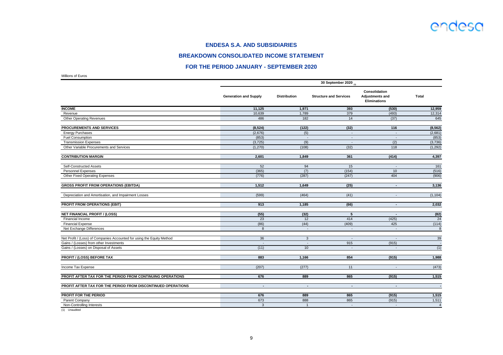

### **BREAKDOWN CONSOLIDATED INCOME STATEMENT**

### **FOR THE PERIOD JANUARY - SEPTEMBER 2020**

Millions of Euros

|                                                                        | 30 September 2020 $_{(1)}$   |                          |                               |                                                                |                |  |  |  |  |
|------------------------------------------------------------------------|------------------------------|--------------------------|-------------------------------|----------------------------------------------------------------|----------------|--|--|--|--|
|                                                                        | <b>Generation and Supply</b> | <b>Distribution</b>      | <b>Structure and Services</b> | Consolidation<br><b>Adjustments and</b><br><b>Eliminations</b> | <b>Total</b>   |  |  |  |  |
| <b>INCOME</b>                                                          | 11,125                       | 1,971                    | 393                           | (530)                                                          | 12,959         |  |  |  |  |
| Revenue                                                                | 10,639                       | 1,789                    | 379                           | (493)                                                          | 12,314         |  |  |  |  |
| <b>Other Operating Revenues</b>                                        | 486                          | 182                      | 14                            | (37)                                                           | 645            |  |  |  |  |
| <b>PROCUREMENTS AND SERVICES</b>                                       | (8, 524)                     | (122)                    | (32)                          | 116                                                            | (8, 562)       |  |  |  |  |
| <b>Energy Purchases</b>                                                | (2,676)                      | $\overline{(5)}$         | $\sim$                        | $\overline{a}$                                                 | (2,681)        |  |  |  |  |
| <b>Fuel Consumption</b>                                                | (853)                        | $\overline{\phantom{a}}$ | $\sim$                        | $\overline{\phantom{a}}$                                       | (853)          |  |  |  |  |
| <b>Transmission Expenses</b>                                           | (3, 725)                     | (9)                      | $\sim$                        | (2)                                                            | (3,736)        |  |  |  |  |
| Other Variable Procurements and Services                               | (1, 270)                     | (108)                    | (32)                          | 118                                                            | (1, 292)       |  |  |  |  |
| <b>CONTRIBUTION MARGIN</b>                                             | 2,601                        | 1,849                    | 361                           | (414)                                                          | 4,397          |  |  |  |  |
| <b>Self-Constructed Assets</b>                                         | 52                           | 94                       | 15                            | $\sim$                                                         | 161            |  |  |  |  |
| <b>Personnel Expenses</b>                                              | (365)                        | (7)                      | (154)                         | 10                                                             | (516)          |  |  |  |  |
| <b>Other Fixed Operating Expenses</b>                                  | (776)                        | (287)                    | (247)                         | 404                                                            | (906)          |  |  |  |  |
| <b>GROSS PROFIT FROM OPERATIONS (EBITDA)</b>                           | 1,512                        | 1,649                    | (25)                          | $\sim$                                                         | 3,136          |  |  |  |  |
| Depreciation and Amortisation, and Impairment Losses                   | (599)                        | (464)                    | (41)                          | $\blacksquare$                                                 | (1, 104)       |  |  |  |  |
| <b>PROFIT FROM OPERATIONS (EBIT)</b>                                   | 913                          | 1,185                    | (66)                          | $\sim$                                                         | 2,032          |  |  |  |  |
| <b>NET FINANCIAL PROFIT / (LOSS)</b>                                   | (55)                         | (32)                     | $5\phantom{.0}$               | $\sim$                                                         | (82)           |  |  |  |  |
| Financial Income                                                       | 23                           | 12                       | 414                           | (425)                                                          | 24             |  |  |  |  |
| <b>Financial Expense</b>                                               | (86)                         | (44)                     | (409)                         | 425                                                            | (114)          |  |  |  |  |
| Net Exchange Differences                                               | 8                            | $\blacksquare$           | $\sim$                        | $\overline{\phantom{a}}$                                       | 8              |  |  |  |  |
| Net Profit / (Loss) of Companies Accounted for using the Equity Method | 36                           | $\mathbf{3}$             | $\overline{\phantom{a}}$      | $\overline{a}$                                                 | 39             |  |  |  |  |
| Gains / (Losses) from other Investments                                | $\sim$                       | $\overline{\phantom{a}}$ | 915                           | (915)                                                          | $\sim$         |  |  |  |  |
| Gains / (Losses) on Disposal of Assets                                 | (11)                         | 10 <sup>1</sup>          | $\overline{\phantom{a}}$      | $\overline{\phantom{a}}$                                       | (1)            |  |  |  |  |
| <b>PROFIT / (LOSS) BEFORE TAX</b>                                      | 883                          | 1,166                    | 854                           | (915)                                                          | 1,988          |  |  |  |  |
| Income Tax Expense                                                     | (207)                        | (277)                    | 11                            | $\overline{\phantom{a}}$                                       | (473)          |  |  |  |  |
| PROFIT AFTER TAX FOR THE PERIOD FROM CONTINUING OPERATIONS             | 676                          | 889                      | 865                           | (915)                                                          | 1,515          |  |  |  |  |
| PROFIT AFTER TAX FOR THE PERIOD FROM DISCONTINUED OPERATIONS           | $\sim$                       | $\sim$                   | $\sim$                        | $\sim$                                                         |                |  |  |  |  |
| PROFIT FOR THE PERIOD                                                  | 676                          | 889                      | 865                           | (915)                                                          | 1,515          |  |  |  |  |
| Parent Company                                                         | 673                          | 888                      | 865                           | (915)                                                          | 1,511          |  |  |  |  |
| Non-Controlling Interests                                              | $\mathbf{3}$                 | $\overline{1}$           | $\sim$                        | $\mathbf{r}$                                                   | $\overline{4}$ |  |  |  |  |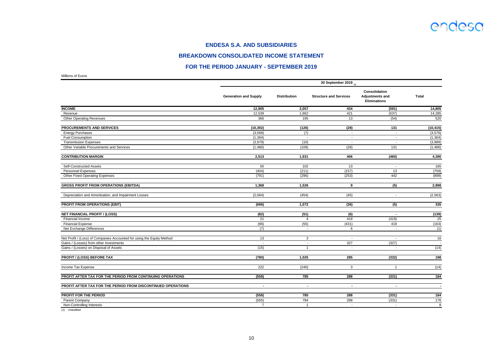

### **BREAKDOWN CONSOLIDATED INCOME STATEMENT**

### **FOR THE PERIOD JANUARY - SEPTEMBER 2019**

Millions of Euros

|                                                                        | 30 September 2019 (1)        |                     |                               |                                                                |                  |  |  |  |  |
|------------------------------------------------------------------------|------------------------------|---------------------|-------------------------------|----------------------------------------------------------------|------------------|--|--|--|--|
|                                                                        | <b>Generation and Supply</b> | <b>Distribution</b> | <b>Structure and Services</b> | <b>Consolidation</b><br>Adjustments and<br><b>Eliminations</b> | <b>Total</b>     |  |  |  |  |
| <b>INCOME</b>                                                          | 12,905                       | 2,057               | 434                           | (591)                                                          | 14,805           |  |  |  |  |
| Revenue                                                                | 12,539                       | 1,862               | 421                           | (537)                                                          | 14,285           |  |  |  |  |
| <b>Other Operating Revenues</b>                                        | 366                          | 195                 | 13                            | (54)                                                           | 520              |  |  |  |  |
| PROCUREMENTS AND SERVICES                                              | (10, 392)                    | (126)               | (28)                          | 131                                                            | (10, 415)        |  |  |  |  |
| <b>Energy Purchases</b>                                                | (3, 569)                     | (7)                 | $\sim$                        | $\overline{\phantom{a}}$                                       | (3, 576)         |  |  |  |  |
| <b>Fuel Consumption</b>                                                | (1, 364)                     |                     | $\overline{\phantom{a}}$      | $\blacksquare$                                                 | (1, 364)         |  |  |  |  |
| <b>Transmission Expenses</b>                                           | (3,979)                      | (10)                | $\blacksquare$                | $\tilde{\phantom{a}}$                                          | (3,989)          |  |  |  |  |
| Other Variable Procurements and Services                               | (1,480)                      | (109)               | (28)                          | 131                                                            | (1,486)          |  |  |  |  |
| <b>CONTRIBUTION MARGIN</b>                                             | 2,513                        | 1,931               | 406                           | (460)                                                          | 4,390            |  |  |  |  |
| <b>Self-Constructed Assets</b>                                         | 50                           | 102                 | 13                            | $\overline{\phantom{a}}$                                       | 165              |  |  |  |  |
| <b>Personnel Expenses</b>                                              | (404)                        | (211)               | (157)                         | 13                                                             | (759)            |  |  |  |  |
| <b>Other Fixed Operating Expenses</b>                                  | (791)                        | (296)               | (253)                         | 442                                                            | (898)            |  |  |  |  |
| <b>GROSS PROFIT FROM OPERATIONS (EBITDA)</b>                           | 1,368                        | 1,526               | 9                             | $\overline{(5)}$                                               | 2,898            |  |  |  |  |
| Depreciation and Amortisation, and Impairment Losses                   | (2,064)                      | (454)               | (45)                          | $\overline{\phantom{a}}$                                       | (2, 563)         |  |  |  |  |
| PROFIT FROM OPERATIONS (EBIT)                                          | (696)                        | 1.072               | (36)                          | (5)                                                            | 335              |  |  |  |  |
| <b>NET FINANCIAL PROFIT / (LOSS)</b>                                   | (82)                         | (51)                | $\overline{(6)}$              | $\sim$                                                         | (139)            |  |  |  |  |
| Financial Income                                                       | 21                           | $\overline{4}$      | 419                           | (419)                                                          | 25               |  |  |  |  |
| <b>Financial Expense</b>                                               | (96)                         | (55)                | (431)                         | 419                                                            | (163)            |  |  |  |  |
| Net Exchange Differences                                               | (7)                          | $\mathbf{r}$        | 6                             | $\sim$                                                         | (1)              |  |  |  |  |
| Net Profit / (Loss) of Companies Accounted for using the Equity Method | 13                           | 3                   | $\overline{\phantom{a}}$      | $\overline{\phantom{a}}$                                       | 16               |  |  |  |  |
| Gains / (Losses) from other Investments                                | $\sim$                       | $\mathbf{r}$        | 327                           | (327)                                                          | $\sim$ $-$       |  |  |  |  |
| Gains / (Losses) on Disposal of Assets                                 | (15)                         | $\mathbf{1}$        | $\sim$                        | $\overline{a}$                                                 | (14)             |  |  |  |  |
| <b>PROFIT / (LOSS) BEFORE TAX</b>                                      | (780)                        | 1,025               | 285                           | (332)                                                          | 198              |  |  |  |  |
| Income Tax Expense                                                     | 222                          | (240)               | 3                             | $\overline{1}$                                                 | (14)             |  |  |  |  |
| PROFIT AFTER TAX FOR THE PERIOD FROM CONTINUING OPERATIONS             | (558)                        | 785                 | 288                           | (331)                                                          | $\overline{184}$ |  |  |  |  |
| PROFIT AFTER TAX FOR THE PERIOD FROM DISCONTINUED OPERATIONS           | $\sim$                       | $\sim$              | $\sim$                        | $\sim$                                                         | $\sim$           |  |  |  |  |
| <b>PROFIT FOR THE PERIOD</b>                                           | (558)                        | 785                 | 288                           | (331)                                                          | $\frac{1}{184}$  |  |  |  |  |
| Parent Company                                                         | (565)                        | 784                 | 288                           | (331)                                                          | 176              |  |  |  |  |
| Non-Controlling Interests                                              | $\overline{7}$               | $\mathbf{1}$        | $\sim$                        | $\overline{\phantom{a}}$                                       | 8                |  |  |  |  |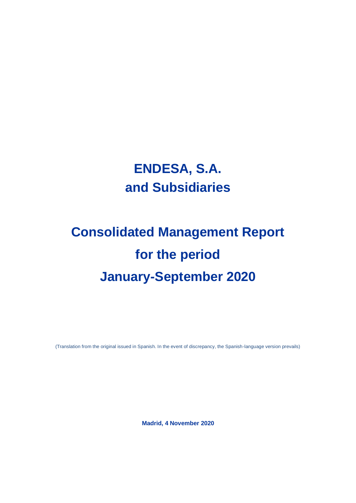## **ENDESA, S.A. and Subsidiaries**

# **Consolidated Management Report for the period January-September 2020**

(Translation from the original issued in Spanish. In the event of discrepancy, the Spanish-language version prevails)

**Madrid, 4 November 2020**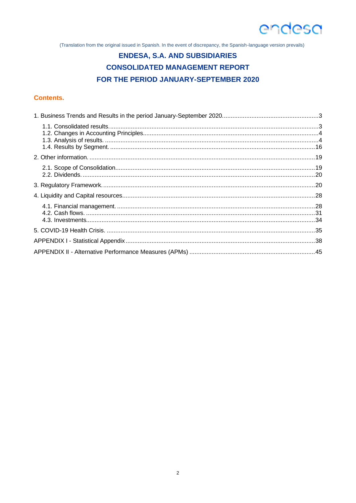(Translation from the original issued in Spanish. In the event of discrepancy, the Spanish-language version prevails)

## **ENDESA, S.A. AND SUBSIDIARIES CONSOLIDATED MANAGEMENT REPORT** FOR THE PERIOD JANUARY-SEPTEMBER 2020

### **Contents.**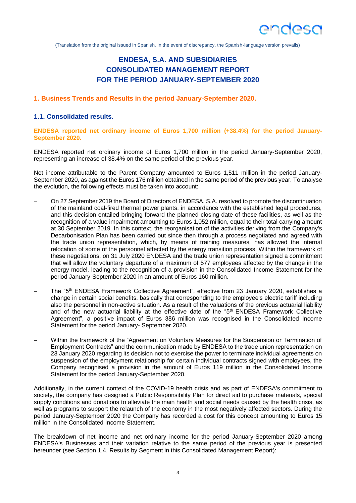

(Translation from the original issued in Spanish. In the event of discrepancy, the Spanish-language version prevails)

## **ENDESA, S.A. AND SUBSIDIARIES CONSOLIDATED MANAGEMENT REPORT FOR THE PERIOD JANUARY-SEPTEMBER 2020**

#### **1. Business Trends and Results in the period January-September 2020.**

### **1.1. Consolidated results.**

**ENDESA reported net ordinary income of Euros 1,700 million (+38.4%) for the period January-September 2020.**

ENDESA reported net ordinary income of Euros 1,700 million in the period January-September 2020, representing an increase of 38.4% on the same period of the previous year.

Net income attributable to the Parent Company amounted to Euros 1,511 million in the period January-September 2020, as against the Euros 176 million obtained in the same period of the previous year. To analyse the evolution, the following effects must be taken into account:

- On 27 September 2019 the Board of Directors of ENDESA, S.A. resolved to promote the discontinuation of the mainland coal-fired thermal power plants, in accordance with the established legal procedures, and this decision entailed bringing forward the planned closing date of these facilities, as well as the recognition of a value impairment amounting to Euros 1,052 million, equal to their total carrying amount at 30 September 2019. In this context, the reorganisation of the activities deriving from the Company's Decarbonisation Plan has been carried out since then through a process negotiated and agreed with the trade union representation, which, by means of training measures, has allowed the internal relocation of some of the personnel affected by the energy transition process. Within the framework of these negotiations, on 31 July 2020 ENDESA and the trade union representation signed a commitment that will allow the voluntary departure of a maximum of 577 employees affected by the change in the energy model, leading to the recognition of a provision in the Consolidated Income Statement for the period January-September 2020 in an amount of Euros 160 million.
- The "5<sup>th</sup> ENDESA Framework Collective Agreement", effective from 23 January 2020, establishes a change in certain social benefits, basically that corresponding to the employee's electric tariff including also the personnel in non-active situation. As a result of the valuations of the previous actuarial liability and of the new actuarial liability at the effective date of the "5<sup>th</sup> ENDESA Framework Collective Agreement", a positive impact of Euros 386 million was recognised in the Consolidated Income Statement for the period January- September 2020.
- Within the framework of the "Agreement on Voluntary Measures for the Suspension or Termination of Employment Contracts" and the communication made by ENDESA to the trade union representation on 23 January 2020 regarding its decision not to exercise the power to terminate individual agreements on suspension of the employment relationship for certain individual contracts signed with employees, the Company recognised a provision in the amount of Euros 119 million in the Consolidated Income Statement for the period January-September 2020.

Additionally, in the current context of the COVID-19 health crisis and as part of ENDESA's commitment to society, the company has designed a Public Responsibility Plan for direct aid to purchase materials, special supply conditions and donations to alleviate the main health and social needs caused by the health crisis, as well as programs to support the relaunch of the economy in the most negatively affected sectors. During the period January-September 2020 the Company has recorded a cost for this concept amounting to Euros 15 million in the Consolidated Income Statement.

The breakdown of net income and net ordinary income for the period January-September 2020 among ENDESA's Businesses and their variation relative to the same period of the previous year is presented hereunder (see Section 1.4. Results by Segment in this Consolidated Management Report):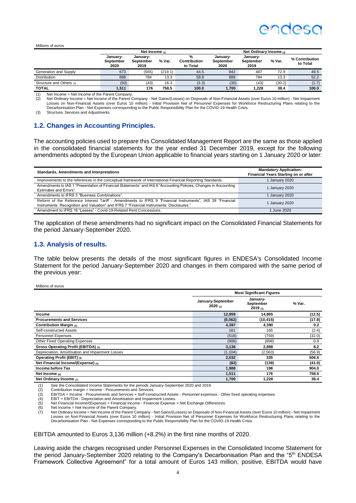## endesc

#### Millions of euros

|                          | Net Income (1)                |                               |         |                               |                               |                               |        |                            |
|--------------------------|-------------------------------|-------------------------------|---------|-------------------------------|-------------------------------|-------------------------------|--------|----------------------------|
|                          | Januarv-<br>September<br>2020 | January-<br>September<br>2019 | % Var.  | %<br>Contribution<br>to Total | January-<br>September<br>2020 | January-<br>September<br>2019 | % Var. | % Contribution<br>to Total |
| Generation and Supply    | 673                           | (565)                         | (219.1) | 44.5                          | 842                           | 487                           | 72.9   | 49.5                       |
| <b>Distribution</b>      | 888                           | 784                           | 13.3    | 58.8                          | 888                           | 784                           | 13.3   | 52.2                       |
| Structure and Others (3) | (50)                          | (43)                          | 16.3    | (3.3)                         | (30)                          | (43)                          | (30.2) | (1.7)                      |
| <b>TOTAL</b>             | 1,511                         | 176                           | 758.5   | 100.0                         | 1.700                         | 1.228                         | 38.4   | 100.0                      |

(1) Net Income = Net Income of the Parent Company.<br>
(2) Net Ordinary Income = Net Income of the Parent (

Net Ordinary Income = Net Income of the Parent Company - Net Gains/(Losses) on Disposals of Non-Financial Assets (over Euros 10 million) - Net Impairment Losses on Non-Financial Assets (over Euros 10 million) - Initial Provision Net of Personnel Expenses for Workforce Restructuring Plans relating to the Decarbonisation Plan - Net Expenses corresponding to the Public Responsibility Plan for the COVID-19 Health Crisis.

Structure, Services and Adjustments.

### **1.2. Changes in Accounting Principles.**

The accounting policies used to prepare this Consolidated Management Report are the same as those applied in the consolidated financial statements for the year ended 31 December 2019, except for the following amendments adopted by the European Union applicable to financial years starting on 1 January 2020 or later:

| Standards, Amendments and Interpretations                                                                                                                                                             | <b>Mandatory Application:</b><br>Financial Years Starting on or after |
|-------------------------------------------------------------------------------------------------------------------------------------------------------------------------------------------------------|-----------------------------------------------------------------------|
| Improvements to the references in the conceptual framework of International Financial Reporting Standards.                                                                                            | 1 January 2020                                                        |
| Amendments to IAS 1 "Presentation of Financial Statements" and IAS 8 "Accounting Policies, Changes in Accounting<br>Estimates and Errors".                                                            | 1 January 2020                                                        |
| Amendments to IFRS 3 "Business Combinations".                                                                                                                                                         | 1 January 2020                                                        |
| Reform of the Reference Interest Tariff - Amendments to IFRS 9 "Financial Instruments". IAS 39 "Financial<br>Instruments: Recognition and Valuation" and IFRS 7 "Financial Instruments: Disclosures." | 1 January 2020                                                        |
| Amendment to IFRS 16 "Leases" - Covid-19-Related Rent Concessions.                                                                                                                                    | Uune 2020                                                             |

The application of these amendments had no significant impact on the Consolidated Financial Statements for the period January-September 2020.

#### **1.3. Analysis of results.**

The table below presents the details of the most significant figures in ENDESA's Consolidated Income Statement for the period January-September 2020 and changes in them compared with the same period of the previous year:

Millions of euros

|                                                  | <b>Most Significant Figures</b> |                                  |        |  |
|--------------------------------------------------|---------------------------------|----------------------------------|--------|--|
|                                                  | January-September<br>2020(1)    | January-<br>September<br>2019(1) | % Var. |  |
| Income                                           | 12,959                          | 14,805                           | (12.5) |  |
| <b>Procurements and Services</b>                 | (8, 562)                        | (10, 415)                        | (17.8) |  |
| Contribution Margin (2)                          | 4,397                           | 4,390                            | 0.2    |  |
| Self-constructed Assets                          | 161                             | 165                              | (2.4)  |  |
| Personnel Expenses                               | (516)                           | (759)                            | (32.0) |  |
| <b>Other Fixed Operating Expenses</b>            | (906)                           | (898)                            | 0.9    |  |
| Gross Operating Profit (EBITDA) (3)              | 3,136                           | 2,898                            | 8.2    |  |
| Depreciation, Amortisation and Impairment Losses | (1, 104)                        | (2, 563)                         | (56.9) |  |
| Operating Profit (EBIT) (4)                      | 2,032                           | 335                              | 506.6  |  |
| Net Financial Income/(Expense) (5)               | (82)                            | (139)                            | (41.0) |  |
| Income before Tax                                | 1,988                           | 198                              | 904.0  |  |
| Net Income $(6)$                                 | 1,511                           | 176                              | 758.5  |  |
| Net Ordinary Income $(7)$                        | 1,700                           | 1,228                            | 38.4   |  |

(1) See the Consolidated Income Statements for the periods January-September 2020 and 2019.

EBIT = EBITDA - Depreciation and Amortisation and Impairment Losses.

(5) Net Financial Income/(Expense) = Financial Income - Financial Expense + Net Exchange Differences.

Net Income = Net Income of the Parent Company. Net Ordinary Income = Net Income of the Parent Company - Net Gains/(Losses) on Disposals of Non-Financial Assets (over Euros 10 million) - Net Impairment

Losses on Non-Financial Assets (over Euros 10 million) - Initial Provision Net of Personnel Expenses for Workforce Restructuring Plans relating to the Decarbonisation Plan - Net Expenses corresponding to the Public Responsibility Plan for the COVID-19 Health Crisis.

EBITDA amounted to Euros 3,136 million (+8.2%) in the first nine months of 2020.

Leaving aside the charges recognised under Personnel Expenses in the Consolidated Income Statement for the period January-September 2020 relating to the Company's Decarbonisation Plan and the "5<sup>th</sup> ENDESA Framework Collective Agreement" for a total amount of Euros 143 million, positive, EBITDA would have

<sup>(2)</sup> Contribution margin = Income - Procurements and Services.<br>
(3) EBITDA = Income - Procurements and Services + Self-cons<br>
(4) EBIT = EBITDA - Depreciation and Amortisation and Impair<br>
(5) Net lincome = Net Income of the (3) EBITDA = Income - Procurements and Services + Self-constructed Assets - Personnel expenses - Other fixed operating expenses.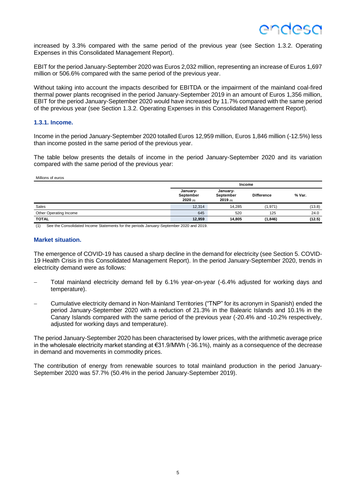increased by 3.3% compared with the same period of the previous year (see Section 1.3.2. Operating Expenses in this Consolidated Management Report).

EBIT for the period January-September 2020 was Euros 2,032 million, representing an increase of Euros 1,697 million or 506.6% compared with the same period of the previous year.

Without taking into account the impacts described for EBITDA or the impairment of the mainland coal-fired thermal power plants recognised in the period January-September 2019 in an amount of Euros 1,356 million, EBIT for the period January-September 2020 would have increased by 11.7% compared with the same period of the previous year (see Section 1.3.2. Operating Expenses in this Consolidated Management Report).

#### **1.3.1. Income.**

Income in the period January-September 2020 totalled Euros 12,959 million, Euros 1,846 million (-12.5%) less than income posted in the same period of the previous year.

The table below presents the details of income in the period January-September 2020 and its variation compared with the same period of the previous year:

#### Millions of euros

|                        | Income                           |                                  |                   |        |
|------------------------|----------------------------------|----------------------------------|-------------------|--------|
|                        | January-<br>September<br>2020(1) | January-<br>September<br>2019(n) | <b>Difference</b> | % Var. |
| Sales                  | 12,314                           | 14.285                           | (1,971)           | (13.8) |
| Other Operating Income | 645                              | 520                              | 125               | 24.0   |
| <b>TOTAL</b>           | 12,959                           | 14,805                           | (1, 846)          | (12.5) |

(1) See the Consolidated Income Statements for the periods January-September 2020 and 2019.

#### **Market situation.**

The emergence of COVID-19 has caused a sharp decline in the demand for electricity (see Section 5. COVID-19 Health Crisis in this Consolidated Management Report). In the period January-September 2020, trends in electricity demand were as follows:

- − Total mainland electricity demand fell by 6.1% year-on-year (-6.4% adjusted for working days and temperature).
- − Cumulative electricity demand in Non-Mainland Territories ("TNP" for its acronym in Spanish) ended the period January-September 2020 with a reduction of 21.3% in the Balearic Islands and 10.1% in the Canary Islands compared with the same period of the previous year (-20.4% and -10.2% respectively, adjusted for working days and temperature).

The period January-September 2020 has been characterised by lower prices, with the arithmetic average price in the wholesale electricity market standing at €31.9/MWh (-36.1%), mainly as a consequence of the decrease in demand and movements in commodity prices.

The contribution of energy from renewable sources to total mainland production in the period January-September 2020 was 57.7% (50.4% in the period January-September 2019).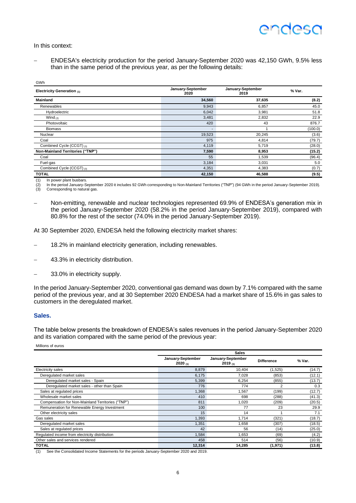In this context:

 $\bigcap_{n=1}^{\infty}$ 

− ENDESA's electricity production for the period January-September 2020 was 42,150 GWh, 9.5% less than in the same period of the previous year, as per the following details:

| ۱۱۷۷ ت                           |                           |                           |         |
|----------------------------------|---------------------------|---------------------------|---------|
| Electricity Generation (1)       | January-September<br>2020 | January-September<br>2019 | % Var.  |
| <b>Mainland</b>                  | 34,560                    | 37,635                    | (8.2)   |
| Renewables                       | 9,943                     | 6,857                     | 45.0    |
| Hydroelectric                    | 6,042                     | 3,981                     | 51.8    |
| Wind $(2)$                       | 3,481                     | 2,832                     | 22.9    |
| Photovoltaic                     | 420                       | 43                        | 876.7   |
| <b>Biomass</b>                   | $\sim$                    |                           | (100.0) |
| Nuclear                          | 19,523                    | 20,245                    | (3.6)   |
| Coal                             | 975                       | 4,814                     | (79.7)  |
| Combined Cycle (CCGT) (3)        | 4,119                     | 5,719                     | (28.0)  |
| Non-Mainland Territories ("TNP") | 7,590                     | 8,953                     | (15.2)  |
| Coal                             | 55                        | 1,539                     | (96.4)  |
| Fuel-gas                         | 3,184                     | 3,031                     | 5.0     |
| Combined Cycle (CCGT) (3)        | 4,351                     | 4,383                     | (0.7)   |
| <b>TOTAL</b>                     | 42,150                    | 46,588                    | (9.5)   |

(1) In power plant busbars.<br>
(2) In the period January-S<br>
(3) Corresponding to nature In the period January-September 2020 it includes 92 GWh corresponding to Non-Mainland Territories ("TNP") (94 GWh in the period January-September 2019). Corresponding to natural gas.

Non-emitting, renewable and nuclear technologies represented 69.9% of ENDESA's generation mix in the period January-September 2020 (58.2% in the period January-September 2019), compared with 80.8% for the rest of the sector (74.0% in the period January-September 2019).

At 30 September 2020, ENDESA held the following electricity market shares:

- 18.2% in mainland electricity generation, including renewables.
- 43.3% in electricity distribution.
- 33.0% in electricity supply.

In the period January-September 2020, conventional gas demand was down by 7.1% compared with the same period of the previous year, and at 30 September 2020 ENDESA had a market share of 15.6% in gas sales to customers in the deregulated market.

#### **Sales.**

The table below presents the breakdown of ENDESA's sales revenues in the period January-September 2020 and its variation compared with the same period of the previous year:

Millions of euros

|                                                   | <b>Sales</b>                 |                              |                   |        |  |
|---------------------------------------------------|------------------------------|------------------------------|-------------------|--------|--|
|                                                   | January-September<br>2020(1) | January-September<br>2019(1) | <b>Difference</b> | % Var. |  |
| <b>Electricity sales</b>                          | 8,879                        | 10.404                       | (1,525)           | (14.7) |  |
| Deregulated market sales                          | 6,175                        | 7,028                        | (853)             | (12.1) |  |
| Deregulated market sales - Spain                  | 5,399                        | 6,254                        | (855)             | (13.7) |  |
| Deregulated market sales - other than Spain       | 776                          | 774                          | 2                 | 0.3    |  |
| Sales at regulated prices                         | 1,368                        | 1,567                        | (199)             | (12.7) |  |
| Wholesale market sales                            | 410                          | 698                          | (288)             | (41.3) |  |
| Compensation for Non-Mainland Territories ("TNP") | 811                          | 1,020                        | (209)             | (20.5) |  |
| Remuneration for Renewable Energy Investment      | 100                          | 77                           | 23                | 29.9   |  |
| Other electricity sales                           | 15                           | 14                           |                   | 7.1    |  |
| Gas sales                                         | 1,393                        | 1.714                        | (321)             | (18.7) |  |
| Deregulated market sales                          | 1,351                        | 1.658                        | (307)             | (18.5) |  |
| Sales at regulated prices                         | 42                           | 56                           | (14)              | (25.0) |  |
| Regulated income from electricity distribution    | 1,584                        | 1.653                        | (69)              | (4.2)  |  |
| Other sales and services rendered                 | 458                          | 514                          | (56)              | (10.9) |  |
| <b>TOTAL</b>                                      | 12,314                       | 14,285                       | (1, 971)          | (13.8) |  |

(1) See the Consolidated Income Statements for the periods January-September 2020 and 2019.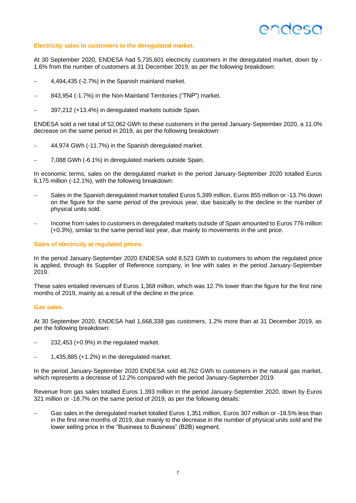## **ANNASC**

#### **Electricity sales to customers in the deregulated market.**

At 30 September 2020, ENDESA had 5,735,601 electricity customers in the deregulated market, down by - 1.6% from the number of customers at 31 December 2019, as per the following breakdown:

- − 4,494,435 (-2.7%) in the Spanish mainland market.
- − 843,954 (-1.7%) in the Non-Mainland Territories ("TNP") market.
- − 397,212 (+13.4%) in deregulated markets outside Spain.

ENDESA sold a net total of 52,062 GWh to these customers in the period January-September 2020, a 11.0% decrease on the same period in 2019, as per the following breakdown:

- − 44,974 GWh (-11.7%) in the Spanish deregulated market.
- − 7,088 GWh (-6.1%) in deregulated markets outside Spain.

In economic terms, sales on the deregulated market in the period January-September 2020 totalled Euros 6,175 million (-12.1%), with the following breakdown:

- − Sales in the Spanish deregulated market totalled Euros 5,399 million, Euros 855 million or -13.7% down on the figure for the same period of the previous year, due basically to the decline in the number of physical units sold.
- Income from sales to customers in deregulated markets outside of Spain amounted to Euros 776 million (+0.3%), similar to the same period last year, due mainly to movements in the unit price.

#### **Sales of electricity at regulated prices.**

In the period January-September 2020 ENDESA sold 8,523 GWh to customers to whom the regulated price is applied, through its Supplier of Reference company, in line with sales in the period January-September 2019.

These sales entailed revenues of Euros 1,368 million, which was 12.7% lower than the figure for the first nine months of 2019, mainly as a result of the decline in the price.

#### **Gas sales.**

At 30 September 2020, ENDESA had 1,668,338 gas customers, 1.2% more than at 31 December 2019, as per the following breakdown:

- − 232,453 (+0.9%) in the regulated market.
- − 1,435,885 (+1.2%) in the deregulated market.

In the period January-September 2020 ENDESA sold 48,762 GWh to customers in the natural gas market, which represents a decrease of 12.2% compared with the period January-September 2019.

Revenue from gas sales totalled Euros 1.393 million in the period January-September 2020, down by Euros 321 million or -18.7% on the same period of 2019, as per the following details:

Gas sales in the deregulated market totalled Euros 1,351 million, Euros 307 million or -18.5% less than in the first nine months of 2019, due mainly to the decrease in the number of physical units sold and the lower selling price in the "Business to Business" (B2B) segment.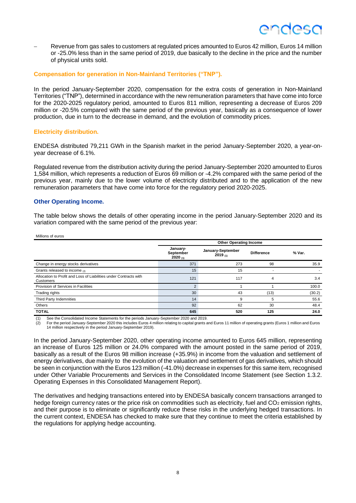## ANNASC

− Revenue from gas sales to customers at regulated prices amounted to Euros 42 million, Euros 14 million or -25.0% less than in the same period of 2019, due basically to the decline in the price and the number of physical units sold.

#### **Compensation for generation in Non-Mainland Territories ("TNP").**

In the period January-September 2020, compensation for the extra costs of generation in Non-Mainland Territories ("TNP"), determined in accordance with the new remuneration parameters that have come into force for the 2020-2025 regulatory period, amounted to Euros 811 million, representing a decrease of Euros 209 million or -20.5% compared with the same period of the previous year, basically as a consequence of lower production, due in turn to the decrease in demand, and the evolution of commodity prices.

#### **Electricity distribution.**

ENDESA distributed 79,211 GWh in the Spanish market in the period January-September 2020, a year-onyear decrease of 6.1%.

Regulated revenue from the distribution activity during the period January-September 2020 amounted to Euros 1,584 million, which represents a reduction of Euros 69 million or -4.2% compared with the same period of the previous year, mainly due to the lower volume of electricity distributed and to the application of the new remuneration parameters that have come into force for the regulatory period 2020-2025.

#### **Other Operating Income.**

The table below shows the details of other operating income in the period January-September 2020 and its variation compared with the same period of the previous year:

| Millions of euros                                                              |                                       |                               |                   |        |
|--------------------------------------------------------------------------------|---------------------------------------|-------------------------------|-------------------|--------|
|                                                                                |                                       | <b>Other Operating Income</b> |                   |        |
|                                                                                | January-<br>September<br>$2020_{(1)}$ | January-September<br>2019(1)  | <b>Difference</b> | % Var. |
| Change in energy stocks derivatives                                            | 371                                   | 273                           | 98                | 35.9   |
| Grants released to income (2)                                                  | 15                                    | 15                            |                   |        |
| Allocation to Profit and Loss of Liabilities under Contracts with<br>Customers | 121                                   | 117                           | 4                 | 3.4    |
| Provision of Services in Facilities                                            | $\mathcal{P}$                         |                               |                   | 100.0  |
| Trading rights                                                                 | 30                                    | 43                            | (13)              | (30.2) |
| Third Party Indemnities                                                        | 14                                    | 9                             | 5                 | 55.6   |
| Others                                                                         | 92                                    | 62                            | 30                | 48.4   |
| <b>TOTAL</b>                                                                   | 645                                   | 520                           | 125               | 24.0   |

(1) See the Consolidated Income Statements for the periods January-September 2020 and 2019.

(2) For the period January-September 2020 this includes Euros 4 million relating to capital grants and Euros 11 million of operating grants (Euros 1 million and Euros 14 million respectively in the period January-September 2019).

In the period January-September 2020, other operating income amounted to Euros 645 million, representing an increase of Euros 125 million or 24.0% compared with the amount posted in the same period of 2019, basically as a result of the Euros 98 million increase (+35.9%) in income from the valuation and settlement of energy derivatives, due mainly to the evolution of the valuation and settlement of gas derivatives, which should be seen in conjunction with the Euros 123 million (-41.0%) decrease in expenses for this same item, recognised under Other Variable Procurements and Services in the Consolidated Income Statement (see Section 1.3.2. Operating Expenses in this Consolidated Management Report).

The derivatives and hedging transactions entered into by ENDESA basically concern transactions arranged to hedge foreign currency rates or the price risk on commodities such as electricity, fuel and  $CO<sub>2</sub>$  emission rights, and their purpose is to eliminate or significantly reduce these risks in the underlying hedged transactions. In the current context, ENDESA has checked to make sure that they continue to meet the criteria established by the regulations for applying hedge accounting.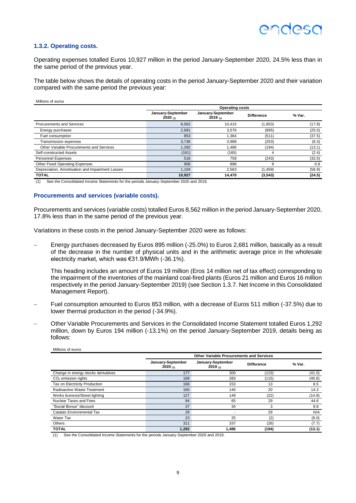#### **1.3.2. Operating costs.**

Operating expenses totalled Euros 10,927 million in the period January-September 2020, 24.5% less than in the same period of the previous year.

The table below shows the details of operating costs in the period January-September 2020 and their variation compared with the same period the previous year:

| Millions of euros |  |
|-------------------|--|
|                   |  |

|                                                  | <b>Operating costs</b>       |                              |                   |        |  |
|--------------------------------------------------|------------------------------|------------------------------|-------------------|--------|--|
|                                                  | January-September<br>2020(n) | January-September<br>2019(1) | <b>Difference</b> | % Var. |  |
| Procurements and Services                        | 8,562                        | 10.415                       | (1, 853)          | (17.8) |  |
| Energy purchases                                 | 2.681                        | 3.576                        | (895)             | (25.0) |  |
| Fuel consumption                                 | 853                          | 1.364                        | (511)             | (37.5) |  |
| Transmission expenses                            | 3.736                        | 3,989                        | (253)             | (6.3)  |  |
| Other Variable Procurements and Services         | 1,292                        | 1.486                        | (194)             | (13.1) |  |
| Self-constructed Assets                          | (161)                        | (165)                        | 4                 | (2.4)  |  |
| <b>Personnel Expenses</b>                        | 516                          | 759                          | (243)             | (32.0) |  |
| Other Fixed Operating Expenses                   | 906                          | 898                          | 8                 | 0.9    |  |
| Depreciation, Amortisation and Impairment Losses | 1.104                        | 2,563                        | (1, 459)          | (56.9) |  |
| <b>TOTAL</b>                                     | 10,927                       | 14.470                       | (3, 543)          | (24.5) |  |

(1) See the Consolidated Income Statements for the periods January-September 2020 and 2019.

#### **Procurements and services (variable costs).**

Procurements and services (variable costs) totalled Euros 8,562 million in the period January-September 2020, 17.8% less than in the same period of the previous year.

Variations in these costs in the period January-September 2020 were as follows:

Energy purchases decreased by Euros 895 million (-25.0%) to Euros 2,681 million, basically as a result of the decrease in the number of physical units and in the arithmetic average price in the wholesale electricity market, which was €31.9/MWh (-36.1%).

This heading includes an amount of Euros 19 million (Eros 14 million net of tax effect) corresponding to the impairment of the inventories of the mainland coal-fired plants (Euros 21 million and Euros 16 million respectively in the period January-September 2019) (see Section 1.3.7. Net Income in this Consolidated Management Report).

- − Fuel consumption amounted to Euros 853 million, with a decrease of Euros 511 million (-37.5%) due to lower thermal production in the period (-34.9%).
- − Other Variable Procurements and Services in the Consolidated Income Statement totalled Euros 1,292 million, down by Euros 194 million (-13.1%) on the period January-September 2019, details being as follows:

| Millions of euros                   |                                 |                                                 |                   |        |  |  |  |
|-------------------------------------|---------------------------------|-------------------------------------------------|-------------------|--------|--|--|--|
|                                     |                                 | <b>Other Variable Procurements and Services</b> |                   |        |  |  |  |
|                                     | January-September<br>2020 $(1)$ | January-September<br>$2019_{(1)}$               | <b>Difference</b> | % Var. |  |  |  |
| Change in energy stocks derivatives | 177                             | 300                                             | (123)             | (41.0) |  |  |  |
| $CO2$ emission rights               | 168                             | 283                                             | (115)             | (40.6) |  |  |  |
| Tax on Electricity Production       | 166                             | 153                                             | 13                | 8.5    |  |  |  |
| Radioactive Waste Treatment         | 160                             | 140                                             | 20                | 14.3   |  |  |  |
| Works licences/Street lighting      | 127                             | 149                                             | (22)              | (14.8) |  |  |  |
| Nuclear Taxes and Fees              | 94                              | 65                                              | 29                | 44.6   |  |  |  |
| "Social Bonus" discount             | 37                              | 34                                              | 3                 | 8.8    |  |  |  |
| Catalan Environmental Tax           | 29                              |                                                 | 29                | N/A    |  |  |  |
| <b>Water Tax</b>                    | 23                              | 25                                              | (2)               | (8.0)  |  |  |  |
| Others                              | 311                             | 337                                             | (26)              | (7.7)  |  |  |  |
| <b>TOTAL</b>                        | 1,292                           | 1,486                                           | (194)             | (13.1) |  |  |  |

(1) See the Consolidated Income Statements for the periods January-September 2020 and 2019.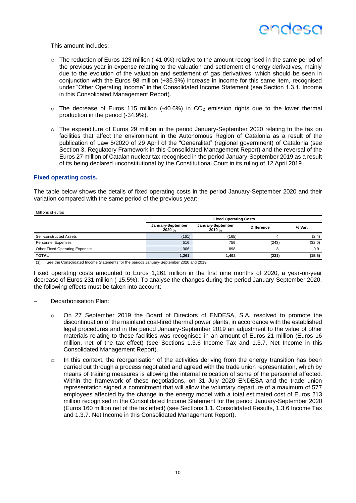

This amount includes:

- $\circ$  The reduction of Euros 123 million (-41.0%) relative to the amount recognised in the same period of the previous year in expense relating to the valuation and settlement of energy derivatives, mainly due to the evolution of the valuation and settlement of gas derivatives, which should be seen in conjunction with the Euros 98 million (+35.9%) increase in income for this same item, recognised under "Other Operating Income" in the Consolidated Income Statement (see Section 1.3.1. Income in this Consolidated Management Report).
- $\circ$  The decrease of Euros 115 million (-40.6%) in CO<sub>2</sub> emission rights due to the lower thermal production in the period (-34.9%).
- o The expenditure of Euros 29 million in the period January-September 2020 relating to the tax on facilities that affect the environment in the Autonomous Region of Catalonia as a result of the publication of Law 5/2020 of 29 April of the "Generalitat" (regional government) of Catalonia (see Section 3. Regulatory Framework in this Consolidated Management Report) and the reversal of the Euros 27 million of Catalan nuclear tax recognised in the period January-September 2019 as a result of its being declared unconstitutional by the Constitutional Court in its ruling of 12 April 2019.

#### **Fixed operating costs.**

Millions of euros

The table below shows the details of fixed operating costs in the period January-September 2020 and their variation compared with the same period of the previous year:

|                                       |                               | <b>Fixed Operating Costs</b>      |                   |        |  |  |  |
|---------------------------------------|-------------------------------|-----------------------------------|-------------------|--------|--|--|--|
|                                       | January-September<br>2020 (1) | January-September<br>$2019_{(1)}$ | <b>Difference</b> | % Var. |  |  |  |
| Self-constructed Assets               | (161)                         | (165)                             |                   | (2.4)  |  |  |  |
| <b>Personnel Expenses</b>             | 516                           | 759                               | (243)             | (32.0) |  |  |  |
| <b>Other Fixed Operating Expenses</b> | 906                           | 898                               |                   | 0.9    |  |  |  |
| <b>TOTAL</b>                          | 1,261                         | 1,492                             | (231)             | (15.5) |  |  |  |

(1) See the Consolidated Income Statements for the periods January-September 2020 and 2019.

Fixed operating costs amounted to Euros 1,261 million in the first nine months of 2020, a year-on-year decrease of Euros 231 million (-15.5%). To analyse the changes during the period January-September 2020, the following effects must be taken into account:

- Decarbonisation Plan:
	- o On 27 September 2019 the Board of Directors of ENDESA, S.A. resolved to promote the discontinuation of the mainland coal-fired thermal power plants, in accordance with the established legal procedures and in the period January-September 2019 an adjustment to the value of other materials relating to these facilities was recognised in an amount of Euros 21 million (Euros 16 million, net of the tax effect) (see Sections 1.3.6 Income Tax and 1.3.7. Net Income in this Consolidated Management Report).
	- $\circ$  In this context, the reorganisation of the activities deriving from the energy transition has been carried out through a process negotiated and agreed with the trade union representation, which by means of training measures is allowing the internal relocation of some of the personnel affected. Within the framework of these negotiations, on 31 July 2020 ENDESA and the trade union representation signed a commitment that will allow the voluntary departure of a maximum of 577 employees affected by the change in the energy model with a total estimated cost of Euros 213 million recognised in the Consolidated Income Statement for the period January-September 2020 (Euros 160 million net of the tax effect) (see Sections 1.1. Consolidated Results, 1.3.6 Income Tax and 1.3.7. Net Income in this Consolidated Management Report).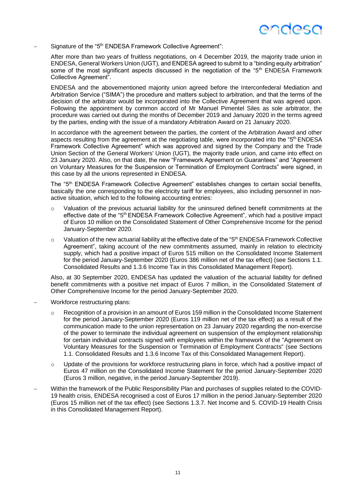## endesc

Signature of the "5<sup>th</sup> ENDESA Framework Collective Agreement":

After more than two years of fruitless negotiations, on 4 December 2019, the majority trade union in ENDESA, General Workers Union (UGT), and ENDESA agreed to submit to a "binding equity arbitration" some of the most significant aspects discussed in the negotiation of the "5<sup>th</sup> ENDESA Framework Collective Agreement".

ENDESA and the abovementioned majority union agreed before the Interconfederal Mediation and Arbitration Service ("SIMA") the procedure and matters subject to arbitration, and that the terms of the decision of the arbitrator would be incorporated into the Collective Agreement that was agreed upon. Following the appointment by common accord of Mr Manuel Pimentel Siles as sole arbitrator, the procedure was carried out during the months of December 2019 and January 2020 in the terms agreed by the parties, ending with the issue of a mandatory Arbitration Award on 21 January 2020.

In accordance with the agreement between the parties, the content of the Arbitration Award and other aspects resulting from the agreement at the negotiating table, were incorporated into the "5<sup>th</sup> ENDESA" Framework Collective Agreement" which was approved and signed by the Company and the Trade Union Section of the General Workers' Union (UGT), the majority trade union, and came into effect on 23 January 2020. Also, on that date, the new "Framework Agreement on Guarantees" and "Agreement on Voluntary Measures for the Suspension or Termination of Employment Contracts" were signed, in this case by all the unions represented in ENDESA.

The "5th ENDESA Framework Collective Agreement" establishes changes to certain social benefits, basically the one corresponding to the electricity tariff for employees, also including personnel in nonactive situation, which led to the following accounting entries:

- $\circ$  Valuation of the previous actuarial liability for the uninsured defined benefit commitments at the effective date of the "5<sup>th</sup> ENDESA Framework Collective Agreement", which had a positive impact of Euros 10 million on the Consolidated Statement of Other Comprehensive Income for the period January-September 2020.
- $\circ$  Valuation of the new actuarial liability at the effective date of the "5<sup>th</sup> ENDESA Framework Collective Agreement", taking account of the new commitments assumed, mainly in relation to electricity supply, which had a positive impact of Euros 515 million on the Consolidated Income Statement for the period January-September 2020 (Euros 386 million net of the tax effect) (see Sections 1.1. Consolidated Results and 1.3.6 Income Tax in this Consolidated Management Report).

Also, at 30 September 2020, ENDESA has updated the valuation of the actuarial liability for defined benefit commitments with a positive net impact of Euros 7 million, in the Consolidated Statement of Other Comprehensive Income for the period January-September 2020.

- − Workforce restructuring plans:
	- $\circ$  Recognition of a provision in an amount of Euros 159 million in the Consolidated Income Statement for the period January-September 2020 (Euros 119 million net of the tax effect) as a result of the communication made to the union representation on 23 January 2020 regarding the non-exercise of the power to terminate the individual agreement on suspension of the employment relationship for certain individual contracts signed with employees within the framework of the "Agreement on Voluntary Measures for the Suspension or Termination of Employment Contracts" (see Sections 1.1. Consolidated Results and 1.3.6 Income Tax of this Consolidated Management Report).
	- $\circ$  Update of the provisions for workforce restructuring plans in force, which had a positive impact of Euros 47 million on the Consolidated Income Statement for the period January-September 2020 (Euros 3 million, negative, in the period January-September 2019).
- − Within the framework of the Public Responsibility Plan and purchases of supplies related to the COVID-19 health crisis, ENDESA recognised a cost of Euros 17 million in the period January-September 2020 (Euros 15 million net of the tax effect) (see Sections 1.3.7. Net Income and 5. COVID-19 Health Crisis in this Consolidated Management Report).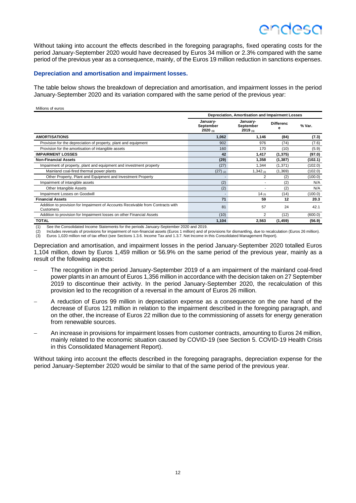## ANUASA

Without taking into account the effects described in the foregoing paragraphs, fixed operating costs for the period January-September 2020 would have decreased by Euros 34 million or 2.3% compared with the same period of the previous year as a consequence, mainly, of the Euros 19 million reduction in sanctions expenses.

#### **Depreciation and amortisation and impairment losses.**

The table below shows the breakdown of depreciation and amortisation, and impairment losses in the period January-September 2020 and its variation compared with the same period of the previous year:

#### Millions of euros

|                                                                                              | Depreciation, Amortisation and Impairment Losses |                                  |                       |         |  |
|----------------------------------------------------------------------------------------------|--------------------------------------------------|----------------------------------|-----------------------|---------|--|
|                                                                                              | January-<br>September<br>2020(1)                 | January-<br>September<br>2019(1) | <b>Differenc</b><br>e | % Var.  |  |
| <b>AMORTISATIONS</b>                                                                         | 1,062                                            | 1,146                            | (84)                  | (7.3)   |  |
| Provision for the depreciation of property, plant and equipment                              | 902                                              | 976                              | (74)                  | (7.6)   |  |
| Provision for the amortisation of intangible assets                                          | 160                                              | 170                              | (10)                  | (5.9)   |  |
| <b>IMPAIRMENT LOSSES</b>                                                                     | 42                                               | 1,417                            | (1, 375)              | (97.0)  |  |
| <b>Non-Financial Assets</b>                                                                  | (29)                                             | 1,358                            | (1, 387)              | (102.1) |  |
| Impairment of property, plant and equipment and investment property                          | (27)                                             | 1,344                            | (1, 371)              | (102.0) |  |
| Mainland coal-fired thermal power plants                                                     | $(27)$ (2)                                       | $1,342$ (3)                      | (1,369)               | (102.0) |  |
| Other Property, Plant and Equipment and Investment Property                                  |                                                  | 2                                | (2)                   | (100.0) |  |
| Impairment of intangible assets                                                              | (2)                                              |                                  | (2)                   | N/A     |  |
| Other Intangible Assets                                                                      | (2)                                              |                                  | (2)                   | N/A     |  |
| Impairment Losses on Goodwill                                                                |                                                  | 14 $(3)$                         | (14)                  | (100.0) |  |
| <b>Financial Assets</b>                                                                      | 71                                               | 59                               | 12                    | 20.3    |  |
| Addition to provision for Impairment of Accounts Receivable from Contracts with<br>Customers | 81                                               | 57                               | 24                    | 42.1    |  |
| Addition to provision for Impairment losses on other Financial Assets                        | (10)                                             | 2                                | (12)                  | (600.0) |  |
| <b>TOTAL</b>                                                                                 | 1,104                                            | 2,563                            | (1, 459)              | (56.9)  |  |

(1) See the Consolidated Income Statements for the periods January-September 2020 and 2019.

(2) Includes reversals of provisions for impairment of non-financial assets (Euros 1 million) and of provisions for dismantling, due to recalculation (Euros 26 million). (3) Euros 1,020 million net of tax effect (see Sections 1.3.6. Income Tax and 1.3.7. Net Income in this Consolidated Management Report).

Depreciation and amortisation, and impairment losses in the period January-September 2020 totalled Euros 1,104 million, down by Euros 1,459 million or 56.9% on the same period of the previous year, mainly as a result of the following aspects:

- The recognition in the period January-September 2019 of a am impairment of the mainland coal-fired power plants in an amount of Euros 1,356 million in accordance with the decision taken on 27 September 2019 to discontinue their activity. In the period January-September 2020, the recalculation of this provision led to the recognition of a reversal in the amount of Euros 26 million.
- − A reduction of Euros 99 million in depreciation expense as a consequence on the one hand of the decrease of Euros 121 million in relation to the impairment described in the foregoing paragraph, and on the other, the increase of Euros 22 million due to the commissioning of assets for energy generation from renewable sources.
- − An increase in provisions for impairment losses from customer contracts, amounting to Euros 24 million, mainly related to the economic situation caused by COVID-19 (see Section 5. COVID-19 Health Crisis in this Consolidated Management Report).

Without taking into account the effects described in the foregoing paragraphs, depreciation expense for the period January-September 2020 would be similar to that of the same period of the previous year.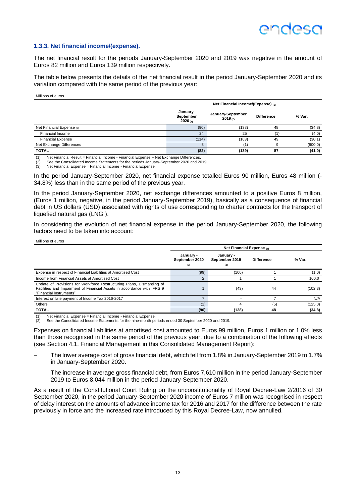#### **1.3.3. Net financial income/(expense).**

The net financial result for the periods January-September 2020 and 2019 was negative in the amount of Euros 82 million and Euros 139 million respectively.

The table below presents the details of the net financial result in the period January-September 2020 and its variation compared with the same period of the previous year:

Millions of euros

Millions of euros

|                           | Net Financial Income/(Expense) (1) |                              |                   |         |  |
|---------------------------|------------------------------------|------------------------------|-------------------|---------|--|
|                           | January-<br>September<br>2020(2)   | January-September<br>2019(2) | <b>Difference</b> | % Var.  |  |
| Net Financial Expense (3) | (90)                               | (138)                        | 48                | (34.8)  |  |
| <b>Financial Income</b>   | 24                                 | 25                           |                   | (4.0)   |  |
| <b>Financial Expense</b>  | (114)                              | (163)                        | 49                | (30.1)  |  |
| Net Exchange Differences  | 8                                  | (1                           |                   | (900.0) |  |
| <b>TOTAL</b>              | (82)                               | (139)                        | 57                | (41.0)  |  |

(1) Net Financial Result = Financial Income - Financial Expense + Net Exchange Differences.

See the Consolidated Income Statements for the periods January-September 2020 and 2019. (3) Net Financial Expense = Financial Income - Financial Expense.

In the period January-September 2020, net financial expense totalled Euros 90 million, Euros 48 million (- 34.8%) less than in the same period of the previous year.

In the period January-September 2020, net exchange differences amounted to a positive Euros 8 million, (Euros 1 million, negative, in the period January-September 2019), basically as a consequence of financial debt in US dollars (USD) associated with rights of use corresponding to charter contracts for the transport of liquefied natural gas (LNG ).

In considering the evolution of net financial expense in the period January-September 2020, the following factors need to be taken into account:

|                                                                                                                                                                              | Net Financial Expense (1)          |                                    |                   |         |  |  |  |
|------------------------------------------------------------------------------------------------------------------------------------------------------------------------------|------------------------------------|------------------------------------|-------------------|---------|--|--|--|
|                                                                                                                                                                              | January -<br>September 2020<br>(2) | January -<br>September 2019<br>(2) | <b>Difference</b> | % Var.  |  |  |  |
| Expense in respect of Financial Liabilities at Amortised Cost                                                                                                                | (99)                               | (100)                              |                   | (1.0)   |  |  |  |
| Income from Financial Assets at Amortised Cost                                                                                                                               | 2                                  |                                    |                   | 100.0   |  |  |  |
| Update of Provisions for Workforce Restructuring Plans, Dismantling of<br>Facilities and Impairment of Financial Assets in accordance with IFRS 9<br>"Financial Instruments" |                                    | (43)                               | 44                | (102.3) |  |  |  |
| Interest on late payment of Income Tax 2016-2017                                                                                                                             |                                    |                                    |                   | N/A     |  |  |  |
| Others                                                                                                                                                                       | (1)                                | 4                                  | (5)               | (125.0) |  |  |  |
| <b>TOTAL</b>                                                                                                                                                                 | (90)                               | (138)                              | 48                | (34.8)  |  |  |  |

(1) Net Financial Expense = Financial Income - Financial Expense.

See the Consolidated Income Statements for the nine-month periods ended 30 September 2020 and 2019.

Expenses on financial liabilities at amortised cost amounted to Euros 99 million, Euros 1 million or 1.0% less than those recognised in the same period of the previous year, due to a combination of the following effects (see Section 4.1. Financial Management in this Consolidated Management Report):

- − The lower average cost of gross financial debt, which fell from 1.8% in January-September 2019 to 1.7% in January-September 2020.
- The increase in average gross financial debt, from Euros 7,610 million in the period January-September 2019 to Euros 8,044 million in the period January-September 2020.

As a result of the Constitutional Court Ruling on the unconstitutionality of Royal Decree-Law 2/2016 of 30 September 2020, in the period January-September 2020 income of Euros 7 million was recognised in respect of delay interest on the amounts of advance income tax for 2016 and 2017 for the difference between the rate previously in force and the increased rate introduced by this Royal Decree-Law, now annulled.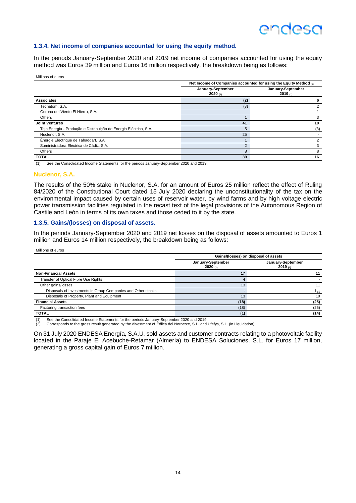## **ANNASO**

### **1.3.4. Net income of companies accounted for using the equity method.**

In the periods January-September 2020 and 2019 net income of companies accounted for using the equity method was Euros 39 million and Euros 16 million respectively, the breakdown being as follows:

Millions of euros

|                                                                   | Net Income of Companies accounted for using the Equity Method (1) |                              |  |  |  |
|-------------------------------------------------------------------|-------------------------------------------------------------------|------------------------------|--|--|--|
|                                                                   | January-September<br>2020(1)                                      | January-September<br>2019(1) |  |  |  |
| <b>Associates</b>                                                 | (2)                                                               |                              |  |  |  |
| Tecnatom, S.A.                                                    | (3)                                                               |                              |  |  |  |
| Gorona del Viento El Hierro, S.A.                                 |                                                                   |                              |  |  |  |
| <b>Others</b>                                                     |                                                                   |                              |  |  |  |
| <b>Joint Ventures</b>                                             | 41                                                                | 10                           |  |  |  |
| Tejo Energia - Produção e Distribuição de Energia Eléctrica, S.A. | 5                                                                 | (3)                          |  |  |  |
| Nuclenor, S.A.                                                    | 25                                                                |                              |  |  |  |
| Énergie Électrique de Tahaddart, S.A.                             |                                                                   |                              |  |  |  |
| Suministradora Eléctrica de Cádiz, S.A.                           | 2                                                                 |                              |  |  |  |
| Others                                                            | 8                                                                 | 8                            |  |  |  |
| <b>TOTAL</b>                                                      | 39                                                                | 16                           |  |  |  |

(1) See the Consolidated Income Statements for the periods January-September 2020 and 2019.

#### **Nuclenor, S.A.**

Millions of euros

The results of the 50% stake in Nuclenor, S.A. for an amount of Euros 25 million reflect the effect of Ruling 84/2020 of the Constitutional Court dated 15 July 2020 declaring the unconstitutionality of the tax on the environmental impact caused by certain uses of reservoir water, by wind farms and by high voltage electric power transmission facilities regulated in the recast text of the legal provisions of the Autonomous Region of Castile and León in terms of its own taxes and those ceded to it by the state.

#### **1.3.5. Gains/(losses) on disposal of assets.**

In the periods January-September 2020 and 2019 net losses on the disposal of assets amounted to Euros 1 million and Euros 14 million respectively, the breakdown being as follows:

|                                                              | Gains/(losses) on disposal of assets |                              |  |  |  |
|--------------------------------------------------------------|--------------------------------------|------------------------------|--|--|--|
|                                                              | January-September<br>2020(1)         | January-September<br>2019(1) |  |  |  |
| <b>Non-Financial Assets</b>                                  | 17                                   | 11                           |  |  |  |
| Transfer of Optical Fibre Use Rights                         | 4                                    |                              |  |  |  |
| Other gains/losses                                           | 13                                   | 11                           |  |  |  |
| Disposals of Investments in Group Companies and Other stocks |                                      | 1 $(2)$                      |  |  |  |
| Disposals of Property, Plant and Equipment                   | 13                                   | 10                           |  |  |  |
| <b>Financial Assets</b>                                      | (18)                                 | (25)                         |  |  |  |
| Factoring transaction fees                                   | (18)                                 | (25)                         |  |  |  |
| <b>TOTAL</b>                                                 | (1)                                  | (14)                         |  |  |  |

(1) See the Consolidated Income Statements for the periods January-September 2020 and 2019. (2) Corresponds to the gross result generated by the divestment of Eólica del Noroeste, S.L. and Ufefys, S.L. (in Liquidation).

On 31 July 2020 ENDESA Energía, S.A.U. sold assets and customer contracts relating to a photovoltaic facility located in the Paraje El Acebuche-Retamar (Almería) to ENDESA Soluciones, S.L. for Euros 17 million, generating a gross capital gain of Euros 7 million.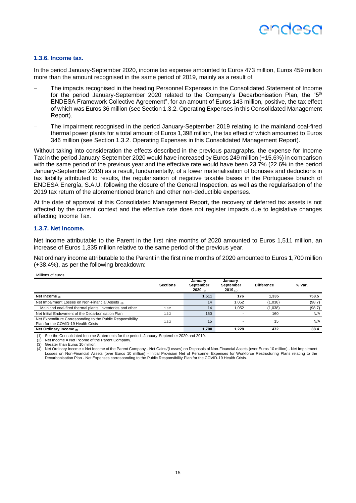#### **1.3.6. Income tax.**

In the period January-September 2020, income tax expense amounted to Euros 473 million, Euros 459 million more than the amount recognised in the same period of 2019, mainly as a result of:

- The impacts recognised in the heading Personnel Expenses in the Consolidated Statement of Income for the period January-September 2020 related to the Company's Decarbonisation Plan, the "5<sup>th</sup> ENDESA Framework Collective Agreement", for an amount of Euros 143 million, positive, the tax effect of which was Euros 36 million (see Section 1.3.2. Operating Expenses in this Consolidated Management Report).
- The impairment recognised in the period January-September 2019 relating to the mainland coal-fired thermal power plants for a total amount of Euros 1,398 million, the tax effect of which amounted to Euros 346 million (see Section 1.3.2. Operating Expenses in this Consolidated Management Report).

Without taking into consideration the effects described in the previous paragraphs, the expense for Income Tax in the period January-September 2020 would have increased by Euros 249 million (+15.6%) in comparison with the same period of the previous year and the effective rate would have been 23.7% (22.6% in the period January-September 2019) as a result, fundamentally, of a lower materialisation of bonuses and deductions in tax liability attributed to results, the regularisation of negative taxable bases in the Portuguese branch of ENDESA Energía, S.A.U. following the closure of the General Inspection, as well as the regularisation of the 2019 tax return of the aforementioned branch and other non-deductible expenses.

At the date of approval of this Consolidated Management Report, the recovery of deferred tax assets is not affected by the current context and the effective rate does not register impacts due to legislative changes affecting Income Tax.

#### **1.3.7. Net Income.**

Net income attributable to the Parent in the first nine months of 2020 amounted to Euros 1,511 million, an increase of Euros 1,335 million relative to the same period of the previous year.

Net ordinary income attributable to the Parent in the first nine months of 2020 amounted to Euros 1,700 million (+38.4%), as per the following breakdown:

Millions of euros

|                                                                                                   | <b>Sections</b> | January-<br>September<br>2020(n) | January-<br>September<br>2019(n) | <b>Difference</b> | % Var. |
|---------------------------------------------------------------------------------------------------|-----------------|----------------------------------|----------------------------------|-------------------|--------|
| Net Income $(2)$                                                                                  |                 | 1,511                            | 176                              | 1.335             | 758.5  |
| Net Impairment Losses on Non-Financial Assets (3)                                                 |                 | 14                               | 1.052                            | (1,038)           | (98.7) |
| Mainland coal-fired thermal plants, inventories and other                                         | 1.3.2           | 14                               | 1.052                            | (1,038)           | (98.7) |
| Net Initial Endowment of the Decarbonisation Plan                                                 | 1.3.2           | 160                              |                                  | 160               | N/A    |
| Net Expenditure Corresponding to the Public Responsibility<br>Plan for the COVID-19 Health Crisis | 1.3.2           | 15                               |                                  | 15                | N/A    |
| Net Ordinary Income $(4)$                                                                         |                 | 1.700                            | 1.228                            | 472               | 38.4   |

(1) See the Consolidated Income Statements for the periods January-September 2020 and 2019.

(2) Net Income = Net Income of the Parent Company.<br>
(3) Greater than Euros 10 million.

Greater than Euros 10 million.

Net Ordinary Income = Net Income of the Parent Company - Net Gains/(Losses) on Disposals of Non-Financial Assets (over Euros 10 million) - Net Impairment Losses on Non-Financial Assets (over Euros 10 million) - Initial Provision Net of Personnel Expenses for Workforce Restructuring Plans relating to the<br>Decarbonisation Plan - Net Expenses corresponding to the Public Respons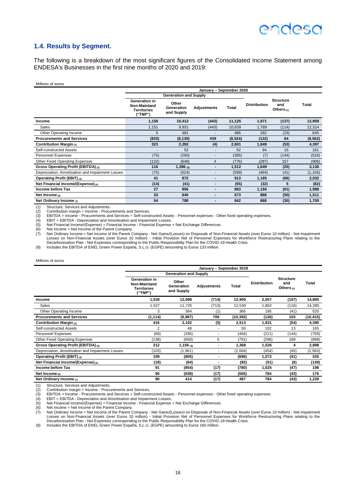## endesc

#### **1.4. Results by Segment.**

The following is a breakdown of the most significant figures of the Consolidated Income Statement among ENDESA's Businesses in the first nine months of 2020 and 2019:

#### Millions of euros

|                                                  | January - September 2020                                |                                   |                          |         |                     |                                         |          |  |
|--------------------------------------------------|---------------------------------------------------------|-----------------------------------|--------------------------|---------|---------------------|-----------------------------------------|----------|--|
|                                                  | <b>Generation and Supply</b>                            |                                   |                          |         |                     |                                         |          |  |
|                                                  | Generation in<br>Non-Mainland<br>Territories<br>("TNP") | Other<br>Generation<br>and Supply | Adjustments              | Total   | <b>Distribution</b> | <b>Structure</b><br>and<br>Others $(1)$ | Total    |  |
| Income                                           | 1,156                                                   | 10,412                            | (443)                    | 11,125  | 1,971               | (137)                                   | 12,959   |  |
| Sales                                            | 1,151                                                   | 9,931                             | (443)                    | 10,639  | 1,789               | (114)                                   | 12,314   |  |
| Other Operating Income                           | 5                                                       | 481                               |                          | 486     | 182                 | (23)                                    | 645      |  |
| <b>Procurements and Services</b>                 | (833)                                                   | (8, 130)                          | 439                      | (8,524) | (122)               | 84                                      | (8, 562) |  |
| Contribution Margin (2)                          | 323                                                     | 2,282                             | (4)                      | 2,601   | 1,849               | (53)                                    | 4,397    |  |
| Self-constructed Assets                          |                                                         | 52                                | ۰                        | 52      | 94                  | 15                                      | 161      |  |
| <b>Personnel Expenses</b>                        | (75)                                                    | (290)                             | ٠                        | (365)   | (7)                 | (144)                                   | (516)    |  |
| Other Fixed Operating Expenses                   | (132)                                                   | (648)                             | $\overline{4}$           | (776)   | (287)               | 157                                     | (906)    |  |
| Gross Operating Profit (EBITDA) (3)              | 116                                                     | $1,396$ (8)                       | $\overline{\phantom{0}}$ | 1,512   | 1,649               | (25)                                    | 3,136    |  |
| Depreciation, Amortisation and Impairment Losses | (75)                                                    | (524)                             | ٠                        | (599)   | (464)               | (41)                                    | (1, 104) |  |
| Operating Profit (EBIT) (4)                      | 41                                                      | 872                               | $\blacksquare$           | 913     | 1,185               | (66)                                    | 2,032    |  |
| Net Financial Income/(Expense) (5)               | (14)                                                    | (41)                              | -                        | (55)    | (32)                | 5                                       | (82)     |  |
| Income before Tax                                | 27                                                      | 856                               | $\overline{\phantom{0}}$ | 883     | 1,166               | (61)                                    | 1,988    |  |
| Net Income $(6)$                                 | 33                                                      | 640                               | $\blacksquare$           | 673     | 888                 | (50)                                    | 1,511    |  |
| Net Ordinary Income $\sigma$                     | 54                                                      | 788                               | ۰                        | 842     | 888                 | (30)                                    | 1,700    |  |

(1) Structure, Services and Adjustments.<br>(2) Contribution margin = Income - Proce

EBITDA = Income - Procurements and Services + Self-constructed Assets - Personnel expenses - Other fixed operating expenses.

(2) Contribution margin = Income - Procurements and Services.<br>
(3) EBITDA = Income - Procurements and Services + Self-cons<br>
(4) EBIT = EBITDA - Depreciation and Amortisation and Impair<br>
(5) Net Financial Income/(Expense) = EBIT = EBITDA - Depreciation and Amortisation and Impairment Losses

(5) Net Financial Income/(Expense) = Financial Income - Financial Expense + Net Exchange Differences.<br>(6) Net Income = Net Income of the Parent Company.<br>(7) Net Ordinary Income = Net Income of the Parent Company - Net Gain

(6) Net Income = Net Income of the Parent Company.<br>(7) Net Ordinary Income = Net Income of the Parent Company - Net Gains/(Losses) on Disposals of Non-Financial Assets (over Euros 10 million) - Net Impairment<br>Losses on Non (8) Includes the EBITDA of ENEL Green Power España, S.L.U. (EGPE) amounting to Euros 133 million.

#### Millions of euros

|                                                  | January - September 2019                                |                                   |                    |           |                     |                                         |           |  |
|--------------------------------------------------|---------------------------------------------------------|-----------------------------------|--------------------|-----------|---------------------|-----------------------------------------|-----------|--|
|                                                  | <b>Generation and Supply</b>                            |                                   |                    |           |                     |                                         |           |  |
|                                                  | Generation in<br>Non-Mainland<br>Territories<br>("TNP") | Other<br>Generation<br>and Supply | <b>Adjustments</b> | Total     | <b>Distribution</b> | <b>Structure</b><br>and<br>Others $(1)$ | Total     |  |
| Income                                           | 1,530                                                   | 12,089                            | (714)              | 12,905    | 2,057               | (157)                                   | 14,805    |  |
| Sales                                            | 1,527                                                   | 11,725                            | (713)              | 12,539    | 1,862               | (116)                                   | 14,285    |  |
| Other Operating Income                           | 3                                                       | 364                               | (1)                | 366       | 195                 | (41)                                    | 520       |  |
| <b>Procurements and Services</b>                 | (1, 114)                                                | (9,987)                           | 709                | (10, 392) | (126)               | 103                                     | (10, 415) |  |
| Contribution Margin (2)                          | 416                                                     | 2,102                             | (5)                | 2,513     | 1,931               | (54)                                    | 4,390     |  |
| Self-constructed Assets                          | $\overline{2}$                                          | 48                                |                    | 50        | 102                 | 13                                      | 165       |  |
| Personnel Expenses                               | (68)                                                    | (336)                             |                    | (404)     | (211)               | (144)                                   | (759)     |  |
| <b>Other Fixed Operating Expenses</b>            | (138)                                                   | (658)                             | 5                  | (791)     | (296)               | 189                                     | (898)     |  |
| Gross Operating Profit (EBITDA) (3)              | 212                                                     | $1,156$ (8)                       |                    | 1,368     | 1,526               | 4                                       | 2,898     |  |
| Depreciation, Amortisation and Impairment Losses | (103)                                                   | (1,961)                           | ٠                  | (2,064)   | (454)               | (45)                                    | (2, 563)  |  |
| Operating Profit (EBIT) (4)                      | 109                                                     | (805)                             | ٠                  | (696)     | 1,072               | (41)                                    | 335       |  |
| Net Financial Income/(Expense) <sub>(5)</sub>    | (18)                                                    | (64)                              |                    | (82)      | (51)                | (6)                                     | (139)     |  |
| Income before Tax                                | 91                                                      | (854)                             | (17)               | (780)     | 1,025               | (47)                                    | 198       |  |
| Net Income $(6)$                                 | 90                                                      | (638)                             | (17)               | (565)     | 784                 | (43)                                    | 176       |  |
| Net Ordinary Income $\sigma$                     | 90                                                      | 414                               | (17)               | 487       | 784                 | (43)                                    | 1,228     |  |

(1) Structure, Services and Adjustments. (2) Contribution margin = Income - Procurements and Services.

(2) Contribution margin = Income - Procurements and Services.<br>
(3) EBITDA = Income - Procurements and Services + Self-constructed Assets - Personnel expenses - Other fixed operating expenses.<br>
(4) EBIT = EBITDA - Depreciat

(4) EBIT = EBITDA - Depreciation and Amortisation and Impairment Losses. (5) Net Financial Income/(Expense) = Financial Income - Financial Expense + Net Exchange Differences.

(6) Net Income = Net Income of the Parent Company.<br>(7) Net Ordinary Income = Net Income of the Parent Company - Net Gains/(Losses) on Disposals of Non-Financial Assets (over Euros 10 million) - Net Impairment<br>Losses on Non

(8) Includes the EBITDA of ENEL Green Power España, S.L.U. (EGPE) amounting to Euros 160 million.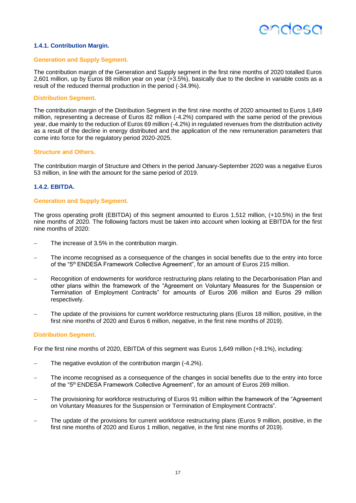## **ANNASC**

#### **1.4.1. Contribution Margin.**

#### **Generation and Supply Segment.**

The contribution margin of the Generation and Supply segment in the first nine months of 2020 totalled Euros 2,601 million, up by Euros 88 million year on year (+3.5%), basically due to the decline in variable costs as a result of the reduced thermal production in the period (-34.9%).

#### **Distribution Segment.**

The contribution margin of the Distribution Segment in the first nine months of 2020 amounted to Euros 1,849 million, representing a decrease of Euros 82 million (-4.2%) compared with the same period of the previous year, due mainly to the reduction of Euros 69 million (-4.2%) in regulated revenues from the distribution activity as a result of the decline in energy distributed and the application of the new remuneration parameters that come into force for the regulatory period 2020-2025.

#### **Structure and Others.**

The contribution margin of Structure and Others in the period January-September 2020 was a negative Euros 53 million, in line with the amount for the same period of 2019.

#### **1.4.2. EBITDA.**

#### **Generation and Supply Segment.**

The gross operating profit (EBITDA) of this segment amounted to Euros 1,512 million, (+10.5%) in the first nine months of 2020. The following factors must be taken into account when looking at EBITDA for the first nine months of 2020:

- The increase of 3.5% in the contribution margin.
- The income recognised as a consequence of the changes in social benefits due to the entry into force of the "5<sup>th</sup> ENDESA Framework Collective Agreement", for an amount of Euros 215 million.
- Recognition of endowments for workforce restructuring plans relating to the Decarbonisation Plan and other plans within the framework of the "Agreement on Voluntary Measures for the Suspension or Termination of Employment Contracts" for amounts of Euros 206 million and Euros 29 million respectively.
- The update of the provisions for current workforce restructuring plans (Euros 18 million, positive, in the first nine months of 2020 and Euros 6 million, negative, in the first nine months of 2019).

#### **Distribution Segment.**

For the first nine months of 2020, EBITDA of this segment was Euros 1,649 million (+8.1%), including:

- The negative evolution of the contribution margin (-4.2%).
- The income recognised as a consequence of the changes in social benefits due to the entry into force of the "5<sup>th</sup> ENDESA Framework Collective Agreement", for an amount of Euros 269 million.
- The provisioning for workforce restructuring of Euros 91 million within the framework of the "Agreement" on Voluntary Measures for the Suspension or Termination of Employment Contracts".
- The update of the provisions for current workforce restructuring plans (Euros 9 million, positive, in the first nine months of 2020 and Euros 1 million, negative, in the first nine months of 2019).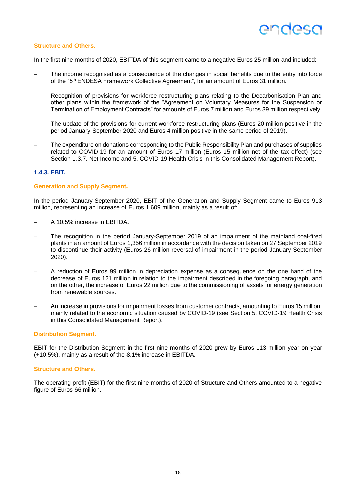#### **Structure and Others.**

In the first nine months of 2020, EBITDA of this segment came to a negative Euros 25 million and included:

- The income recognised as a consequence of the changes in social benefits due to the entry into force of the "5<sup>th</sup> ENDESA Framework Collective Agreement", for an amount of Euros 31 million.
- Recognition of provisions for workforce restructuring plans relating to the Decarbonisation Plan and other plans within the framework of the "Agreement on Voluntary Measures for the Suspension or Termination of Employment Contracts" for amounts of Euros 7 million and Euros 39 million respectively.
- The update of the provisions for current workforce restructuring plans (Euros 20 million positive in the period January-September 2020 and Euros 4 million positive in the same period of 2019).
- The expenditure on donations corresponding to the Public Responsibility Plan and purchases of supplies related to COVID-19 for an amount of Euros 17 million (Euros 15 million net of the tax effect) (see Section 1.3.7. Net Income and 5. COVID-19 Health Crisis in this Consolidated Management Report).

#### **1.4.3. EBIT.**

#### **Generation and Supply Segment.**

In the period January-September 2020, EBIT of the Generation and Supply Segment came to Euros 913 million, representing an increase of Euros 1,609 million, mainly as a result of:

- − A 10.5% increase in EBITDA.
- The recognition in the period January-September 2019 of an impairment of the mainland coal-fired plants in an amount of Euros 1,356 million in accordance with the decision taken on 27 September 2019 to discontinue their activity (Euros 26 million reversal of impairment in the period January-September 2020).
- − A reduction of Euros 99 million in depreciation expense as a consequence on the one hand of the decrease of Euros 121 million in relation to the impairment described in the foregoing paragraph, and on the other, the increase of Euros 22 million due to the commissioning of assets for energy generation from renewable sources.
- − An increase in provisions for impairment losses from customer contracts, amounting to Euros 15 million, mainly related to the economic situation caused by COVID-19 (see Section 5. COVID-19 Health Crisis in this Consolidated Management Report).

#### **Distribution Segment.**

EBIT for the Distribution Segment in the first nine months of 2020 grew by Euros 113 million year on year (+10.5%), mainly as a result of the 8.1% increase in EBITDA.

#### **Structure and Others.**

The operating profit (EBIT) for the first nine months of 2020 of Structure and Others amounted to a negative figure of Euros 66 million.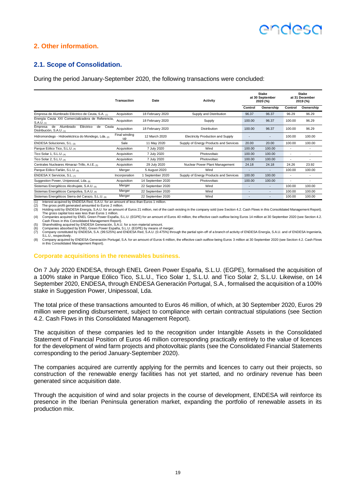## **ANNASO**

### **2. Other information.**

### **2.1. Scope of Consolidation.**

During the period January-September 2020, the following transactions were concluded:

|                                                                                             | <b>Transaction</b>         | <b>Stake</b><br>at 30 September<br><b>Activity</b><br>Date<br>2020 (%) |                                          |                          |           | <b>Stake</b><br>at 31 December<br>2019 (%) |           |
|---------------------------------------------------------------------------------------------|----------------------------|------------------------------------------------------------------------|------------------------------------------|--------------------------|-----------|--------------------------------------------|-----------|
|                                                                                             |                            |                                                                        |                                          | Control                  | Ownership | Control                                    | Ownership |
| Empresa de Alumbrado Eléctrico de Ceuta, S.A. (1)                                           | Acquisition                | 18 February 2020                                                       | Supply and Distribution                  | 96.37                    | 96.37     | 96.29                                      | 96.29     |
| Energía Ceuta XXI Comercializadora de Referencia,<br>$S.A.U._{(1)}$                         | Acquisition                | 18 February 2020                                                       | Supply                                   | 100.00                   | 96.37     | 100.00                                     | 96.29     |
| Eléctrico<br>Ceuta<br>Empresa<br>Alumbrado<br>de<br>de<br>Distribución, S.A.U. (1)          | Acquisition                | 18 February 2020                                                       | <b>Distribution</b>                      | 100.00                   | 96.37     | 100.00                                     | 96.29     |
| Hidromondego - Hidroeléctrica do Mondego, Lda. (2)                                          | Final winding<br><b>UD</b> | 12 March 2020                                                          | <b>Electricity Production and Supply</b> |                          |           | 100.00                                     | 100.00    |
| ENDESA Soluciones, S.L. (3)                                                                 | Sale                       | 11 May 2020                                                            | Supply of Energy Products and Services   | 20.00                    | 20.00     | 100.00                                     | 100.00    |
| Parque Eólico Tico, S.L.U. (4)                                                              | Acquisition                | 7 July 2020                                                            | Wind                                     | 100.00                   | 100.00    | $\overline{\phantom{a}}$                   |           |
| Tico Solar 1, S.L.U. $(4)$                                                                  | Acquisition                | 7 July 2020                                                            | Photovoltaic                             | 100.00                   | 100.00    | $\overline{\phantom{a}}$                   |           |
| Tico Solar 2, S.L.U. $(4)$                                                                  | Acquisition                | 7 July 2020                                                            | Photovoltaic                             | 100.00                   | 100.00    | ٠                                          |           |
| Centrales Nucleares Almaraz-Trillo, A.I.E. (5)                                              | Acquisition                | 29 July 2020                                                           | Nuclear Power Plant Management           | 24.18                    | 24.18     | 24.26                                      | 23.92     |
| Parque Eólico Farlán, S.L.U. (6)                                                            | Merger                     | 5 August 2020                                                          | Wind                                     | $\overline{\phantom{a}}$ | ٠         | 100.00                                     | 100.00    |
| ENDESA X Servicios, S.L. $_{\text{CD}}$                                                     | Incorporation              | September 2020                                                         | Supply of Energy Products and Services   | 100.00                   | 100.00    | $\overline{\phantom{a}}$                   |           |
| Suggestion Power, Unipessoal, Lda. (8)                                                      | Acquisition                | 14 September 2020                                                      | Photovoltaic                             | 100.00                   | 100.00    | ٠                                          |           |
| Sistemas Energéticos Alcohujate, S.A.U. (6)                                                 | Merger                     | 22 September 2020                                                      | Wind                                     |                          | ٠         | 100.00                                     | 100.00    |
| Sistemas Energéticos Campoliva, S.A.U. (6)                                                  | Merger                     | 22 September 2020                                                      | Wind                                     | ٠                        | ٠         | 100.00                                     | 100.00    |
| Sistemas Energéticos Sierra del Carazo, S.L.U. (6)                                          | Merger                     | 22 September 2020                                                      | Wind                                     | ٠                        | ٠         | 100.00                                     | 100.00    |
| (4) Interest populared by ENDERA Red, R.A. H. for an amount of logar than Europe 4 million. |                            |                                                                        |                                          |                          |           |                                            |           |

(1) Interest acquired by ENDESA Red, S.A.U. for an amount of less than Euros 1 million.<br>(2) The gross profit generated amounted to Euros 2 million.<br>(3) Holding sold by ENDESA Energía, S.A.U. for an amount of Euros 21 milli (4) Companies acquired by ENEL Green Power España, S.L.U. (EGPE) for an amount of Euros 40 million, the effective cash outflow being Euros 14 million at 30 September 2020 (see Section 4.2.

Cash Flows in this Consolidated Management Report).<br>(5) Shareholding acquired by ENDESA Generación, S.A.U. for a non-material amount.<br>(6) Companies absorbed by ENEL Green Power España, S.L.U. (EGPE) by means of merger.

(7) Company constituted by ENDESA, S.A. (99.525%) and ENDESA Red, S.A.U. (0.475%) through the partial spin-off of a branch of activity of ENDESA Energía, S.A.U. and of ENDESA Ingeniería, S.L. LL respectively

8) Company acquired by ENDESA Generación Portugal, S.A. for an amount of Euros 6 million, the effective cash outflow being Euros 3 million at 30 September 2020 (see Section 4.2. Cash Flows<br>in this Consolidated Management R

#### **Corporate acquisitions in the renewables business.**

On 7 July 2020 ENDESA, through ENEL Green Power España, S.L.U. (EGPE), formalised the acquisition of a 100% stake in Parque Eólico Tico, S.L.U., Tico Solar 1, S.L.U. and Tico Solar 2, S.L.U. Likewise, on 14 September 2020, ENDESA, through ENDESA Generación Portugal, S.A., formalised the acquisition of a 100% stake in Suggestion Power, Unipessoal, Lda.

The total price of these transactions amounted to Euros 46 million, of which, at 30 September 2020, Euros 29 million were pending disbursement, subject to compliance with certain contractual stipulations (see Section 4.2. Cash Flows in this Consolidated Management Report).

The acquisition of these companies led to the recognition under Intangible Assets in the Consolidated Statement of Financial Position of Euros 46 million corresponding practically entirely to the value of licences for the development of wind farm projects and photovoltaic plants (see the Consolidated Financial Statements corresponding to the period January-September 2020).

The companies acquired are currently applying for the permits and licences to carry out their projects, so construction of the renewable energy facilities has not yet started, and no ordinary revenue has been generated since acquisition date.

Through the acquisition of wind and solar projects in the course of development, ENDESA will reinforce its presence in the Iberian Peninsula generation market, expanding the portfolio of renewable assets in its production mix.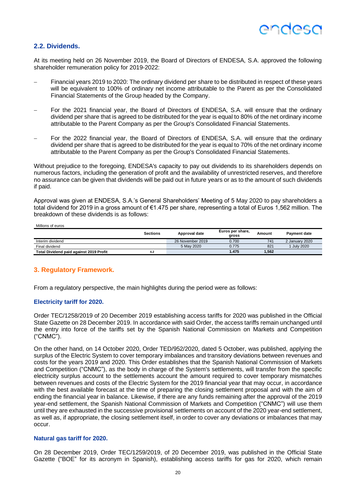### **2.2. Dividends.**

At its meeting held on 26 November 2019, the Board of Directors of ENDESA, S.A. approved the following shareholder remuneration policy for 2019-2022:

- Financial years 2019 to 2020: The ordinary dividend per share to be distributed in respect of these years will be equivalent to 100% of ordinary net income attributable to the Parent as per the Consolidated Financial Statements of the Group headed by the Company.
- For the 2021 financial year, the Board of Directors of ENDESA, S.A. will ensure that the ordinary dividend per share that is agreed to be distributed for the year is equal to 80% of the net ordinary income attributable to the Parent Company as per the Group's Consolidated Financial Statements.
- For the 2022 financial year, the Board of Directors of ENDESA, S.A. will ensure that the ordinary dividend per share that is agreed to be distributed for the year is equal to 70% of the net ordinary income attributable to the Parent Company as per the Group's Consolidated Financial Statements.

Without prejudice to the foregoing. ENDESA's capacity to pay out dividends to its shareholders depends on numerous factors, including the generation of profit and the availability of unrestricted reserves, and therefore no assurance can be given that dividends will be paid out in future years or as to the amount of such dividends if paid.

Approval was given at ENDESA, S.A.'s General Shareholders' Meeting of 5 May 2020 to pay shareholders a total dividend for 2019 in a gross amount of €1.475 per share, representing a total of Euros 1,562 million. The breakdown of these dividends is as follows:

Millions of euros

|                                                | <b>Sections</b> | Approval date    | Euros per share,<br>gross | Amount | <b>Payment date</b> |
|------------------------------------------------|-----------------|------------------|---------------------------|--------|---------------------|
| Interim dividend                               |                 | 26 November 2019 | 0.700                     | 741    | 2 January 2020      |
| Final dividend                                 |                 | 5 May 2020       | 0.775                     | 821    | <b>July 2020</b>    |
| <b>Total Dividend paid against 2019 Profit</b> | 4.2             |                  | 1.475                     | 1,562  |                     |

#### **3. Regulatory Framework.**

From a regulatory perspective, the main highlights during the period were as follows:

#### **Electricity tariff for 2020.**

Order TEC/1258/2019 of 20 December 2019 establishing access tariffs for 2020 was published in the Official State Gazette on 28 December 2019. In accordance with said Order, the access tariffs remain unchanged until the entry into force of the tariffs set by the Spanish National Commission on Markets and Competition ("CNMC").

On the other hand, on 14 October 2020, Order TED/952/2020, dated 5 October, was published, applying the surplus of the Electric System to cover temporary imbalances and transitory deviations between revenues and costs for the years 2019 and 2020. This Order establishes that the Spanish National Commission of Markets and Competition ("CNMC"), as the body in charge of the System's settlements, will transfer from the specific electricity surplus account to the settlements account the amount required to cover temporary mismatches between revenues and costs of the Electric System for the 2019 financial year that may occur, in accordance with the best available forecast at the time of preparing the closing settlement proposal and with the aim of ending the financial year in balance. Likewise, if there are any funds remaining after the approval of the 2019 year-end settlement, the Spanish National Commission of Markets and Competition ("CNMC") will use them until they are exhausted in the successive provisional settlements on account of the 2020 year-end settlement, as well as, if appropriate, the closing settlement itself, in order to cover any deviations or imbalances that may occur.

#### **Natural gas tariff for 2020.**

On 28 December 2019, Order TEC/1259/2019, of 20 December 2019, was published in the Official State Gazette ("BOE" for its acronym in Spanish), establishing access tariffs for gas for 2020, which remain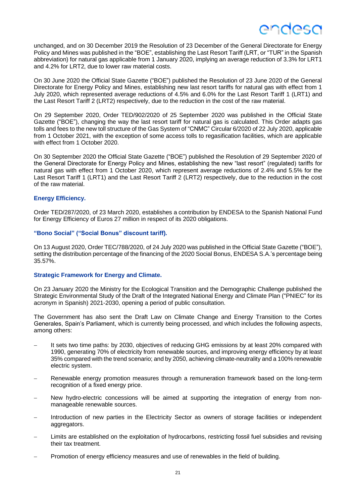unchanged, and on 30 December 2019 the Resolution of 23 December of the General Directorate for Energy Policy and Mines was published in the "BOE", establishing the Last Resort Tariff (LRT, or "TUR" in the Spanish abbreviation) for natural gas applicable from 1 January 2020, implying an average reduction of 3.3% for LRT1 and 4.2% for LRT2, due to lower raw material costs.

On 30 June 2020 the Official State Gazette ("BOE") published the Resolution of 23 June 2020 of the General Directorate for Energy Policy and Mines, establishing new last resort tariffs for natural gas with effect from 1 July 2020, which represented average reductions of 4.5% and 6.0% for the Last Resort Tariff 1 (LRT1) and the Last Resort Tariff 2 (LRT2) respectively, due to the reduction in the cost of the raw material.

On 29 September 2020, Order TED/902/2020 of 25 September 2020 was published in the Official State Gazette ("BOE"), changing the way the last resort tariff for natural gas is calculated. This Order adapts gas tolls and fees to the new toll structure of the Gas System of "CNMC" Circular 6/2020 of 22 July 2020, applicable from 1 October 2021, with the exception of some access tolls to regasification facilities, which are applicable with effect from 1 October 2020.

On 30 September 2020 the Official State Gazette ("BOE") published the Resolution of 29 September 2020 of the General Directorate for Energy Policy and Mines, establishing the new "last resort" (regulated) tariffs for natural gas with effect from 1 October 2020, which represent average reductions of 2.4% and 5.5% for the Last Resort Tariff 1 (LRT1) and the Last Resort Tariff 2 (LRT2) respectively, due to the reduction in the cost of the raw material.

#### **Energy Efficiency.**

Order TED/287/2020, of 23 March 2020, establishes a contribution by ENDESA to the Spanish National Fund for Energy Efficiency of Euros 27 million in respect of its 2020 obligations.

#### **"Bono Social" ("Social Bonus" discount tariff).**

On 13 August 2020, Order TEC/788/2020, of 24 July 2020 was published in the Official State Gazette ("BOE"), setting the distribution percentage of the financing of the 2020 Social Bonus, ENDESA S.A.'s percentage being 35.57%.

#### **Strategic Framework for Energy and Climate.**

On 23 January 2020 the Ministry for the Ecological Transition and the Demographic Challenge published the Strategic Environmental Study of the Draft of the Integrated National Energy and Climate Plan ("PNIEC" for its acronym in Spanish) 2021-2030, opening a period of public consultation.

The Government has also sent the Draft Law on Climate Change and Energy Transition to the Cortes Generales, Spain's Parliament, which is currently being processed, and which includes the following aspects, among others:

- It sets two time paths: by 2030, objectives of reducing GHG emissions by at least 20% compared with 1990, generating 70% of electricity from renewable sources, and improving energy efficiency by at least 35% compared with the trend scenario; and by 2050, achieving climate-neutrality and a 100% renewable electric system.
- Renewable energy promotion measures through a remuneration framework based on the long-term recognition of a fixed energy price.
- New hydro-electric concessions will be aimed at supporting the integration of energy from nonmanageable renewable sources.
- Introduction of new parties in the Electricity Sector as owners of storage facilities or independent aggregators.
- Limits are established on the exploitation of hydrocarbons, restricting fossil fuel subsidies and revising their tax treatment.
- Promotion of energy efficiency measures and use of renewables in the field of building.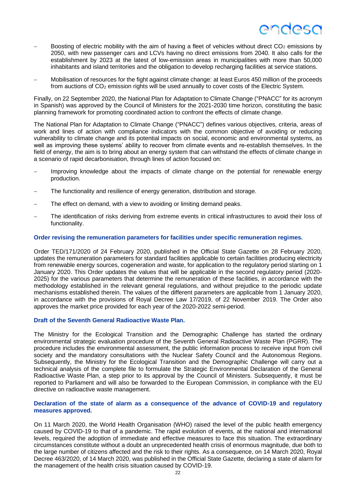- Boosting of electric mobility with the aim of having a fleet of vehicles without direct CO<sub>2</sub> emissions by 2050, with new passenger cars and LCVs having no direct emissions from 2040. It also calls for the establishment by 2023 at the latest of low-emission areas in municipalities with more than 50,000 inhabitants and island territories and the obligation to develop recharging facilities at service stations.
- − Mobilisation of resources for the fight against climate change: at least Euros 450 million of the proceeds from auctions of CO<sub>2</sub> emission rights will be used annually to cover costs of the Electric System.

Finally, on 22 September 2020, the National Plan for Adaptation to Climate Change ("PNACC" for its acronym in Spanish) was approved by the Council of Ministers for the 2021-2030 time horizon, constituting the basic planning framework for promoting coordinated action to confront the effects of climate change.

The National Plan for Adaptation to Climate Change ("PNACC") defines various objectives, criteria, areas of work and lines of action with compliance indicators with the common objective of avoiding or reducing vulnerability to climate change and its potential impacts on social, economic and environmental systems, as well as improving these systems' ability to recover from climate events and re-establish themselves. In the field of energy, the aim is to bring about an energy system that can withstand the effects of climate change in a scenario of rapid decarbonisation, through lines of action focused on:

- Improving knowledge about the impacts of climate change on the potential for renewable energy production.
- The functionality and resilience of energy generation, distribution and storage.
- The effect on demand, with a view to avoiding or limiting demand peaks.
- The identification of risks deriving from extreme events in critical infrastructures to avoid their loss of functionality.

#### **Order revising the remuneration parameters for facilities under specific remuneration regimes.**

Order TED/171/2020 of 24 February 2020, published in the Official State Gazette on 28 February 2020, updates the remuneration parameters for standard facilities applicable to certain facilities producing electricity from renewable energy sources, cogeneration and waste, for application to the regulatory period starting on 1 January 2020. This Order updates the values that will be applicable in the second regulatory period (2020- 2025) for the various parameters that determine the remuneration of these facilities, in accordance with the methodology established in the relevant general regulations, and without prejudice to the periodic update mechanisms established therein. The values of the different parameters are applicable from 1 January 2020, in accordance with the provisions of Royal Decree Law 17/2019, of 22 November 2019. The Order also approves the market price provided for each year of the 2020-2022 semi-period.

#### **Draft of the Seventh General Radioactive Waste Plan.**

The Ministry for the Ecological Transition and the Demographic Challenge has started the ordinary environmental strategic evaluation procedure of the Seventh General Radioactive Waste Plan (PGRR). The procedure includes the environmental assessment, the public information process to receive input from civil society and the mandatory consultations with the Nuclear Safety Council and the Autonomous Regions. Subsequently, the Ministry for the Ecological Transition and the Demographic Challenge will carry out a technical analysis of the complete file to formulate the Strategic Environmental Declaration of the General Radioactive Waste Plan, a step prior to its approval by the Council of Ministers. Subsequently, it must be reported to Parliament and will also be forwarded to the European Commission, in compliance with the EU directive on radioactive waste management.

#### **Declaration of the state of alarm as a consequence of the advance of COVID-19 and regulatory measures approved.**

On 11 March 2020, the World Health Organisation (WHO) raised the level of the public health emergency caused by COVID-19 to that of a pandemic. The rapid evolution of events, at the national and international levels, required the adoption of immediate and effective measures to face this situation. The extraordinary circumstances constitute without a doubt an unprecedented health crisis of enormous magnitude, due both to the large number of citizens affected and the risk to their rights. As a consequence, on 14 March 2020, Royal Decree 463/2020, of 14 March 2020, was published in the Official State Gazette, declaring a state of alarm for the management of the health crisis situation caused by COVID-19.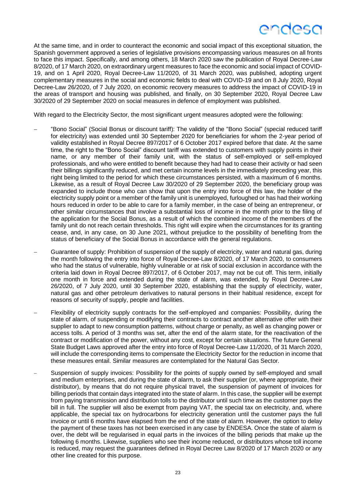## ANAASA

At the same time, and in order to counteract the economic and social impact of this exceptional situation, the Spanish government approved a series of legislative provisions encompassing various measures on all fronts to face this impact. Specifically, and among others, 18 March 2020 saw the publication of Royal Decree-Law 8/2020, of 17 March 2020, on extraordinary urgent measures to face the economic and social impact of COVID-19, and on 1 April 2020, Royal Decree-Law 11/2020, of 31 March 2020, was published, adopting urgent complementary measures in the social and economic fields to deal with COVID-19 and on 8 July 2020, Royal Decree-Law 26/2020, of 7 July 2020, on economic recovery measures to address the impact of COVID-19 in the areas of transport and housing was published, and finally, on 30 September 2020, Royal Decree Law 30/2020 of 29 September 2020 on social measures in defence of employment was published.

With regard to the Electricity Sector, the most significant urgent measures adopted were the following:

- − "Bono Social" (Social Bonus or discount tariff): The validity of the "Bono Social" (special reduced tariff for electricity) was extended until 30 September 2020 for beneficiaries for whom the 2-year period of validity established in Royal Decree 897/2017 of 6 October 2017 expired before that date. At the same time, the right to the "Bono Social" discount tariff was extended to customers with supply points in their name, or any member of their family unit, with the status of self-employed or self-employed professionals, and who were entitled to benefit because they had had to cease their activity or had seen their billings significantly reduced, and met certain income levels in the immediately preceding year, this right being limited to the period for which these circumstances persisted, with a maximum of 6 months. Likewise, as a result of Royal Decree Law 30/2020 of 29 September 2020, the beneficiary group was expanded to include those who can show that upon the entry into force of this law, the holder of the electricity supply point or a member of the family unit is unemployed, furloughed or has had their working hours reduced in order to be able to care for a family member, in the case of being an entrepreneur, or other similar circumstances that involve a substantial loss of income in the month prior to the filing of the application for the Social Bonus, as a result of which the combined income of the members of the family unit do not reach certain thresholds. This right will expire when the circumstances for its granting cease, and, in any case, on 30 June 2021, without prejudice to the possibility of benefiting from the status of beneficiary of the Social Bonus in accordance with the general regulations.
- Guarantee of supply: Prohibition of suspension of the supply of electricity, water and natural gas, during the month following the entry into force of Royal Decree-Law 8/2020, of 17 March 2020, to consumers who had the status of vulnerable, highly vulnerable or at risk of social exclusion in accordance with the criteria laid down in Royal Decree 897/2017, of 6 October 2017, may not be cut off. This term, initially one month in force and extended during the state of alarm, was extended, by Royal Decree-Law 26/2020, of 7 July 2020, until 30 September 2020, establishing that the supply of electricity, water, natural gas and other petroleum derivatives to natural persons in their habitual residence, except for reasons of security of supply, people and facilities.
- Flexibility of electricity supply contracts for the self-employed and companies: Possibility, during the state of alarm, of suspending or modifying their contracts to contract another alternative offer with their supplier to adapt to new consumption patterns, without charge or penalty, as well as changing power or access tolls. A period of 3 months was set, after the end of the alarm state, for the reactivation of the contract or modification of the power, without any cost, except for certain situations. The future General State Budget Laws approved after the entry into force of Royal Decree-Law 11/2020, of 31 March 2020, will include the corresponding items to compensate the Electricity Sector for the reduction in income that these measures entail. Similar measures are contemplated for the Natural Gas Sector.
- Suspension of supply invoices: Possibility for the points of supply owned by self-employed and small and medium enterprises, and during the state of alarm, to ask their supplier (or, where appropriate, their distributor), by means that do not require physical travel, the suspension of payment of invoices for billing periods that contain days integrated into the state of alarm. In this case, the supplier will be exempt from paying transmission and distribution tolls to the distributor until such time as the customer pays the bill in full. The supplier will also be exempt from paying VAT, the special tax on electricity, and, where applicable, the special tax on hydrocarbons for electricity generation until the customer pays the full invoice or until 6 months have elapsed from the end of the state of alarm. However, the option to delay the payment of these taxes has not been exercised in any case by ENDESA. Once the state of alarm is over, the debt will be regularised in equal parts in the invoices of the billing periods that make up the following 6 months. Likewise, suppliers who see their income reduced, or distributors whose toll income is reduced, may request the guarantees defined in Royal Decree Law 8/2020 of 17 March 2020 or any other line created for this purpose.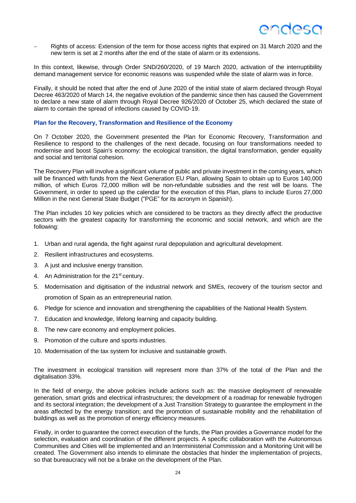− Rights of access: Extension of the term for those access rights that expired on 31 March 2020 and the new term is set at 2 months after the end of the state of alarm or its extensions.

In this context, likewise, through Order SND/260/2020, of 19 March 2020, activation of the interruptibility demand management service for economic reasons was suspended while the state of alarm was in force.

Finally, it should be noted that after the end of June 2020 of the initial state of alarm declared through Royal Decree 463/2020 of March 14, the negative evolution of the pandemic since then has caused the Government to declare a new state of alarm through Royal Decree 926/2020 of October 25, which declared the state of alarm to contain the spread of infections caused by COVID-19.

#### **Plan for the Recovery, Transformation and Resilience of the Economy**

On 7 October 2020, the Government presented the Plan for Economic Recovery, Transformation and Resilience to respond to the challenges of the next decade, focusing on four transformations needed to modernise and boost Spain's economy: the ecological transition, the digital transformation, gender equality and social and territorial cohesion.

The Recovery Plan will involve a significant volume of public and private investment in the coming years, which will be financed with funds from the Next Generation EU Plan, allowing Spain to obtain up to Euros 140,000 million, of which Euros 72,000 million will be non-refundable subsidies and the rest will be loans. The Government, in order to speed up the calendar for the execution of this Plan, plans to include Euros 27,000 Million in the next General State Budget ("PGE" for its acronym in Spanish).

The Plan includes 10 key policies which are considered to be tractors as they directly affect the productive sectors with the greatest capacity for transforming the economic and social network, and which are the following:

- 1. Urban and rural agenda, the fight against rural depopulation and agricultural development.
- 2. Resilient infrastructures and ecosystems.
- 3. A just and inclusive energy transition.
- 4. An Administration for the 21<sup>st</sup> century.
- 5. Modernisation and digitisation of the industrial network and SMEs, recovery of the tourism sector and promotion of Spain as an entrepreneurial nation.
- 6. Pledge for science and innovation and strengthening the capabilities of the National Health System.
- 7. Education and knowledge, lifelong learning and capacity building.
- 8. The new care economy and employment policies.
- 9. Promotion of the culture and sports industries.
- 10. Modernisation of the tax system for inclusive and sustainable growth.

The investment in ecological transition will represent more than 37% of the total of the Plan and the digitalisation 33%.

In the field of energy, the above policies include actions such as: the massive deployment of renewable generation, smart grids and electrical infrastructures; the development of a roadmap for renewable hydrogen and its sectoral integration; the development of a Just Transition Strategy to guarantee the employment in the areas affected by the energy transition; and the promotion of sustainable mobility and the rehabilitation of buildings as well as the promotion of energy efficiency measures.

Finally, in order to guarantee the correct execution of the funds, the Plan provides a Governance model for the selection, evaluation and coordination of the different projects. A specific collaboration with the Autonomous Communities and Cities will be implemented and an Interministerial Commission and a Monitoring Unit will be created. The Government also intends to eliminate the obstacles that hinder the implementation of projects, so that bureaucracy will not be a brake on the development of the Plan.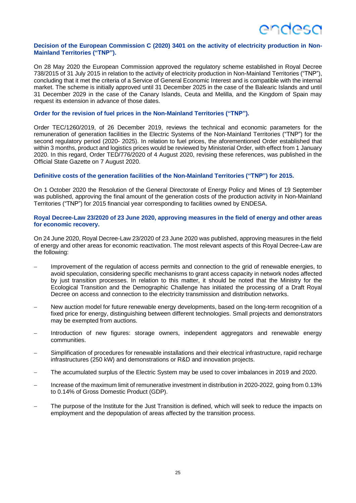#### **Decision of the European Commission C (2020) 3401 on the activity of electricity production in Non-Mainland Territories ("TNP").**

On 28 May 2020 the European Commission approved the regulatory scheme established in Royal Decree 738/2015 of 31 July 2015 in relation to the activity of electricity production in Non-Mainland Territories ("TNP"), concluding that it met the criteria of a Service of General Economic Interest and is compatible with the internal market. The scheme is initially approved until 31 December 2025 in the case of the Balearic Islands and until 31 December 2029 in the case of the Canary Islands, Ceuta and Melilla, and the Kingdom of Spain may request its extension in advance of those dates.

#### **Order for the revision of fuel prices in the Non-Mainland Territories ("TNP").**

Order TEC/1260/2019, of 26 December 2019, reviews the technical and economic parameters for the remuneration of generation facilities in the Electric Systems of the Non-Mainland Territories ("TNP") for the second regulatory period (2020- 2025). In relation to fuel prices, the aforementioned Order established that within 3 months, product and logistics prices would be reviewed by Ministerial Order, with effect from 1 January 2020. In this regard, Order TED/776/2020 of 4 August 2020, revising these references, was published in the Official State Gazette on 7 August 2020.

#### **Definitive costs of the generation facilities of the Non-Mainland Territories ("TNP") for 2015.**

On 1 October 2020 the Resolution of the General Directorate of Energy Policy and Mines of 19 September was published, approving the final amount of the generation costs of the production activity in Non-Mainland Territories ("TNP") for 2015 financial year corresponding to facilities owned by ENDESA.

#### **Royal Decree-Law 23/2020 of 23 June 2020, approving measures in the field of energy and other areas for economic recovery.**

On 24 June 2020, Royal Decree-Law 23/2020 of 23 June 2020 was published, approving measures in the field of energy and other areas for economic reactivation. The most relevant aspects of this Royal Decree-Law are the following:

- Improvement of the regulation of access permits and connection to the grid of renewable energies, to avoid speculation, considering specific mechanisms to grant access capacity in network nodes affected by just transition processes. In relation to this matter, it should be noted that the Ministry for the Ecological Transition and the Demographic Challenge has initiated the processing of a Draft Royal Decree on access and connection to the electricity transmission and distribution networks.
- − New auction model for future renewable energy developments, based on the long-term recognition of a fixed price for energy, distinguishing between different technologies. Small projects and demonstrators may be exempted from auctions.
- Introduction of new figures: storage owners, independent aggregators and renewable energy communities.
- Simplification of procedures for renewable installations and their electrical infrastructure, rapid recharge infrastructures (250 kW) and demonstrations or R&D and innovation projects.
- The accumulated surplus of the Electric System may be used to cover imbalances in 2019 and 2020.
- − Increase of the maximum limit of remunerative investment in distribution in 2020-2022, going from 0.13% to 0.14% of Gross Domestic Product (GDP).
- The purpose of the Institute for the Just Transition is defined, which will seek to reduce the impacts on employment and the depopulation of areas affected by the transition process.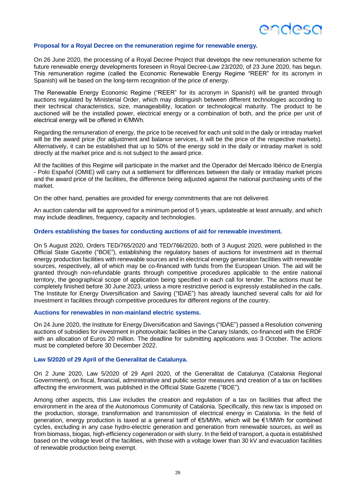

#### **Proposal for a Royal Decree on the remuneration regime for renewable energy.**

On 26 June 2020, the processing of a Royal Decree Project that develops the new remuneration scheme for future renewable energy developments foreseen in Royal Decree-Law 23/2020, of 23 June 2020, has begun. This remuneration regime (called the Economic Renewable Energy Regime "REER" for its acronym in Spanish) will be based on the long-term recognition of the price of energy.

The Renewable Energy Economic Regime ("REER" for its acronym in Spanish) will be granted through auctions regulated by Ministerial Order, which may distinguish between different technologies according to their technical characteristics, size, manageability, location or technological maturity. The product to be auctioned will be the installed power, electrical energy or a combination of both, and the price per unit of electrical energy will be offered in €/MWh.

Regarding the remuneration of energy, the price to be received for each unit sold in the daily or intraday market will be the award price (for adjustment and balance services, it will be the price of the respective markets). Alternatively, it can be established that up to 50% of the energy sold in the daily or intraday market is sold directly at the market price and is not subject to the award price.

All the facilities of this Regime will participate in the market and the Operador del Mercado Ibérico de Energía - Polo Español (OMIE) will carry out a settlement for differences between the daily or intraday market prices and the award price of the facilities, the difference being adjusted against the national purchasing units of the market.

On the other hand, penalties are provided for energy commitments that are not delivered.

An auction calendar will be approved for a minimum period of 5 years, updateable at least annually, and which may include deadlines, frequency, capacity and technologies.

#### **Orders establishing the bases for conducting auctions of aid for renewable investment.**

On 5 August 2020, Orders TED/765/2020 and TED/766/2020, both of 3 August 2020, were published in the Official State Gazette ("BOE"), establishing the regulatory bases of auctions for investment aid in thermal energy production facilities with renewable sources and in electrical energy generation facilities with renewable sources, respectively, all of which may be co-financed with funds from the European Union. The aid will be granted through non-refundable grants through competitive procedures applicable to the entire national territory, the geographical scope of application being specified in each call for tender. The actions must be completely finished before 30 June 2023, unless a more restrictive period is expressly established in the calls. The Institute for Energy Diversification and Saving ("IDAE") has already launched several calls for aid for investment in facilities through competitive procedures for different regions of the country.

#### **Auctions for renewables in non-mainland electric systems.**

On 24 June 2020, the Institute for Energy Diversification and Savings ("IDAE") passed a Resolution convening auctions of subsidies for investment in photovoltaic facilities in the Canary Islands, co-financed with the ERDF with an allocation of Euros 20 million. The deadline for submitting applications was 3 October. The actions must be completed before 30 December 2022.

#### **Law 5/2020 of 29 April of the Generalitat de Catalunya.**

On 2 June 2020, Law 5/2020 of 29 April 2020, of the Generalitat de Catalunya (Catalonia Regional Government), on fiscal, financial, administrative and public sector measures and creation of a tax on facilities affecting the environment, was published in the Official State Gazette ("BOE").

Among other aspects, this Law includes the creation and regulation of a tax on facilities that affect the environment in the area of the Autonomous Community of Catalonia. Specifically, this new tax is imposed on the production, storage, transformation and transmission of electrical energy in Catalonia. In the field of generation, energy production is taxed at a general tariff of €5/MWh, which will be €1/MWh for combined cycles, excluding in any case hydro-electric generation and generation from renewable sources, as well as from biomass, biogas, high-efficiency cogeneration or with slurry. In the field of transport, a quota is established based on the voltage level of the facilities, with those with a voltage lower than 30 kV and evacuation facilities of renewable production being exempt.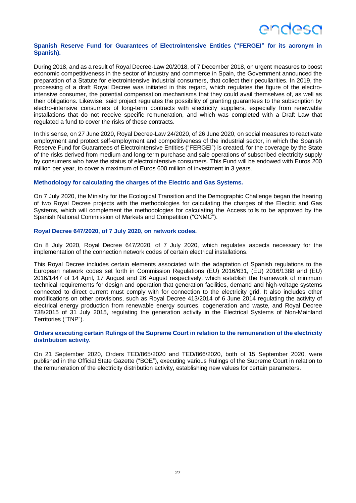## **ANNASC**

#### **Spanish Reserve Fund for Guarantees of Electrointensive Entities ("FERGEI" for its acronym in Spanish).**

During 2018, and as a result of Royal Decree-Law 20/2018, of 7 December 2018, on urgent measures to boost economic competitiveness in the sector of industry and commerce in Spain, the Government announced the preparation of a Statute for electrointensive industrial consumers, that collect their peculiarities. In 2019, the processing of a draft Royal Decree was initiated in this regard, which regulates the figure of the electrointensive consumer, the potential compensation mechanisms that they could avail themselves of, as well as their obligations. Likewise, said project regulates the possibility of granting guarantees to the subscription by electro-intensive consumers of long-term contracts with electricity suppliers, especially from renewable installations that do not receive specific remuneration, and which was completed with a Draft Law that regulated a fund to cover the risks of these contracts.

In this sense, on 27 June 2020, Royal Decree-Law 24/2020, of 26 June 2020, on social measures to reactivate employment and protect self-employment and competitiveness of the industrial sector, in which the Spanish Reserve Fund for Guarantees of Electrointensive Entities ("FERGEI") is created, for the coverage by the State of the risks derived from medium and long-term purchase and sale operations of subscribed electricity supply by consumers who have the status of electrointensive consumers. This Fund will be endowed with Euros 200 million per year, to cover a maximum of Euros 600 million of investment in 3 years.

#### **Methodology for calculating the charges of the Electric and Gas Systems.**

On 7 July 2020, the Ministry for the Ecological Transition and the Demographic Challenge began the hearing of two Royal Decree projects with the methodologies for calculating the charges of the Electric and Gas Systems, which will complement the methodologies for calculating the Access tolls to be approved by the Spanish National Commission of Markets and Competition ("CNMC").

#### **Royal Decree 647/2020, of 7 July 2020, on network codes.**

On 8 July 2020, Royal Decree 647/2020, of 7 July 2020, which regulates aspects necessary for the implementation of the connection network codes of certain electrical installations.

This Royal Decree includes certain elements associated with the adaptation of Spanish regulations to the European network codes set forth in Commission Regulations (EU) 2016/631, (EU) 2016/1388 and (EU) 2016/1447 of 14 April, 17 August and 26 August respectively, which establish the framework of minimum technical requirements for design and operation that generation facilities, demand and high-voltage systems connected to direct current must comply with for connection to the electricity grid. It also includes other modifications on other provisions, such as Royal Decree 413/2014 of 6 June 2014 regulating the activity of electrical energy production from renewable energy sources, cogeneration and waste, and Royal Decree 738/2015 of 31 July 2015, regulating the generation activity in the Electrical Systems of Non-Mainland Territories ("TNP").

#### **Orders executing certain Rulings of the Supreme Court in relation to the remuneration of the electricity distribution activity.**

On 21 September 2020, Orders TED/865/2020 and TED/866/2020, both of 15 September 2020, were published in the Official State Gazette ("BOE"), executing various Rulings of the Supreme Court in relation to the remuneration of the electricity distribution activity, establishing new values for certain parameters.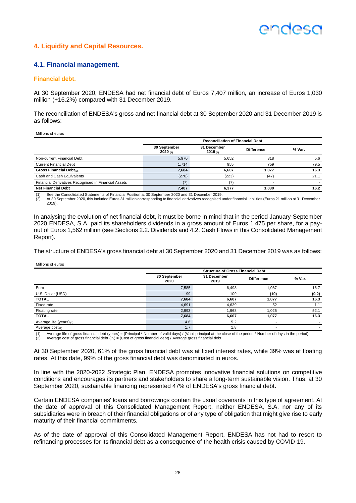## ANNASC

### **4. Liquidity and Capital Resources.**

#### **4.1. Financial management.**

#### **Financial debt.**

At 30 September 2020, ENDESA had net financial debt of Euros 7,407 million, an increase of Euros 1,030 million (+16.2%) compared with 31 December 2019.

The reconciliation of ENDESA's gross and net financial debt at 30 September 2020 and 31 December 2019 is as follows:

Millions of euros

|                                                      | <b>Reconciliation of Financial Debt</b> |                        |                   |        |  |  |
|------------------------------------------------------|-----------------------------------------|------------------------|-------------------|--------|--|--|
|                                                      | 30 September<br>2020(n)                 | 31 December<br>2019(1) | <b>Difference</b> | % Var. |  |  |
| Non-current Financial Debt                           | 5,970                                   | 5.652                  | 318               | 5.6    |  |  |
| <b>Current Financial Debt</b>                        | 1.714                                   | 955                    | 759               | 79.5   |  |  |
| Gross Financial Debt (2)                             | 7,684                                   | 6,607                  | 1.077             | 16.3   |  |  |
| Cash and Cash Equivalents                            | (270)                                   | (223)                  | (47)              | 21.1   |  |  |
| Financial Derivatives Recognised in Financial Assets | (7)                                     |                        |                   |        |  |  |
| <b>Net Financial Debt</b>                            | 7,407                                   | 6.377                  | 1.030             | 16.2   |  |  |

(1) See the Consolidated Statements of Financial Position at 30 September 2020 and 31 December 2019.

At 30 September 2020, this included Euros 31 million corresponding to financial derivatives recognised under financial liabilities (Euros 21 million at 31 December 2019).

In analysing the evolution of net financial debt, it must be borne in mind that in the period January-September 2020 ENDESA, S.A. paid its shareholders dividends in a gross amount of Euros 1.475 per share, for a payout of Euros 1,562 million (see Sections 2.2. Dividends and 4.2. Cash Flows in this Consolidated Management Report).

The structure of ENDESA's gross financial debt at 30 September 2020 and 31 December 2019 was as follows:

Millions of euros

|                            | <b>Structure of Gross Financial Debt</b> |                     |                          |        |  |  |
|----------------------------|------------------------------------------|---------------------|--------------------------|--------|--|--|
|                            | 30 September<br>2020                     | 31 December<br>2019 | <b>Difference</b>        | % Var. |  |  |
| Euro                       | 7,585                                    | 6,498               | 1.087                    | 16.7   |  |  |
| U.S. Dollar (USD)          | 99                                       | 109                 | (10)                     | (9.2)  |  |  |
| <b>TOTAL</b>               | 7,684                                    | 6,607               | 1,077                    | 16.3   |  |  |
| Fixed rate                 | 4,691                                    | 4,639               | 52                       | 1.1    |  |  |
| Floating rate              | 2,993                                    | 1,968               | 1,025                    | 52.1   |  |  |
| <b>TOTAL</b>               | 7,684                                    | 6,607               | 1,077                    | 16.3   |  |  |
| Average life (years) $(1)$ | 4.6                                      | 5.2                 | $\overline{\phantom{a}}$ |        |  |  |
| Average $cost_{(2)}$       | 1.7                                      | 1.8                 | $\overline{\phantom{a}}$ |        |  |  |

(1) Average life of gross financial debt (years) = (Principal \* Number of valid days) / (Valid principal at the close of the period \* Number of days in the period).<br>(2) Average cost of gross financial debt (%) = (Cost of g

Average cost of gross financial debt  $(\%)$  = (Cost of gross financial debt) / Average gross financial debt.

At 30 September 2020, 61% of the gross financial debt was at fixed interest rates, while 39% was at floating rates. At this date, 99% of the gross financial debt was denominated in euros.

In line with the 2020-2022 Strategic Plan, ENDESA promotes innovative financial solutions on competitive conditions and encourages its partners and stakeholders to share a long-term sustainable vision. Thus, at 30 September 2020, sustainable financing represented 47% of ENDESA's gross financial debt.

Certain ENDESA companies' loans and borrowings contain the usual covenants in this type of agreement. At the date of approval of this Consolidated Management Report, neither ENDESA, S.A. nor any of its subsidiaries were in breach of their financial obligations or of any type of obligation that might give rise to early maturity of their financial commitments.

As of the date of approval of this Consolidated Management Report, ENDESA has not had to resort to refinancing processes for its financial debt as a consequence of the health crisis caused by COVID-19.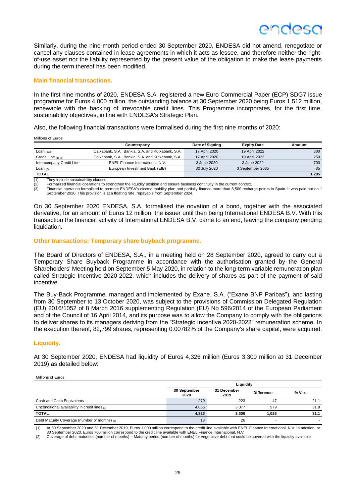Similarly, during the nine-month period ended 30 September 2020, ENDESA did not amend, renegotiate or cancel any clauses contained in lease agreements in which it acts as lessee, and therefore neither the rightof-use asset nor the liability represented by the present value of the obligation to make the lease payments during the term thereof has been modified.

#### **Main financial transactions.**

In the first nine months of 2020, ENDESA S.A. registered a new Euro Commercial Paper (ECP) SDG7 issue programme for Euros 4,000 million, the outstanding balance at 30 September 2020 being Euros 1,512 million, renewable with the backing of irrevocable credit lines. This Programme incorporates, for the first time, sustainability objectives, in line with ENDESA's Strategic Plan.

Also, the following financial transactions were formalised during the first nine months of 2020:

Millions of Euros

|                          | Counterparty                                      | Date of Signing | <b>Expiry Date</b> | Amount |
|--------------------------|---------------------------------------------------|-----------------|--------------------|--------|
| <b>Loan</b> $(1)$ $(2)$  | Caixabank, S.A., Bankia, S.A. and Kutxabank, S.A. | 17 April 2020   | 19 April 2022      | 300    |
| Credit Line $(1)(2)$     | Caixabank, S.A., Bankia, S.A. and Kutxabank, S.A. | 17 April 2020   | 19 April 2022      | 250    |
| Intercompany Credit Line | ENEL Finance International, N.V.                  | 3 June 2020     | 3 June 2022        | 700    |
| Loan $_{(3)}$            | European Investment Bank (EIB)                    | 30 July 2020    | 3 September 2035   | 35     |
| <b>TOTAL</b>             |                                                   |                 |                    | 1.285  |

(1) They include sustainability clauses.

 $\langle 2 \rangle$  Formalized financial operations to strengthen the liquidity position and ensure business continuity in the current context.<br>(3) Financial operation formalized to promote ENDESA's electric mobility plan and partia

Financial operation formalized to promote ENDESA's electric mobility plan and partially finance more than 8,500 recharge points in Spain. It was paid out on 1 September 2020. This provision is at a floating rate, repayable from September 2024.

On 30 September 2020 ENDESA, S.A. formalised the novation of a bond, together with the associated derivative, for an amount of Euros 12 million, the issuer until then being International ENDESA B.V. With this transaction the financial activity of International ENDESA B.V. came to an end, leaving the company pending liquidation.

#### **Other transactions: Temporary share buyback programme.**

The Board of Directors of ENDESA, S.A., in a meeting held on 28 September 2020, agreed to carry out a Temporary Share Buyback Programme in accordance with the authorisation granted by the General Shareholders' Meeting held on September 5 May 2020, in relation to the long-term variable remuneration plan called Strategic Incentive 2020-2022, which includes the delivery of shares as part of the payment of said incentive.

The Buy-Back Programme, managed and implemented by Exane, S.A. ("Exane BNP Paribas"), and lasting from 30 September to 13 October 2020, was subject to the provisions of Commission Delegated Regulation (EU) 2016/1052 of 8 March 2016 supplementing Regulation (EU) No 596/2014 of the European Parliament and of the Council of 16 April 2014, and its purpose was to allow the Company to comply with the obligations to deliver shares to its managers deriving from the "Strategic Incentive 2020-2022" remuneration scheme. In the execution thereof, 82,799 shares, representing 0.00782% of the Company's share capital, were acquired.

#### **Liquidity.**

At 30 September 2020, ENDESA had liquidity of Euros 4,326 million (Euros 3,300 million at 31 December 2019) as detailed below:

#### Millions of Euros

|                                                | Liquidity            |                     |                   |        |  |  |  |
|------------------------------------------------|----------------------|---------------------|-------------------|--------|--|--|--|
|                                                | 30 September<br>2020 | 31 December<br>2019 | <b>Difference</b> | % Var. |  |  |  |
| Cash and Cash Equivalents                      | 270                  | 223                 | 47                | 21.1   |  |  |  |
| Unconditional availability in credit lines (1) | 4.056                | 3.077               | 979               | 31.8   |  |  |  |
| <b>TOTAL</b>                                   | 4,326                | 3.300               | 1.026             | 31.1   |  |  |  |
| Debt Maturity Coverage (number of months) (2)  | 18                   | 26                  |                   | -      |  |  |  |

(1) At 30 September 2020 and 31 December 2019, Euros 1,000 million correspond to the credit line available with ENEL Finance International, N.V. In addition, at 30 September 2020, Euros 700 million correspond to the credit line available with ENEL Finance International, N.V.

(2) Coverage of debt maturities (number of months) = Maturity period (number of months) for vegetative debt that could be covered with the liquidity available.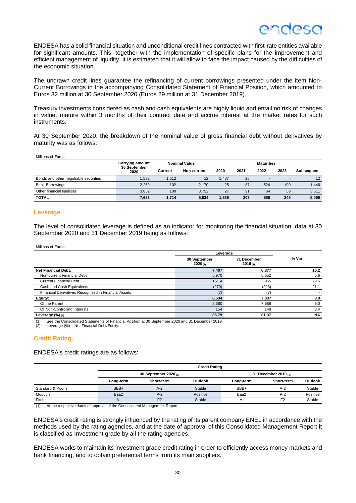## **ANNASO**

ENDESA has a solid financial situation and unconditional credit lines contracted with first-rate entities available for significant amounts. This, together with the implementation of specific plans for the improvement and efficient management of liquidity, it is estimated that it will allow to face the impact caused by the difficulties of the economic situation.

The undrawn credit lines guarantee the refinancing of current borrowings presented under the item Non-Current Borrowings in the accompanying Consolidated Statement of Financial Position, which amounted to Euros 32 million at 30 September 2020 (Euros 29 million at 31 December 2019).

Treasury investments considered as cash and cash equivalents are highly liquid and entail no risk of changes in value, mature within 3 months of their contract date and accrue interest at the market rates for such instruments.

At 30 September 2020, the breakdown of the nominal value of gross financial debt without derivatives by maturity was as follows:

| Millions of Euros |
|-------------------|
|-------------------|

|                                       | <b>Carrying amount</b> |         | <b>Nominal Value</b> |       |      | <b>Maturities</b> |      |            |
|---------------------------------------|------------------------|---------|----------------------|-------|------|-------------------|------|------------|
|                                       | 30 September<br>2020   | Current | Non-current          | 2020  | 2021 | 2022              | 2023 | Subsequent |
| Bonds and other negotiable securities | .532                   | 1.512   | 12                   | .487  | 25   |                   | -    | 12         |
| <b>Bank Borrowings</b>                | 2.269                  | 102     | 2.170                | 25    | 87   | 524               | 190  | 1,446      |
| Other financial liabilities           | 3.852                  | 100     | 3.752                | 27    | 91   | 64                | 59   | 3,611      |
| <b>TOTAL</b>                          | 7,653                  | 1.714   | 5.934                | , 539 | 203  | 588               | 249  | 5,069      |

#### **Leverage.**

The level of consolidated leverage is defined as an indicator for monitoring the financial situation, data at 30 September 2020 and 31 December 2019 being as follows:

#### Millions of Euros

|                                                      | Leverage                |                        |           |
|------------------------------------------------------|-------------------------|------------------------|-----------|
|                                                      | 30 September<br>2020(1) | 31 December<br>2019(1) | % Var.    |
| <b>Net Financial Debt:</b>                           | 7.407                   | 6.377                  | 16.2      |
| Non-current Financial Debt                           | 5,970                   | 5,652                  | 5.6       |
| <b>Current Financial Debt</b>                        | 1.714                   | 955                    | 79.5      |
| Cash and Cash Equivalents                            | (270)                   | (223)                  | 21.1      |
| Financial Derivatives Recognised in Financial Assets | (7)                     | 17                     |           |
| Equity:                                              | 8,534                   | 7,837                  | 8.9       |
| Of the Parent                                        | 8,380                   | 7,688                  | 9.0       |
| Of Non-Controlling Interests                         | 154                     | 149                    | 3.4       |
| Leverage $(\%)$ (2)                                  | 86.79                   | 81.37                  | <b>NA</b> |

See the Consolidated Statements of Financial Position at 30 September 2020 and 31 December 2019.

(2) Leverage (%) = Net Financial Debt/Equity.

#### **Credit Rating.**

ENDESA's credit ratings are as follows:

|                   | <b>Credit Rating</b>       |                |               |           |                        |          |  |  |
|-------------------|----------------------------|----------------|---------------|-----------|------------------------|----------|--|--|
|                   | 30 September 2020 $_{(1)}$ |                |               |           | 31 December 2019 $(n)$ |          |  |  |
|                   | Long-term                  | Short-term     | Outlook       | Long-term | Short-term             | Outlook  |  |  |
| Standard & Poor's | BBB+                       | $A-2$          | Stable        | BBB+      | $A-2$                  | Stable   |  |  |
| Moody's           | Baa2                       | $P-2$          | Positive      | Baa2      | P-2                    | Positive |  |  |
| Fitch             | $A-$                       | F <sub>2</sub> | <b>Stable</b> | $A-$      | F <sub>2</sub>         | Stable   |  |  |

(1) At the respective dates of approval of the Consolidated Management Report.

ENDESA's credit rating is strongly influenced by the rating of its parent company ENEL in accordance with the methods used by the rating agencies, and at the date of approval of this Consolidated Management Report it is classified as Investment grade by all the rating agencies.

ENDESA works to maintain its investment grade credit rating in order to efficiently access money markets and bank financing, and to obtain preferential terms from its main suppliers.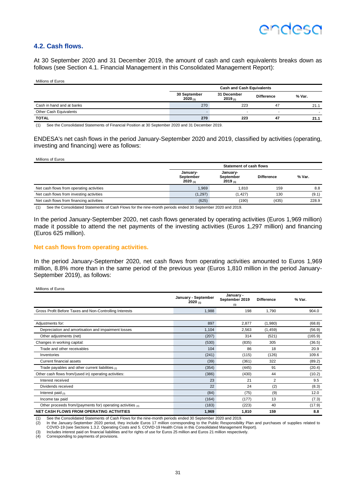### **4.2. Cash flows.**

At 30 September 2020 and 31 December 2019, the amount of cash and cash equivalents breaks down as follows (see Section 4.1. Financial Management in this Consolidated Management Report):

Millions of Euros

|                           | <b>Cash and Cash Equivalents</b> |                        |                   |        |  |  |
|---------------------------|----------------------------------|------------------------|-------------------|--------|--|--|
|                           | 30 September<br>2020(1)          | 31 December<br>2019(1) | <b>Difference</b> | % Var. |  |  |
| Cash in hand and at banks | 270                              | 223                    | 47                | 21.1   |  |  |
| Other Cash Equivalents    |                                  |                        |                   |        |  |  |
| <b>TOTAL</b>              | 270                              | 223                    | 47                | 21.1   |  |  |

(1) See the Consolidated Statements of Financial Position at 30 September 2020 and 31 December 2019.

ENDESA's net cash flows in the period January-September 2020 and 2019, classified by activities (operating, investing and financing) were as follows:

Millions of Euros

|                                          | <b>Statement of cash flows</b>   |                                  |                   |        |  |  |
|------------------------------------------|----------------------------------|----------------------------------|-------------------|--------|--|--|
|                                          | January-<br>September<br>2020(n) | January-<br>September<br>2019(n) | <b>Difference</b> | % Var. |  |  |
| Net cash flows from operating activities | 1,969                            | 1.810                            | 159               | 8.8    |  |  |
| Net cash flows from investing activities | (1,297)                          | (1.427)                          | 130               | (9.1)  |  |  |
| Net cash flows from financing activities | (625)                            | (190)                            | (435)             | 228.9  |  |  |

(1) See the Consolidated Statements of Cash Flows for the nine-month periods ended 30 September 2020 and 2019.

In the period January-September 2020, net cash flows generated by operating activities (Euros 1,969 million) made it possible to attend the net payments of the investing activities (Euros 1,297 million) and financing (Euros 625 million).

#### **Net cash flows from operating activities.**

In the period January-September 2020, net cash flows from operating activities amounted to Euros 1,969 million, 8.8% more than in the same period of the previous year (Euros 1,810 million in the period January-September 2019), as follows:

|                                                                  | January - September<br>2020(1) | January -<br>September 2019<br>(1) | <b>Difference</b> | % Var.  |
|------------------------------------------------------------------|--------------------------------|------------------------------------|-------------------|---------|
| Gross Profit Before Taxes and Non-Controlling Interests          | 1,988                          | 198                                | 1.790             | 904.0   |
|                                                                  |                                |                                    |                   |         |
| Adjustments for:                                                 | 897                            | 2,877                              | (1,980)           | (68.8)  |
| Depreciation and amortisation and impairment losses              | 1,104                          | 2,563                              | (1,459)           | (56.9)  |
| Other adjustments (net)                                          | (207)                          | 314                                | (521)             | (165.9) |
| Changes in working capital:                                      | (530)                          | (835)                              | 305               | (36.5)  |
| Trade and other receivables                                      | 104                            | 86                                 | 18                | 20.9    |
| Inventories                                                      | (241)                          | (115)                              | (126)             | 109.6   |
| Current financial assets                                         | (39)                           | (361)                              | 322               | (89.2)  |
| Trade payables and other current liabilities $(2)$               | (354)                          | (445)                              | 91                | (20.4)  |
| Other cash flows from/(used in) operating activities:            | (386)                          | (430)                              | 44                | (10.2)  |
| Interest received                                                | 23                             | 21                                 | 2                 | 9.5     |
| Dividends received                                               | 22                             | 24                                 | (2)               | (8.3)   |
| Interest paid $(3)$                                              | (84)                           | (75)                               | (9)               | 12.0    |
| Income tax paid                                                  | (164)                          | (177)                              | 13                | (7.3)   |
| Other proceeds from/(payments for) operating activities $_{(4)}$ | (183)                          | (223)                              | 40                | (17.9)  |
| <b>NET CASH FLOWS FROM OPERATING ACTIVITIES</b>                  | 1,969                          | 1,810                              | 159               | 8.8     |

(1) See the Consolidated Statements of Cash Flows for the nine-month periods ended 30 September 2020 and 2019.<br>(2) In the January-September 2020 period, they include Euros 17 million corresponding to the Public Responsibil COVID-19 (see Sections 1.3.2. Operating Costs and 5. COVID-19 Health Crisis in this Consolidated Management Report).

(3) Includes interest paid on financial liabilities and for rights of use for Euros 25 million and Euros 21 million respectively.

(4) Corresponding to payments of provisions.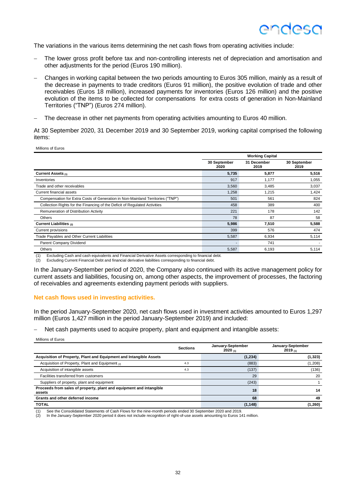The variations in the various items determining the net cash flows from operating activities include:

- The lower gross profit before tax and non-controlling interests net of depreciation and amortisation and other adjustments for the period (Euros 190 million).
- − Changes in working capital between the two periods amounting to Euros 305 million, mainly as a result of the decrease in payments to trade creditors (Euros 91 million), the positive evolution of trade and other receivables (Euros 18 million), increased payments for inventories (Euros 126 million) and the positive evolution of the items to be collected for compensations for extra costs of generation in Non-Mainland Territories ("TNP") (Euros 274 million).
- The decrease in other net payments from operating activities amounting to Euros 40 million.

At 30 September 2020, 31 December 2019 and 30 September 2019, working capital comprised the following items:

Millions of Euros

|                                                                                |                          | <b>Working Capital</b> |                      |  |  |
|--------------------------------------------------------------------------------|--------------------------|------------------------|----------------------|--|--|
|                                                                                | 30 September<br>2020     | 31 December<br>2019    | 30 September<br>2019 |  |  |
| <b>Current Assets (1)</b>                                                      | 5,735                    | 5,877                  | 5,516                |  |  |
| Inventories                                                                    | 917                      | 1,177                  | 1,055                |  |  |
| Trade and other receivables                                                    | 3,560                    | 3,485                  | 3,037                |  |  |
| Current financial assets                                                       | 1,258                    | 1,215                  | 1,424                |  |  |
| Compensation for Extra Costs of Generation in Non-Mainland Territories ("TNP") | 501                      | 561                    | 824                  |  |  |
| Collection Rights for the Financing of the Deficit of Regulated Activities     | 458                      | 389                    | 400                  |  |  |
| Remuneration of Distribution Activity                                          | 221                      | 178                    | 142                  |  |  |
| <b>Others</b>                                                                  | 78                       | 87                     | 58                   |  |  |
| <b>Current Liabilities (2)</b>                                                 | 5,986                    | 7,510                  | 5,588                |  |  |
| Current provisions                                                             | 399                      | 576                    | 474                  |  |  |
| Trade Payables and Other Current Liabilities                                   | 5,587                    | 6,934                  | 5,114                |  |  |
| Parent Company Dividend                                                        | $\overline{\phantom{a}}$ | 741                    |                      |  |  |
| <b>Others</b>                                                                  | 5,587                    | 6,193                  | 5,114                |  |  |

(1) Excluding Cash and cash equivalents and Financial Derivative Assets corresponding to financial debt. (2) Excluding Current Financial Debt and financial derivative liabilities corresponding to financial debt.

In the January-September period of 2020, the Company also continued with its active management policy for current assets and liabilities, focusing on, among other aspects, the improvement of processes, the factoring of receivables and agreements extending payment periods with suppliers.

#### **Net cash flows used in investing activities.**

In the period January-September 2020, net cash flows used in investment activities amounted to Euros 1,297 million (Euros 1,427 million in the period January-September 2019) and included:

Net cash payments used to acquire property, plant and equipment and intangible assets:

Millions of Euros

|                                                                               | <b>Sections</b> | January-September<br>2020 (1) | January-September<br>2019(n) |
|-------------------------------------------------------------------------------|-----------------|-------------------------------|------------------------------|
| Acquisition of Property, Plant and Equipment and Intangible Assets            |                 | (1,234)                       | (1, 323)                     |
| Acquisition of Property, Plant and Equipment (2)                              | 4.3             | (883)                         | (1,208)                      |
| Acquisition of intangible assets                                              | 4.3             | (137)                         | (136)                        |
| Facilities transferred from customers                                         |                 | 29                            | 20                           |
| Suppliers of property, plant and equipment                                    |                 | (243)                         |                              |
| Proceeds from sales of property, plant and equipment and intangible<br>assets |                 | 18                            | 14                           |
| Grants and other deferred income                                              |                 | 68                            | 49                           |
| <b>TOTAL</b>                                                                  |                 | (1, 148)                      | (1,260)                      |

(1) See the Consolidated Statements of Cash Flows for the nine-month periods ended 30 September 2020 and 2019.

(2) In the January-September 2020 period it does not include recognition of right-of-use assets amounting to Euros 141 million.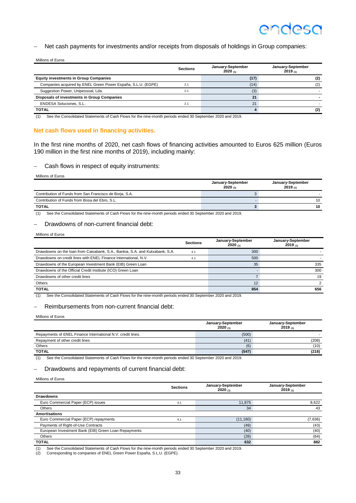#### Net cash payments for investments and/or receipts from disposals of holdings in Group companies:

| Millions of Euros                                            |                 |                              |                              |  |  |  |  |
|--------------------------------------------------------------|-----------------|------------------------------|------------------------------|--|--|--|--|
|                                                              | <b>Sections</b> | January-September<br>2020(1) | January-September<br>2019(n) |  |  |  |  |
| <b>Equity investments in Group Companies</b>                 |                 | (17)                         | (2)                          |  |  |  |  |
| Companies acquired by ENEL Green Power España, S.L.U. (EGPE) | 2.1             | (14)                         | (2)                          |  |  |  |  |
| Suggestion Power, Unipessoal, Lda.                           | 2.1             | (3)                          |                              |  |  |  |  |
| <b>Disposals of investments in Group Companies</b>           |                 | 21                           |                              |  |  |  |  |
| ENDESA Soluciones, S.L.                                      | 2.1             | 21                           |                              |  |  |  |  |
| <b>TOTAL</b>                                                 |                 |                              | (2)                          |  |  |  |  |

(1) See the Consolidated Statements of Cash Flows for the nine-month periods ended 30 September 2020 and 2019.

#### **Net cash flows used in financing activities.**

In the first nine months of 2020, net cash flows of financing activities amounted to Euros 625 million (Euros 190 million in the first nine months of 2019), including mainly:

− Cash flows in respect of equity instruments:

Millions of Euros

|                                                         | January-September<br>2020(1) | January-September<br>2019(1) |
|---------------------------------------------------------|------------------------------|------------------------------|
| Contribution of Funds from San Francisco de Borja, S.A. |                              |                              |
| Contribution of Funds from Bosa del Ebro, S.L.          |                              | 10                           |
| <b>TOTAL</b>                                            |                              | 10                           |

(1) See the Consolidated Statements of Cash Flows for the nine-month periods ended 30 September 2020 and 2019.

#### − Drawdowns of non-current financial debt:

Millions of Euros

|                                                                              | <b>Sections</b> | January-September<br>2020 (1) | January-September<br>$2019_{(1)}$ |
|------------------------------------------------------------------------------|-----------------|-------------------------------|-----------------------------------|
| Drawdowns on the loan from Caixabank, S.A., Bankia, S.A. and Kutxabank, S.A. | 4.1             | 300                           |                                   |
| Drawdowns on credit lines with ENEL Finance International, N.V.              | 4.1             | 500                           |                                   |
| Drawdowns of the European Investment Bank (EIB) Green Loan                   |                 | 35                            | 335                               |
| Drawdowns of the Official Credit Institute (ICO) Green Loan                  |                 |                               | 300                               |
| Drawdowns of other credit lines                                              |                 |                               | 19                                |
| <b>Others</b>                                                                |                 | 12                            |                                   |
| <b>TOTAL</b>                                                                 |                 | 854                           | 656                               |

(1) See the Consolidated Statements of Cash Flows for the nine-month periods ended 30 September 2020 and 2019.

#### − Reimbursements from non-current financial debt:

Millions of Euros

|                                                             | January-September<br>2020(1) | January-September<br>2019 $_{(1)}$ |
|-------------------------------------------------------------|------------------------------|------------------------------------|
| Repayments of ENEL Finance International N.V. credit lines. | (500)                        |                                    |
| Repayment of other credit lines                             | (41)                         | (208)                              |
| Others                                                      | (6)                          | (10)                               |
| <b>TOTAL</b>                                                | (547)                        | (218)                              |

(1) See the Consolidated Statements of Cash Flows for the nine-month periods ended 30 September 2020 and 2019.

#### − Drawdowns and repayments of current financial debt:

Millions of Euros

|                                                      | <b>Sections</b> | January-September<br>2020 $(1)$ | January-September<br>$2019_{(1)}$ |
|------------------------------------------------------|-----------------|---------------------------------|-----------------------------------|
| Drawdowns                                            |                 |                                 |                                   |
| Euro Commercial Paper (ECP) issues                   | 4.1             | 11,875                          | 8,622                             |
| Others                                               |                 | 34                              | 43                                |
| <b>Amortisations</b>                                 |                 |                                 |                                   |
| Euro Commercial Paper (ECP) repayments               | 4.1             | (11, 160)                       | (7,636)                           |
| Payments of Right-of-Use Contracts                   |                 | (49)                            | (43)                              |
| European Investment Bank (EIB) Green Loan Repayments |                 | (40)                            | (40)                              |
| <b>Others</b>                                        |                 | (28)                            | (64)                              |
| <b>TOTAL</b>                                         |                 | 632                             | 882                               |

(1) See the Consolidated Statements of Cash Flows for the nine-month periods ended 30 September 2020 and 2019.<br>(2) Corresponding to companies of ENFL Green Power España S LU (EGPE)

(2) Corresponding to companies of ENEL Green Power España, S.L.U. (EGPE).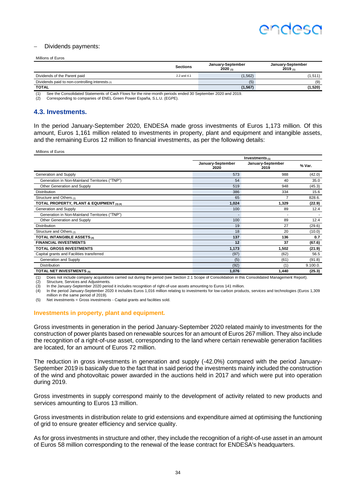

#### − Dividends payments:

#### Millions of Euros

|                                                      | <b>Sections</b> | January-September<br>2020(n) | January-September<br>2019(n) |
|------------------------------------------------------|-----------------|------------------------------|------------------------------|
| Dividends of the Parent paid                         | 2.2 and 4.1     | (1, 562)                     | (1,511)                      |
| Dividends paid to non-controlling interests $_{(2)}$ |                 | (5)                          | (9)                          |
| <b>TOTAL</b>                                         |                 | (1, 567)                     | (1,520)                      |

(1) See the Consolidated Statements of Cash Flows for the nine-month periods ended 30 September 2020 and 2019.

(2) Corresponding to companies of ENEL Green Power España, S.L.U. (EGPE).

#### **4.3. Investments.**

In the period January-September 2020, ENDESA made gross investments of Euros 1,173 million. Of this amount, Euros 1,161 million related to investments in property, plant and equipment and intangible assets, and the remaining Euros 12 million to financial investments, as per the following details:

Millions of Euros

|                                                | Investments $(1)$         |                           |          |
|------------------------------------------------|---------------------------|---------------------------|----------|
|                                                | January-September<br>2020 | January-September<br>2019 | % Var.   |
| Generation and Supply                          | 573                       | 988                       | (42.0)   |
| Generation in Non-Mainland Territories ("TNP") | 54                        | 40                        | 35.0     |
| Other Generation and Supply                    | 519                       | 948                       | (45.3)   |
| <b>Distribution</b>                            | 386                       | 334                       | 15.6     |
| Structure and Others (2)                       | 65                        | 7                         | 828.6.   |
| TOTAL PROPERTY, PLANT & EQUIPMENT (3) (4)      | 1,024                     | 1,329                     | (22.9)   |
| Generation and Supply                          | 100                       | 89                        | 12.4     |
| Generation in Non-Mainland Territories ("TNP") |                           |                           |          |
| Other Generation and Supply                    | 100                       | 89                        | 12.4     |
| <b>Distribution</b>                            | 19                        | 27                        | (29.6)   |
| Structure and Others (2)                       | 18                        | 20                        | (10.0)   |
| TOTAL INTANGIBLE ASSETS (4)                    | 137                       | 136                       | 0.7      |
| <b>FINANCIAL INVESTMENTS</b>                   | 12                        | 37                        | (67.6)   |
| <b>TOTAL GROSS INVESTMENTS</b>                 | 1,173                     | 1,502                     | (21.9)   |
| Capital grants and Facilities transferred      | (97)                      | (62)                      | 56.5     |
| Generation and Supply                          | (5)                       | (61)                      | (91.8)   |
| <b>Distribution</b>                            | (92)                      | (1)                       | 9.100.0. |
| TOTAL NET INVESTMENTS (5)                      | 1,076                     | 1,440                     | (25.3)   |

(1) Does not include company acquisitions carried out during the period (see Section 2.1 Scope of Consolidation in this Consolidated Management Report).

(2) Structure, Services and Adjustments.<br>(3) In the January-September 2020 perio (3) In the January-September 2020 period it includes recognition of right-of-use assets amounting to Euros 141 million. In the period January-September 2020 it includes Euros 1,016 million relating to investments for low-carbon products, services and technologies (Euros 1,309

million in the same period of 2019).

(5) Net investments = Gross investments - Capital grants and facilities sold.

#### **Investments in property, plant and equipment.**

Gross investments in generation in the period January-September 2020 related mainly to investments for the construction of power plants based on renewable sources for an amount of Euros 267 million. They also include the recognition of a right-of-use asset, corresponding to the land where certain renewable generation facilities are located, for an amount of Euros 72 million.

The reduction in gross investments in generation and supply (-42.0%) compared with the period January-September 2019 is basically due to the fact that in said period the investments mainly included the construction of the wind and photovoltaic power awarded in the auctions held in 2017 and which were put into operation during 2019.

Gross investments in supply correspond mainly to the development of activity related to new products and services amounting to Euros 13 million.

Gross investments in distribution relate to grid extensions and expenditure aimed at optimising the functioning of grid to ensure greater efficiency and service quality.

As for gross investments in structure and other, they include the recognition of a right-of-use asset in an amount of Euros 58 million corresponding to the renewal of the lease contract for ENDESA's headquarters.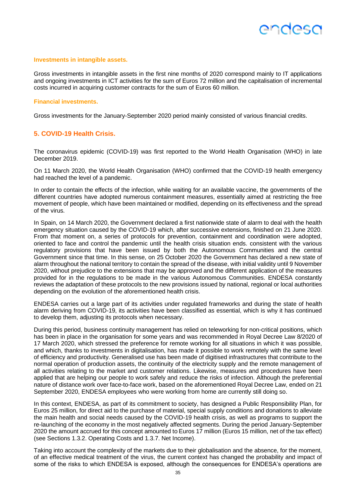#### **Investments in intangible assets.**

Gross investments in intangible assets in the first nine months of 2020 correspond mainly to IT applications and ongoing investments in ICT activities for the sum of Euros 72 million and the capitalisation of incremental costs incurred in acquiring customer contracts for the sum of Euros 60 million.

#### **Financial investments.**

Gross investments for the January-September 2020 period mainly consisted of various financial credits.

#### **5. COVID-19 Health Crisis.**

The coronavirus epidemic (COVID-19) was first reported to the World Health Organisation (WHO) in late December 2019.

On 11 March 2020, the World Health Organisation (WHO) confirmed that the COVID-19 health emergency had reached the level of a pandemic.

In order to contain the effects of the infection, while waiting for an available vaccine, the governments of the different countries have adopted numerous containment measures, essentially aimed at restricting the free movement of people, which have been maintained or modified, depending on its effectiveness and the spread of the virus.

In Spain, on 14 March 2020, the Government declared a first nationwide state of alarm to deal with the health emergency situation caused by the COVID-19 which, after successive extensions, finished on 21 June 2020. From that moment on, a series of protocols for prevention, containment and coordination were adopted, oriented to face and control the pandemic until the health crisis situation ends. consistent with the various regulatory provisions that have been issued by both the Autonomous Communities and the central Government since that time. In this sense, on 25 October 2020 the Government has declared a new state of alarm throughout the national territory to contain the spread of the disease, with initial validity until 9 November 2020, without prejudice to the extensions that may be approved and the different application of the measures provided for in the regulations to be made in the various Autonomous Communities. ENDESA constantly reviews the adaptation of these protocols to the new provisions issued by national, regional or local authorities depending on the evolution of the aforementioned health crisis.

ENDESA carries out a large part of its activities under regulated frameworks and during the state of health alarm deriving from COVID-19, its activities have been classified as essential, which is why it has continued to develop them, adjusting its protocols when necessary.

During this period, business continuity management has relied on teleworking for non-critical positions, which has been in place in the organisation for some years and was recommended in Royal Decree Law 8/2020 of 17 March 2020, which stressed the preference for remote working for all situations in which it was possible, and which, thanks to investments in digitalisation, has made it possible to work remotely with the same level of efficiency and productivity. Generalised use has been made of digitised infrastructures that contribute to the normal operation of production assets, the continuity of the electricity supply and the remote management of all activities relating to the market and customer relations. Likewise, measures and procedures have been applied that are helping our people to work safely and reduce the risks of infection. Although the preferential nature of distance work over face-to-face work, based on the aforementioned Royal Decree Law, ended on 21 September 2020, ENDESA employees who were working from home are currently still doing so.

In this context, ENDESA, as part of its commitment to society, has designed a Public Responsibility Plan, for Euros 25 million, for direct aid to the purchase of material, special supply conditions and donations to alleviate the main health and social needs caused by the COVID-19 health crisis, as well as programs to support the re-launching of the economy in the most negatively affected segments. During the period January-September 2020 the amount accrued for this concept amounted to Euros 17 million (Euros 15 million, net of the tax effect) (see Sections 1.3.2. Operating Costs and 1.3.7. Net Income).

Taking into account the complexity of the markets due to their globalisation and the absence, for the moment, of an effective medical treatment of the virus, the current context has changed the probability and impact of some of the risks to which ENDESA is exposed, although the consequences for ENDESA's operations are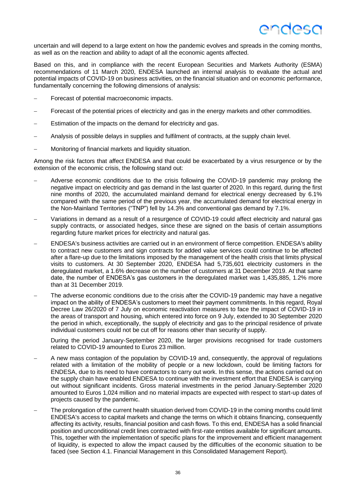uncertain and will depend to a large extent on how the pandemic evolves and spreads in the coming months, as well as on the reaction and ability to adapt of all the economic agents affected.

Based on this, and in compliance with the recent European Securities and Markets Authority (ESMA) recommendations of 11 March 2020, ENDESA launched an internal analysis to evaluate the actual and potential impacts of COVID-19 on business activities, on the financial situation and on economic performance, fundamentally concerning the following dimensions of analysis:

- − Forecast of potential macroeconomic impacts.
- Forecast of the potential prices of electricity and gas in the energy markets and other commodities.
- Estimation of the impacts on the demand for electricity and gas.
- − Analysis of possible delays in supplies and fulfilment of contracts, at the supply chain level.
- Monitoring of financial markets and liquidity situation.

Among the risk factors that affect ENDESA and that could be exacerbated by a virus resurgence or by the extension of the economic crisis, the following stand out:

- − Adverse economic conditions due to the crisis following the COVID-19 pandemic may prolong the negative impact on electricity and gas demand in the last quarter of 2020. In this regard, during the first nine months of 2020, the accumulated mainland demand for electrical energy decreased by 6.1% compared with the same period of the previous year, the accumulated demand for electrical energy in the Non-Mainland Territories ("TNP") fell by 14.3% and conventional gas demand by 7.1%.
- Variations in demand as a result of a resurgence of COVID-19 could affect electricity and natural gas supply contracts, or associated hedges, since these are signed on the basis of certain assumptions regarding future market prices for electricity and natural gas.
- ENDESA's business activities are carried out in an environment of fierce competition. ENDESA's ability to contract new customers and sign contracts for added value services could continue to be affected after a flare-up due to the limitations imposed by the management of the health crisis that limits physical visits to customers. At 30 September 2020, ENDESA had 5,735,601 electricity customers in the deregulated market, a 1.6% decrease on the number of customers at 31 December 2019. At that same date, the number of ENDESA's gas customers in the deregulated market was 1,435,885, 1.2% more than at 31 December 2019.
- The adverse economic conditions due to the crisis after the COVID-19 pandemic may have a negative impact on the ability of ENDESA's customers to meet their payment commitments. In this regard, Royal Decree Law 26/2020 of 7 July on economic reactivation measures to face the impact of COVID-19 in the areas of transport and housing, which entered into force on 9 July, extended to 30 September 2020 the period in which, exceptionally, the supply of electricity and gas to the principal residence of private individual customers could not be cut off for reasons other than security of supply.

During the period January-September 2020, the larger provisions recognised for trade customers related to COVID-19 amounted to Euros 23 million.

- − A new mass contagion of the population by COVID-19 and, consequently, the approval of regulations related with a limitation of the mobility of people or a new lockdown, could be limiting factors for ENDESA, due to its need to have contractors to carry out work. In this sense, the actions carried out on the supply chain have enabled ENDESA to continue with the investment effort that ENDESA is carrying out without significant incidents. Gross material investments in the period January-September 2020 amounted to Euros 1,024 million and no material impacts are expected with respect to start-up dates of projects caused by the pandemic.
- The prolongation of the current health situation derived from COVID-19 in the coming months could limit ENDESA's access to capital markets and change the terms on which it obtains financing, consequently affecting its activity, results, financial position and cash flows. To this end, ENDESA has a solid financial position and unconditional credit lines contracted with first-rate entities available for significant amounts. This, together with the implementation of specific plans for the improvement and efficient management of liquidity, is expected to allow the impact caused by the difficulties of the economic situation to be faced (see Section 4.1. Financial Management in this Consolidated Management Report).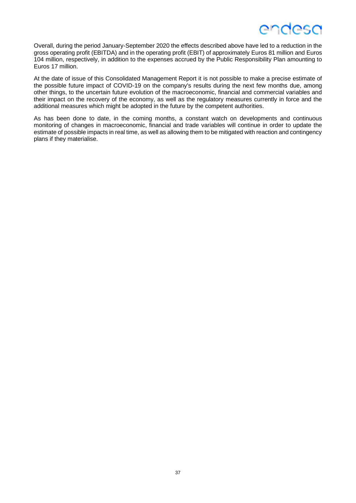Overall, during the period January-September 2020 the effects described above have led to a reduction in the gross operating profit (EBITDA) and in the operating profit (EBIT) of approximately Euros 81 million and Euros 104 million, respectively, in addition to the expenses accrued by the Public Responsibility Plan amounting to Euros 17 million.

At the date of issue of this Consolidated Management Report it is not possible to make a precise estimate of the possible future impact of COVID-19 on the company's results during the next few months due, among other things, to the uncertain future evolution of the macroeconomic, financial and commercial variables and their impact on the recovery of the economy, as well as the regulatory measures currently in force and the additional measures which might be adopted in the future by the competent authorities.

As has been done to date, in the coming months, a constant watch on developments and continuous monitoring of changes in macroeconomic, financial and trade variables will continue in order to update the estimate of possible impacts in real time, as well as allowing them to be mitigated with reaction and contingency plans if they materialise.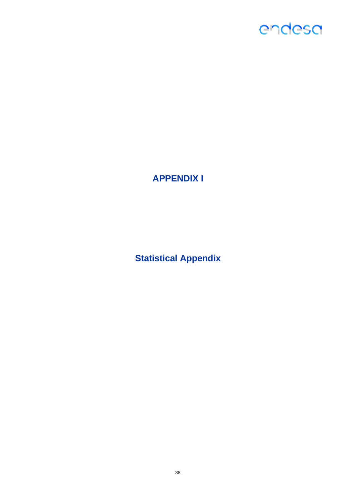

**APPENDIX I**

**Statistical Appendix**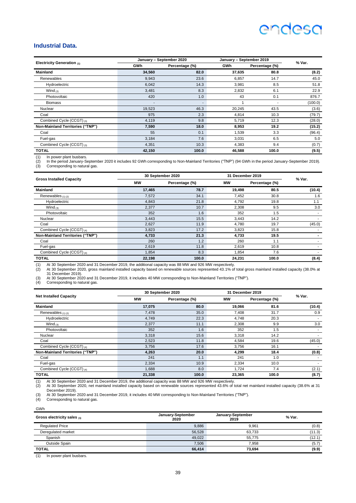#### **Industrial Data.**

|                                         |            | January - September 2020 |            | January - September 2019 |         |
|-----------------------------------------|------------|--------------------------|------------|--------------------------|---------|
| Electricity Generation $(1)$            | <b>GWh</b> | Percentage (%)           | <b>GWh</b> | Percentage (%)           | % Var.  |
| <b>Mainland</b>                         | 34,560     | 82.0                     | 37,635     | 80.8                     | (8.2)   |
| Renewables                              | 9,943      | 23.6                     | 6,857      | 14.7                     | 45.0    |
| Hydroelectric                           | 6,042      | 14.3                     | 3,981      | 8.5                      | 51.8    |
| Wind $(2)$                              | 3,481      | 8.3                      | 2,832      | 6.1                      | 22.9    |
| Photovoltaic                            | 420        | 1.0                      | 43         | 0.1                      | 876.7   |
| <b>Biomass</b>                          |            |                          |            |                          | (100.0) |
| Nuclear                                 | 19,523     | 46.3                     | 20,245     | 43.5                     | (3.6)   |
| Coal                                    | 975        | 2.3                      | 4,814      | 10.3                     | (79.7)  |
| Combined Cycle (CCGT) (3)               | 4,119      | 9.8                      | 5,719      | 12.3                     | (28.0)  |
| <b>Non-Mainland Territories ("TNP")</b> | 7,590      | 18.0                     | 8,953      | 19.2                     | (15.2)  |
| Coal                                    | 55         | 0.1                      | 1,539      | 3.3                      | (96.4)  |
| Fuel-gas                                | 3,184      | 7.6                      | 3,031      | 6.5                      | 5.0     |
| Combined Cycle (CCGT) (3)               | 4,351      | 10.3                     | 4,383      | 9.4                      | (0.7)   |
| <b>TOTAL</b>                            | 42,150     | 100.0                    | 46,588     | 100.0                    | (9.5)   |

(1) In power plant busbars. (2) In the period January-September 2020 it includes 92 GWh corresponding to Non-Mainland Territories ("TNP") (94 GWh in the period January-September 2019). (3) Corresponding to natural gas.

|                                         |           | 30 September 2020 |        | 31 December 2019 |        |
|-----------------------------------------|-----------|-------------------|--------|------------------|--------|
| <b>Gross Installed Capacity</b>         | <b>MW</b> | Percentage (%)    | МW     | Percentage (%)   | % Var. |
| <b>Mainland</b>                         | 17,465    | 78.7              | 19,498 | 80.5             | (10.4) |
| Renewables $(1)$ $(2)$                  | 7,572     | 34.1              | 7,452  | 30.8             | 1.6    |
| Hydroelectric                           | 4,843     | 21.8              | 4,792  | 19.8             | 1.1    |
| Wind $_{(3)}$                           | 2,377     | 10.7              | 2,308  | 9.5              | 3.0    |
| Photovoltaic                            | 352       | 1.6               | 352    | 1.5              |        |
| Nuclear                                 | 3,443     | 15.5              | 3,443  | 14.2             |        |
| Coal                                    | 2,627     | 11.9              | 4,780  | 19.7             | (45.0) |
| Combined Cycle (CCGT) (4)               | 3,823     | 17.2              | 3,823  | 15.8             |        |
| <b>Non-Mainland Territories ("TNP")</b> | 4,733     | 21.3              | 4,733  | 19.5             |        |
| Coal                                    | 260       | 1.2               | 260    | 1.1              |        |
| Fuel-gas                                | 2,619     | 11.8              | 2,619  | 10.8             |        |
| Combined Cycle (CCGT) (4)               | 1,854     | 8.3               | 1,854  | 7.6              |        |
| <b>TOTAL</b>                            | 22,198    | 100.0             | 24,231 | 100.0            | (8.4)  |

(1) At 30 September 2020 and 31 December 2019, the additional capacity was 88 MW and 926 MW respectively.<br>(2) At 30 September 2020, gross mainland installed capacity based on renewable sources represented 43.1% of total gr

(3) At 30 September 2020 and 31 December 2019, it includes 40 MW corresponding to Non-Mainland Territories ("TNP").

Corresponding to natural gas.

|                                         |           | 30 September 2020 |           | 31 December 2019 |        |
|-----------------------------------------|-----------|-------------------|-----------|------------------|--------|
| <b>Net Installed Capacity</b>           | <b>MW</b> | Percentage (%)    | <b>MW</b> | Percentage (%)   | % Var. |
| <b>Mainland</b>                         | 17,075    | 80.0              | 19,066    | 81.6             | (10.4) |
| Renewables $(1)$ $(2)$                  | 7,478     | 35.0              | 7,408     | 31.7             | 0.9    |
| Hydroelectric                           | 4,749     | 22.3              | 4,748     | 20.3             |        |
| Wind $(3)$                              | 2,377     | 11.1              | 2,308     | 9.9              | 3.0    |
| Photovoltaic                            | 352       | 1.6               | 352       | 1.5              |        |
| Nuclear                                 | 3,318     | 15.6              | 3,318     | 14.2             |        |
| Coal                                    | 2,523     | 11.8              | 4,584     | 19.6             | (45.0) |
| Combined Cycle (CCGT) (4)               | 3,756     | 17.6              | 3,756     | 16.1             |        |
| <b>Non-Mainland Territories ("TNP")</b> | 4,263     | 20.0              | 4,299     | 18.4             | (0.8)  |
| Coal                                    | 241       | 1.1               | 241       | 1.0              |        |
| Fuel-gas                                | 2,334     | 10.9              | 2,334     | 10.0             | ۰      |
| Combined Cycle (CCGT) (4)               | 1,688     | 8.0               | 1,724     | 7.4              | (2.1)  |
| <b>TOTAL</b>                            | 21,338    | 100.0             | 23,365    | 100.0            | (8.7)  |

(1) At 30 September 2020 and 31 December 2019, the additional capacity was 88 MW and 926 MW respectively.<br>(2) At 30 September 2020, net mainland installed capacity based on renewable sources represented 43.6% of total net December 2019).

(3) At 30 September 2020 and 31 December 2019, it includes 40 MW corresponding to Non-Mainland Territories ("TNP"). (4) Corresponding to natural gas.

GWh

| Gross electricity sales (1) | January-September<br>2020 | January-September<br>2019 | % Var. |
|-----------------------------|---------------------------|---------------------------|--------|
| <b>Regulated Price</b>      | 9,886                     | 9.961                     | (0.8)  |
| Deregulated market          | 56.528                    | 63.733                    | (11.3) |
| Spanish                     | 49.022                    | 55.775                    | (12.1) |
| Outside Spain               | 7,506                     | 7.958                     | (5.7)  |
| <b>TOTAL</b>                | 66,414                    | 73,694                    | (9.9)  |

(1) In power plant busbars.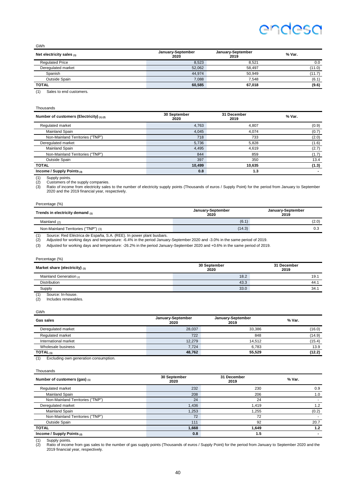GWh

| Net electricity sales $(1)$ | January-September<br>2020 | January-September<br>2019 | % Var. |
|-----------------------------|---------------------------|---------------------------|--------|
| <b>Requlated Price</b>      | 8,523                     | 8.521                     | 0.0    |
| Deregulated market          | 52.062                    | 58.497                    | (11.0) |
| Spanish                     | 44.974                    | 50.949                    | (11.7) |
| Outside Spain               | 7.088                     | 7.548                     | (6.1)  |
| <b>TOTAL</b>                | 60,585                    | 67.018                    | (9.6)  |

(1) Sales to end customers.

Thousands

| Number of customers (Electricity) (1) (2) | 30 September<br>2020 | 31 December<br>2019 | % Var. |
|-------------------------------------------|----------------------|---------------------|--------|
| Regulated market                          | 4,763                | 4.807               | (0.9)  |
| Mainland Spain                            | 4,045                | 4.074               | (0.7)  |
| Non-Mainland Territories ("TNP")          | 718                  | 733                 | (2.0)  |
| Deregulated market                        | 5,736                | 5,828               | (1.6)  |
| Mainland Spain                            | 4,495                | 4.619               | (2.7)  |
| Non-Mainland Territories ("TNP")          | 844                  | 859                 | (1.7)  |
| Outside Spain                             | 397                  | 350                 | 13.4   |
| <b>TOTAL</b>                              | 10,499               | 10,635              | (1.3)  |
| Income / Supply Points $(3)$              | 0.8                  | 1.3                 |        |

(1) Supply points.<br>(2) Customers of<br>(3) Ratio of incom (2) Customers of the supply companies.<br>(3) Ratio of income from electricity sales to the number of electricity supply points (Thousands of euros / Supply Point) for the period from January to September<br>2020 and the 2019 fi

#### Percentage (%)

| Trends in electricity demand (1)     | January-September<br>2020 | January-September<br>2019 |
|--------------------------------------|---------------------------|---------------------------|
| Mainland $(2)$                       | (6.1)                     | (2.0)                     |
| Non-Mainland Territories ("TNP") (3) | (14.3)                    | 0.3                       |

(1) Source: Red Eléctrica de España, S.A. (REE). In power plant busbars. (2) Adjusted for working days and temperature: -6.4% in the period January-September 2020 and -3.0% in the same period of 2019.

(3) Adjusted for working days and temperature: -26.2% in the period January-September 2020 and +0.6% in the same period of 2019.

| Percentage (%)                      |                      |                     |
|-------------------------------------|----------------------|---------------------|
| Market share (electricity) $_{(1)}$ | 30 September<br>2020 | 31 December<br>2019 |
| Mainland Generation (2)             | 18.2                 | 19.1                |
| <b>Distribution</b>                 | 43.3                 | 44.1                |
| Supply                              | 33.0                 | 34.1                |
| $(4)$ Course In house               |                      |                     |

(1) Source: In-house. (2) Includes renewables.

#### GWh

| Gas sales            | January-September<br>2020 | January-September<br>2019 | % Var. |
|----------------------|---------------------------|---------------------------|--------|
| Deregulated market   | 28,037                    | 33.386                    | (16.0) |
| Regulated market     | 722                       | 848                       | (14.9) |
| International market | 12.279                    | 14.512                    | (15.4) |
| Wholesale business   | 7,724                     | 6.783                     | 13.9   |
| TOTAL $_{(1)}$       | 48,762                    | 55,529                    | (12.2) |

(1) Excluding own generation consumption.

Thousands

| Number of customers (gas) $_{(1)}$ | 30 September<br>2020 | 31 December<br>2019 | % Var. |
|------------------------------------|----------------------|---------------------|--------|
| Regulated market                   | 232                  | 230                 | 0.9    |
| <b>Mainland Spain</b>              | 208                  | 206                 | 1.0    |
| Non-Mainland Territories ("TNP")   | 24                   | 24                  |        |
| Deregulated market                 | 1,436                | .419                | 1.2    |
| <b>Mainland Spain</b>              | 1,253                | .255                | (0.2)  |
| Non-Mainland Territories ("TNP")   | 72                   | 72                  |        |
| Outside Spain                      | 111                  | 92                  | 20.7   |
| <b>TOTAL</b>                       | 1,668                | 1.649               | 1.2    |
| Income / Supply Points $(2)$       | 0.8                  | 1.5                 |        |

(1) Supply points. (2) Ratio of income from gas sales to the number of gas supply points (Thousands of euros / Supply Point) for the period from January to September 2020 and the 2019 financial year, respectively.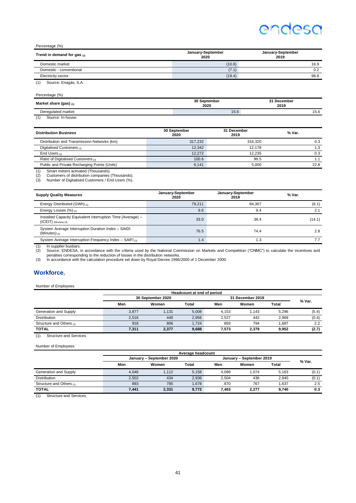#### Percentage (%)

| Trend in demand for gas $_{(1)}$ | January-September<br>2020 | January-September<br>2019 |
|----------------------------------|---------------------------|---------------------------|
| Domestic market                  | (10.6)                    | 16.9                      |
| Domestic - conventional          | (7.1)                     | 0.2                       |
| Electricity sector               | (19.4)                    | 98.8                      |
| Source: Enagás, S.A.<br>(1)      |                           |                           |

| Percentage (%)                                                                                                                                                                                                                               |                      |                     |
|----------------------------------------------------------------------------------------------------------------------------------------------------------------------------------------------------------------------------------------------|----------------------|---------------------|
| Market share (gas) $(1)$                                                                                                                                                                                                                     | 30 September<br>2020 | 31 December<br>2019 |
| Deregulated market                                                                                                                                                                                                                           | 15.6                 | 15.6                |
| $\sqrt{4}$<br>Contact to the contact of the contact of the contact of the contact of the contact of the contact of the contact of the contact of the contact of the contact of the contact of the contact of the contact of the contact of t |                      |                     |

(1) Source: In-house.

| <b>Distribution Business</b>                                                                                                                                                                                                                                                    | 30 September<br>2020 | 31 December<br>2019 | % Var. |
|---------------------------------------------------------------------------------------------------------------------------------------------------------------------------------------------------------------------------------------------------------------------------------|----------------------|---------------------|--------|
| Distribution and Transmission Networks (km)                                                                                                                                                                                                                                     | 317.232              | 316.320             | 0.3    |
| Digitalised Customers (1)                                                                                                                                                                                                                                                       | 12.342               | 12.178              | 1.3    |
| End Users $(2)$                                                                                                                                                                                                                                                                 | 12.272               | 12.235              | 0.3    |
| Ratio of Digitalised Customers (3)                                                                                                                                                                                                                                              | 100.6                | 99.5                |        |
| Public and Private Recharging Points (Units)<br>$\sim$ . The contract of the contract of the contract of the contract of the contract of the contract of the contract of the contract of the contract of the contract of the contract of the contract of the contract of the co | 6.141                | 5.000               | 22.8   |

(1) Smart meters activated (Thousands). (2) Customers of distribution companies (Thousands). (3) Number of Digitalised Customers / End Users (%).

| <b>Supply Quality Measures</b>                                                         | January-September<br>2020 | January-September<br>2019 | % Var. |
|----------------------------------------------------------------------------------------|---------------------------|---------------------------|--------|
| Energy Distributed (GWh) $(1)$                                                         | 79.211                    | 84.367                    | (6.1)  |
| Energy Losses (%) (2)                                                                  | 9.6                       | 9.4                       | 2.1    |
| Installed Capacity Equivalent Interruption Time (Average) -<br>$(ICEIT)$ (Minutes) (3) | 33.0                      | 38.4                      | (14.1) |
| System Average Interruption Duration Index - SAIDI<br>(Minutes) $(2)$                  | 76.5                      | 74.4                      | 2.8    |
| System Average Interruption Frequency Index - SAIFI(2)                                 | 1.4                       | 1.3                       | 7.7    |

(1) In supplier busbars.<br>(2) Source: ENDESA, in accordance with the criteria used by the National Commission on Markets and Competition ("CNMC") to calculate the incentives and<br>penalties corresponding to the reduction of l

#### **Workforce.**

Number of Employees

|                          | Headcount at end of period |                   |       |       |                  |       |        |
|--------------------------|----------------------------|-------------------|-------|-------|------------------|-------|--------|
|                          |                            | 30 September 2020 |       |       | 31 December 2019 |       |        |
|                          | Men                        | Women             | Total | Men   | Women            | Total | % Var. |
| Generation and Supply    | 3.877                      | 1.131             | 5.008 | 4.153 | 1.143            | 5.296 | (5.4)  |
| <b>Distribution</b>      | 2.516                      | 440               | 2.956 | 2.527 | 442              | 2.969 | (0.4)  |
| Structure and Others (1) | 918                        | 806               | 1.724 | 893   | 794              | 1.687 | 2.2    |
| <b>TOTAL</b>             | 7.311                      | 2,377             | 9,688 | 7.573 | 2.379            | 9.952 | (2.7)  |

(1) Structure and Services.

#### Number of Employees

|                          | Average headcount        |       |       |                          |       |       |        |
|--------------------------|--------------------------|-------|-------|--------------------------|-------|-------|--------|
|                          | January - September 2020 |       |       | January - September 2019 |       |       |        |
|                          | Men                      | Women | Total | Men                      | Women | Total | % Var. |
| Generation and Supply    | 4.046                    | 1.112 | 5.158 | 4.089                    | 1.074 | 5.163 | (0.1)  |
| <b>Distribution</b>      | 2.502                    | 434   | 2.936 | 2.504                    | 436   | 2.940 | (0.1)  |
| Structure and Others (1) | 893                      | 785   | 1.678 | 870                      | 767   | 1.637 | 2.5    |
| <b>TOTAL</b>             | 7.441                    | 2,331 | 9,772 | 7.463                    | 2.277 | 9.740 | 0.3    |

(1) Structure and Services.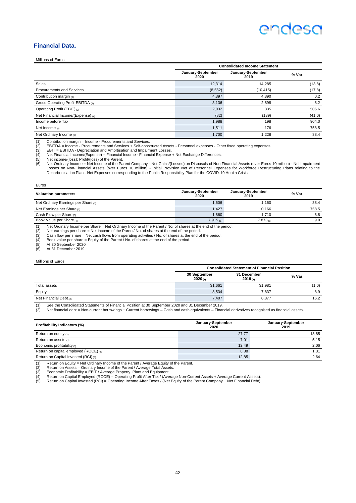#### **Financial Data.**

Millions of Euros

|                                    | <b>Consolidated Income Statement</b> |                           |        |  |
|------------------------------------|--------------------------------------|---------------------------|--------|--|
|                                    | January-September<br>2020            | January-September<br>2019 | % Var. |  |
| Sales                              | 12,314                               | 14,285                    | (13.8) |  |
| <b>Procurements and Services</b>   | (8, 562)                             | (10, 415)                 | (17.8) |  |
| Contribution margin $(1)$          | 4,397                                | 4,390                     | 0.2    |  |
| Gross Operating Profit EBITDA (2)  | 3,136                                | 2,898                     | 8.2    |  |
| Operating Profit (EBIT) (3)        | 2,032                                | 335                       | 506.6  |  |
| Net Financial Income/(Expense) (4) | (82)                                 | (139)                     | (41.0) |  |
| Income before Tax                  | 1,988                                | 198                       | 904.0  |  |
| Net Income $(5)$                   | 1,511                                | 176                       | 758.5  |  |
| Net Ordinary Income (6)            | 1.700                                | 1,228                     | 38.4   |  |

(2) EBITDA = Income - Procurements and Services + Self-constructed Assets - Personnel expenses - Other fixed operating expenses.

(1) Contribution margin = Income - Procurements and Services.<br>
(2) EBITDA = Income - Procurements and Services + Self-cons<br>
(3) EBIT = EBITDA - Depreciation and Amortisation and Impair<br>
(4) Net Financial Income/(Expense) = EBIT = EBITDA - Depreciation and Amortisation and Impairment Losses.

(4) Net Financial Income/(Expense) = Financial Income - Financial Expense + Net Exchange Differences.

(5) Net income/(loss): Profit/(loss) of the Parent.<br>(6) Net Ordinary Income = Net Income of the Par

6) Net Ordinary Income = Net Income of the Parent Company - Net Gains/(Losses) on Disposals of Non-Financial Assets (over Euros 10 million) - Net Impairment<br>Losses on Non-Financial Assets (over Euros 10 million) - Initial Decarbonisation Plan - Net Expenses corresponding to the Public Responsibility Plan for the COVID-19 Health Crisis.

| Euros                                                                                                        |                           |                           |        |
|--------------------------------------------------------------------------------------------------------------|---------------------------|---------------------------|--------|
| <b>Valuation parameters</b>                                                                                  | January-September<br>2020 | January-September<br>2019 | % Var. |
| Net Ordinary Earnings per Share (1)                                                                          | 1.606                     | 1.160                     | 38.4   |
| Net Earnings per Share (2)                                                                                   | 1.427                     | 0.166                     | 758.5  |
| Cash Flow per Share (3)                                                                                      | 1.860                     | 1.710                     | 8.8    |
| Book Value per Share (4)                                                                                     | $7.915$ (5)               | $7.873_{(6)}$             | 9.0    |
| (4) Net Ordinan Income non Obers Net Ordinan Income of the Descrit (Net of chance of the said of the nadical |                           |                           |        |

(1) Net Ordinary Income per Share = Net Ordinary Income of the Parent / No. of shares at the end of the period.

(2) Net earnings per share = Net income of the Parent/ No. of shares at the end of the period.<br>
(3) Cash flow per share = Net cash flows from operating activities / No. of shares at the end of the period.<br>
(4) Book value p

(3) Cash flow per share = Net cash flows from operating activities / No. of shares at the end of the period. (4) Book value per share = Equity of the Parent / No. of shares at the end of the period.

(5) At 30 September 2020. (6) At 31 December 2019.

## Millions of Euros

|                             | <b>Consolidated Statement of Financial Position</b> |                        |        |  |
|-----------------------------|-----------------------------------------------------|------------------------|--------|--|
|                             | 30 September<br>2020(n)                             | 31 December<br>2019(n) | % Var. |  |
| Total assets                | 31.661                                              | 31.981                 | (1.0)  |  |
| Equity                      | 8,534                                               | 7.837                  | 8.9    |  |
| Net Financial Debt $_{(2)}$ | 7,407                                               | 6,377                  | 16.2   |  |
| ----<br>_____               | .                                                   |                        |        |  |

(1) See the Consolidated Statements of Financial Position at 30 September 2020 and 31 December 2019.

(2) Net financial debt = Non-current borrowings + Current borrowings – Cash and cash equivalents – Financial derivatives recognised as financial assets.

| Profitability Indicators (%)            | January-September<br>2020 | January-September<br>2019 |  |
|-----------------------------------------|---------------------------|---------------------------|--|
| Return on equity $(1)$                  | 27.77                     | 18.85                     |  |
| Return on assets (2)                    | 7.01                      | 5.15                      |  |
| Economic profitability $(3)$            | 12.49                     | 2.06                      |  |
| Return on capital employed (ROCE) $(4)$ | 6.38                      | 1.31                      |  |
| Return on Capital Invested (RCI) (5)    | 12.85                     | 2.64                      |  |

(1) Return on Equity = Net Ordinary Income of the Parent / Average Equity of the Parent. (2) Return on Assets = Ordinary Income of the Parent / Average Total Assets.

(1) Return on Equity = Net Ordinary Income of the Parent / Average Equity (2) Return on Assets = Ordinary Income of the Parent / Average Total Asset (3) Economic Profitability = EBIT / Average Property, Plant and Equipmen

(4) Return on Capital Employed (ROCE) = Operating Profit After Tax / (Average Non-Current Assets + Average Current Assets).<br>(5) Return on Capital Invested (RCI) = Operating Income After Taxes / (Net Equity of the Parent Co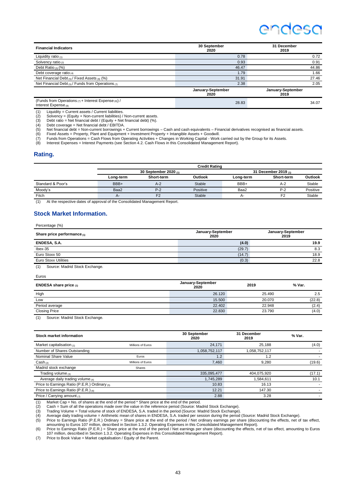## endesc

| <b>Financial Indicators</b>                                                    | 30 September<br>2020      | 31 December<br>2019       |
|--------------------------------------------------------------------------------|---------------------------|---------------------------|
| Liquidity ratio $(1)$                                                          | 0.78                      | 0.72                      |
| Solvency ratio $(2)$                                                           | 0.93                      | 0.91                      |
| Debt Ratio $(3)$ (%)                                                           | 46.47                     | 44.86                     |
| Debt coverage ratio $(4)$                                                      | 1.79                      | 1.66                      |
| Net Financial Debt $_{(5)}$ / Fixed Assets $_{(6)}$ (%)                        | 31.91                     | 27.46                     |
| Net Financial Debt (5) / Funds from Operations ( $\eta$ )                      | 2.38                      | 2.05                      |
|                                                                                | January-September<br>2020 | January-September<br>2019 |
| (Funds from Operations $(7)$ + Interest Expense $(8)$ ) /<br>Interact Evenpool | 28.83                     | 34.07                     |

Interest Expense (8)

(1) Liquidity = Current assets / Current liabilities.<br>(2) Solvency = (Equity + Non-current liabilities) /

(1) Equity = Omicin assets.<br>
(2) Solvency = (Equity + Non-current liabilities) / Non-current assets.<br>
(3) Debt ratio = Net financial debt / (Equity + Net financial debt) (%).

(3) Debt ratio = Net financial debt / (Equity + Net financial debt) (%).<br>
(4) Debt coverage = Net financial debt / EBITDA.<br>
(5) Net financial debt = Non-current borrowings + Current borrowing. (4) Debt coverage = Net financial debt / EBITDA.<br>(5) Net financial debt = Non-current borrowings + Current borrowings – Cash and cash equivalents – Financial derivatives recognised as financial assets.

(6) Fixed Assets = Property, Plant and Equipment + Investment Property + Intangible Assets + Goodwill.<br>(7) Funds from Operations = Cash Flows from Operating Activities + Changes in Working Capital - Work carried out by the

#### **Rating.**

|                   |           |                         | <b>Credit Rating</b> |           |                           |                |  |
|-------------------|-----------|-------------------------|----------------------|-----------|---------------------------|----------------|--|
|                   |           | 30 September 2020 $(n)$ |                      |           | 31 December 2019 $_{(1)}$ |                |  |
|                   | Long-term | Short-term              | Outlook              | Long-term | Short-term                | <b>Outlook</b> |  |
| Standard & Poor's | BBB+      | $A-2$                   | Stable               | BBB+      | $A-2$                     | Stable         |  |
| Moody's           | Baa2      | $P-2$                   | Positive             | Baa2      | $P-2$                     | Positive       |  |
| Fitch             | $A-$      | F2                      | Stable               | А-        | F <sub>2</sub>            | Stable         |  |

(1) At the respective dates of approval of the Consolidated Management Report.

#### **Stock Market Information.**

| Percentage (%)                                                                   |                           |                           |  |
|----------------------------------------------------------------------------------|---------------------------|---------------------------|--|
| Share price performance $(1)$                                                    | January-September<br>2020 | January-September<br>2019 |  |
| ENDESA, S.A.                                                                     | (4.0)                     | 19.9                      |  |
| $l$ bex-35                                                                       | (29.7)                    | 8.3                       |  |
| Euro Stoxx 50                                                                    | (14.7)                    | 18.9                      |  |
| <b>Euro Stoxx Utilities</b>                                                      | (0.3)                     | 22.8                      |  |
| $\lambda$ . The set of $\lambda$ is the set of $\lambda$ is the set of $\lambda$ |                           |                           |  |

(1) Source: Madrid Stock Exchange.

| . |  |
|---|--|
|---|--|

| <b>ENDESA share price <math>(1)</math></b> | January-September<br>2020 | 2019   | % Var. |
|--------------------------------------------|---------------------------|--------|--------|
| High                                       | 26.120                    | 25.490 | 2.5    |
| Low                                        | 15.500                    | 20.070 | (22.8) |
| Period average                             | 22,402                    | 22.948 | (2.4)  |
| <b>Closing Price</b>                       | 22.830                    | 23.790 | (4.0)  |
|                                            |                           |        |        |

(1) Source: Madrid Stock Exchange.

| Stock market information                      |                   | 30 September<br>2020 | 31 December<br>2019 | % Var. |
|-----------------------------------------------|-------------------|----------------------|---------------------|--------|
| Market capitalisation $(1)$                   | Millions of Euros | 24.171               | 25.188              | (4.0)  |
| Number of Shares Outstanding                  |                   | 1,058,752,117        | 1,058,752,117       |        |
| Nominal Share Value                           | Euros             | 1.2                  | 1.2                 |        |
| $\mathsf{Cash}_{(2)}$                         | Millions of Euros | 7.460                | 9,280               | (19.6) |
| Madrid stock exchange                         | Shares            |                      |                     |        |
| Trading volume $_{(3)}$                       |                   | 335,095,477          | 404,075,920         | (17.1) |
| Average daily trading volume $_{(4)}$         |                   | 1,745,289            | 1,584,611           | 10.1   |
| Price to Earnings Ratio (P.E.R.) Ordinary (5) |                   | 10.83                | 16.13               |        |
| Price to Earnings Ratio (P.E.R.) (6)          |                   | 12.21                | 147.30              |        |
| Price / Carrying amount $(7)$                 |                   | 2.88                 | 3.28                |        |

(1) Market Cap = No. of shares at the end of the period \* Share price at the end of the period.<br>
(2) Cash = Sum of all the operations made over the value in the reference period (Source: Mainting Volume = Total volume of s

(2) Cash = Sum of all the operations made over the value in the reference period (Source: Madrid Stock Exchange).<br>(3) Trading Volume = Total volume of stock of ENDESA, S.A. traded in the period (Source: Madrid Stock Exch

(5) Price to Earnings Ratio (P.E.R.) Ordinary = Share price at the end of the period / Net ordinary earnings per share (discounting the effects, net of tax effect,<br>amounting to Euros 107 million, described in Section 1.3.2

(6) Price to Earnings Ratio (P.E.R.) = Share price at the end of the period / Net earnings per share (discounting the effects, net of tax effect, amounting to Euros 107 million, described in Section 1.3.2. Operating Expenses in this Consolidated Management Report). (7) Price to Book Value = Market capitalisation / Equity of the Parent.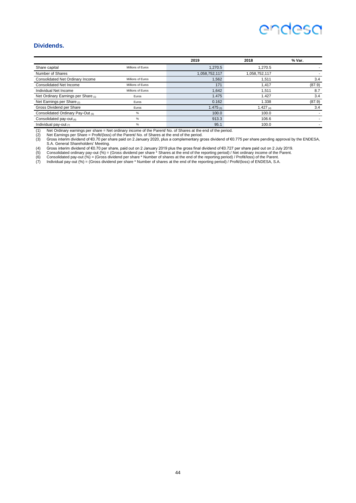#### **Dividends.**

|                                     |                   | 2019          | 2018          | % Var. |
|-------------------------------------|-------------------|---------------|---------------|--------|
| Share capital                       | Millions of Euros | 1.270.5       | 1.270.5       |        |
| Number of Shares                    |                   | 1,058,752,117 | 1,058,752,117 |        |
| Consolidated Net Ordinary Income    | Millions of Euros | .562          | 1.511         | 3.4    |
| <b>Consolidated Net Income</b>      | Millions of Euros | 171           | 1.417         | (87.9) |
| Individual Net Income               | Millions of Euros | 1.642         | 1.511         | 8.7    |
| Net Ordinary Earnings per Share (1) | Euros             | 1.475         | 1.427         | 3.4    |
| Net Earnings per Share (2)          | Euros             | 0.162         | 1.338         | (87.9) |
| Gross Dividend per Share            | Euros             | 1.475 $(3)$   | 1.427 $(4)$   | 3.4    |
| Consolidated Ordinary Pay-Out (5)   | %                 | 100.0         | 100.0         |        |
| Consolidated pay-out (6)            | %                 | 913.3         | 106.6         |        |
| Individual pay-out $(7)$            | %                 | 95.1          | 100.0         |        |

(1) Net Ordinary earnings per share = Net ordinary income of the Parent/ No. of Shares at the end of the period.<br>(2) Net Earnings per Share = Profit/(loss) of the Parent/ No. of Shares at the end of the period.<br>(3) Gross

S.A. General Shareholders' Meeting.<br>
(4) Gross interim dividend of €0.70 per share, paid out on 2 January 2019 plus the gross final dividend of €0.727 per share paid out on 2 July 2019<br>
(5) Consolidated pay-out (%) = (Gro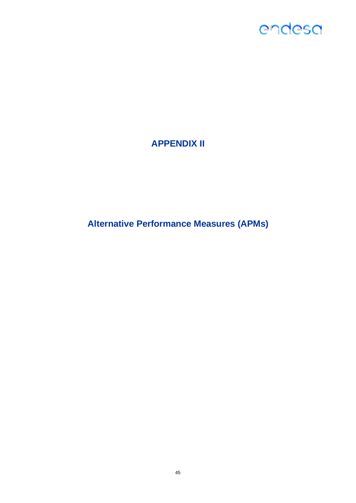## **APPENDIX II**

**Alternative Performance Measures (APMs)**